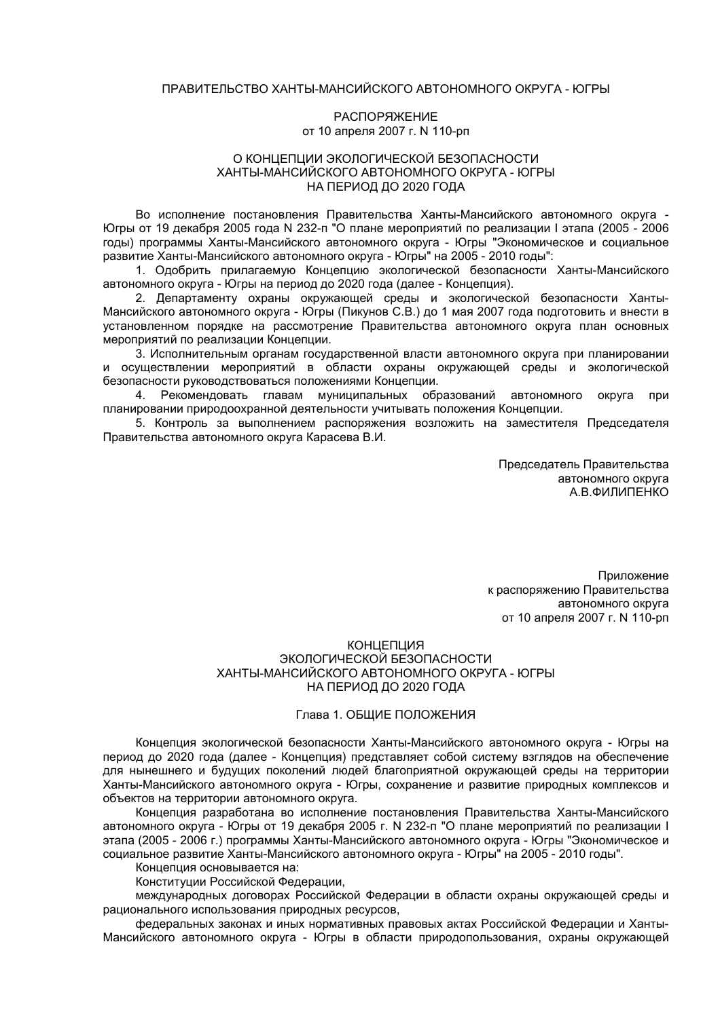# ПРАВИТЕЛЬСТВО ХАНТЫ-МАНСИЙСКОГО АВТОНОМНОГО ОКРУГА - ЮГРЫ

# **РАСПОРЯЖЕНИЕ** от 10 апреля 2007 г. N 110-рп

# О КОНЦЕПЦИИ ЭКОЛОГИЧЕСКОЙ БЕЗОПАСНОСТИ ХАНТЫ-МАНСИЙСКОГО АВТОНОМНОГО ОКРУГА - ЮГРЫ НА ПЕРИОД ДО 2020 ГОДА

Во исполнение постановления Правительства Ханты-Мансийского автономного округа -Югры от 19 декабря 2005 года N 232-п "О плане мероприятий по реализации I этапа (2005 - 2006 годы) программы Ханты-Мансийского автономного округа - Югры "Экономическое и социальное развитие Ханты-Мансийского автономного округа - Югры" на 2005 - 2010 годы":

1. Одобрить прилагаемую Концепцию экологической безопасности Ханты-Мансийского автономного округа - Югры на период до 2020 года (далее - Концепция).

2. Департаменту охраны окружающей среды и экологической безопасности Ханты-Мансийского автономного округа - Югры (Пикунов С.В.) до 1 мая 2007 года подготовить и внести в установленном порядке на рассмотрение Правительства автономного округа план основных мероприятий по реализации Концепции.

3. Исполнительным органам государственной власти автономного округа при планировании и осуществлении мероприятий в области охраны окружающей среды и экологической безопасности руководствоваться положениями Концепции.

4. Рекомендовать главам муниципальных образований автономного округа при планировании природоохранной деятельности учитывать положения Концепции.

5. Контроль за выполнением распоряжения возложить на заместителя Председателя Правительства автономного округа Карасева В.И.

> Председатель Правительства автономного округа А.В.ФИЛИПЕНКО

Приложение к распоряжению Правительства автономного округа от 10 апреля 2007 г. N 110-рп

# КОНЦЕПЦИЯ ЭКОЛОГИЧЕСКОЙ БЕЗОПАСНОСТИ ХАНТЫ-МАНСИЙСКОГО АВТОНОМНОГО ОКРУГА - ЮГРЫ НА ПЕРИОД ДО 2020 ГОДА

## Глава 1. ОБЩИЕ ПОЛОЖЕНИЯ

Концепция экологической безопасности Ханты-Мансийского автономного округа - Югры на период до 2020 года (далее - Концепция) представляет собой систему взглядов на обеспечение для нынешнего и будущих поколений людей благоприятной окружающей среды на территории Ханты-Мансийского автономного округа - Югры, сохранение и развитие природных комплексов и объектов на территории автономного округа.

Концепция разработана во исполнение постановления Правительства Ханты-Мансийского автономного округа - Югры от 19 декабря 2005 г. N 232-п "О плане мероприятий по реализации I этапа (2005 - 2006 г.) программы Ханты-Мансийского автономного округа - Югры "Экономическое и социальное развитие Ханты-Мансийского автономного округа - Югры" на 2005 - 2010 годы".

Концепция основывается на:

Конституции Российской Федерации.

международных договорах Российской Федерации в области охраны окружающей среды и рационального использования природных ресурсов.

федеральных законах и иных нормативных правовых актах Российской Федерации и Ханты-Мансийского автономного округа - Югры в области природопользования, охраны окружающей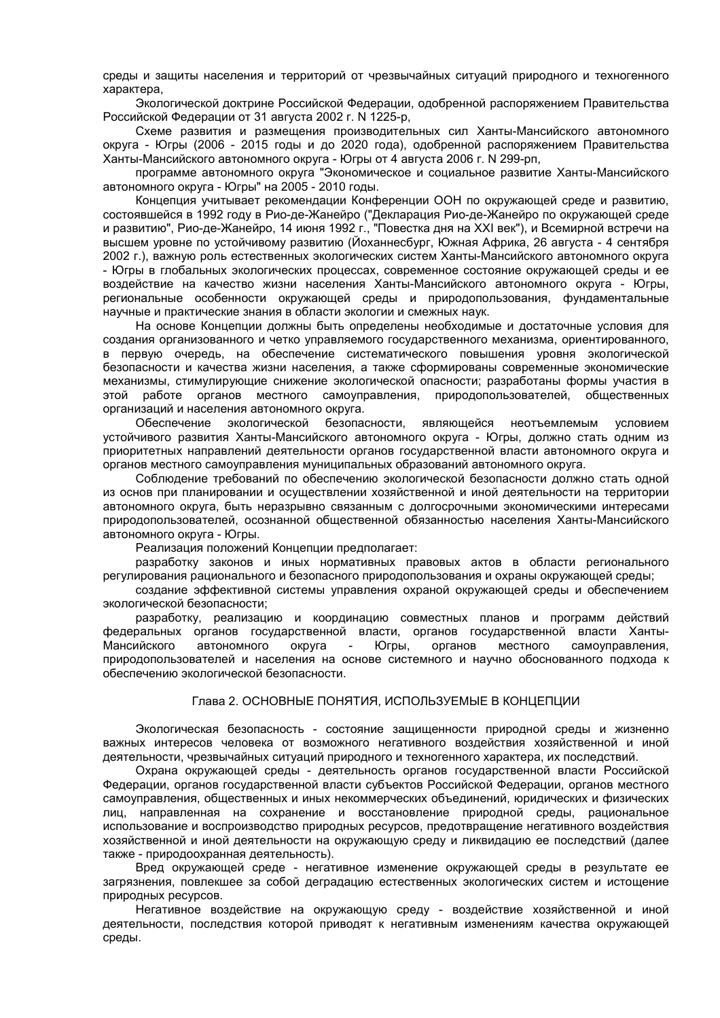среды и защиты населения и территорий от чрезвычайных ситуаций природного и техногенного характера.

Экологической доктрине Российской Федерации, одобренной распоряжением Правительства Российской Федерации от 31 августа 2002 г. N 1225-р.

Схеме развития и размешения производительных сил Ханты-Мансийского автономного округа - Югры (2006 - 2015 годы и до 2020 года), одобренной распоряжением Правительства Ханты-Мансийского автономного округа - Югры от 4 августа 2006 г. N 299-рп.

программе автономного округа "Экономическое и социальное развитие Ханты-Мансийского автономного округа - Югры" на 2005 - 2010 годы.

Концепция учитывает рекомендации Конференции ООН по окружающей среде и развитию, состоявшейся в 1992 году в Рио-де-Жанейро ("Декларация Рио-де-Жанейро по окружающей среде и развитию", Рио-де-Жанейро, 14 июня 1992 г., "Повестка дня на XXI век"), и Всемирной встречи на высшем уровне по устойчивому развитию (Йоханнесбург, Южная Африка, 26 августа - 4 сентября 2002 г.), важную роль естественных экологических систем Ханты-Мансийского автономного округа - Югры в глобальных экологических процессах, современное состояние окружающей среды и ее воздействие на качество жизни населения Ханты-Мансийского автономного округа - Югры, региональные особенности окружающей среды и природопользования, фундаментальные научные и практические знания в области экологии и смежных наук.

На основе Концепции должны быть определены необходимые и достаточные условия для создания организованного и четко управляемого государственного механизма, ориентированного, в первую очередь, на обеспечение систематического повышения уровня экологической безопасности и качества жизни населения, а также сформированы современные экономические механизмы, стимулирующие снижение экологической опасности; разработаны формы участия в этой работе органов местного самоуправления, природопользователей, общественных организаций и населения автономного округа.

Обеспечение экологической безопасности. являющейся неотъемлемым условием устойчивого развития Ханты-Мансийского автономного округа - Югры, должно стать одним из приоритетных направлений деятельности органов государственной власти автономного округа и органов местного самоуправления муниципальных образований автономного округа.

Соблюдение требований по обеспечению экологической безопасности должно стать одной из основ при планировании и осуществлении хозяйственной и иной деятельности на территории автономного округа, быть неразрывно связанным с долгосрочными экономическими интересами природопользователей, осознанной общественной обязанностью населения Ханты-Мансийского автономного округа - Югры.

Реализация положений Концепции предполагает:

разработку законов и иных нормативных правовых актов в области регионального регулирования рационального и безопасного природопользования и охраны окружающей среды;

создание эффективной системы управления охраной окружающей среды и обеспечением экологической безопасности:

разработку, реализацию и координацию совместных планов и программ действий федеральных органов государственной власти, органов государственной власти Хантысамоуправления, Мансийского автономного округа Югры, органов местного  $\sim$ природопользователей и населения на основе системного и научно обоснованного подхода к обеспечению экологической безопасности.

# Глава 2. ОСНОВНЫЕ ПОНЯТИЯ, ИСПОЛЬЗУЕМЫЕ В КОНЦЕПЦИИ

Экологическая безопасность - состояние защищенности природной среды и жизненно важных интересов человека от возможного негативного воздействия хозяйственной и иной деятельности, чрезвычайных ситуаций природного и техногенного характера, их последствий,

Охрана окружающей среды - деятельность органов государственной власти Российской Федерации, органов государственной власти субъектов Российской Федерации, органов местного самоуправления, общественных и иных некоммерческих объединений, юридических и физических лиц, направленная на сохранение и восстановление природной среды, рациональное использование и воспроизводство природных ресурсов, предотвращение негативного воздействия хозяйственной и иной деятельности на окружающую среду и ликвидацию ее последствий (далее также - природоохранная деятельность).

Вред окружающей среде - негативное изменение окружающей среды в результате ее загрязнения, повлекшее за собой деградацию естественных экологических систем и истошение природных ресурсов.

Негативное воздействие на окружающую среду - воздействие хозяйственной и иной деятельности, последствия которой приводят к негативным изменениям качества окружающей среды.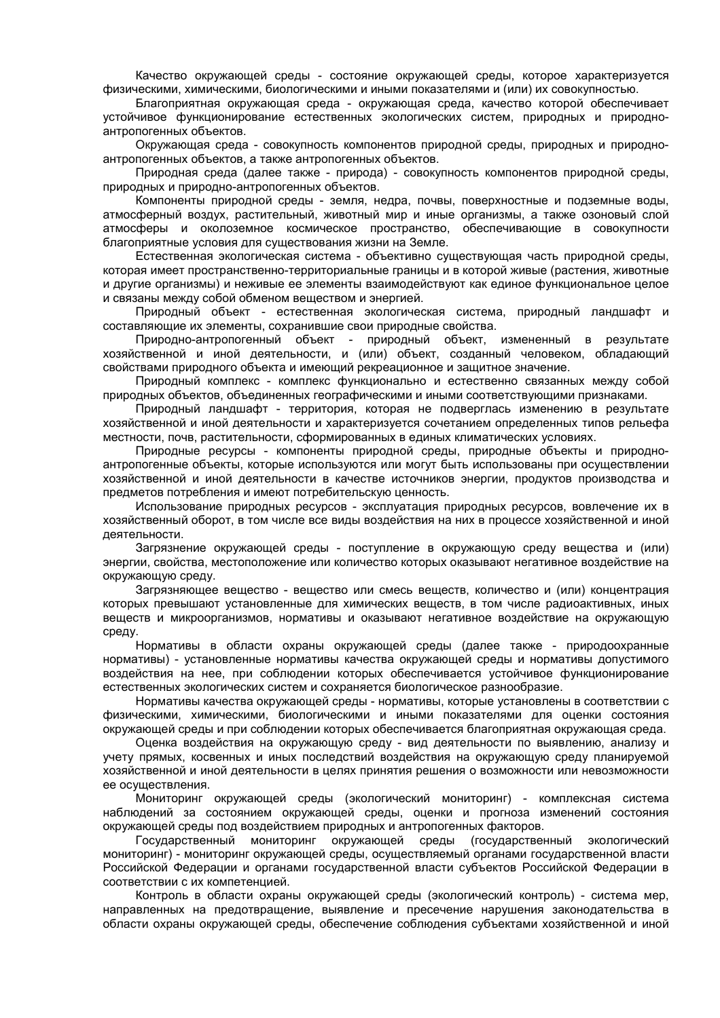Качество окружающей среды - состояние окружающей среды, которое характеризуется физическими, химическими, биологическими и иными показателями и (или) их совокупностью.

Благоприятная окружающая среда - окружающая среда, качество которой обеспечивает устойчивое функционирование естественных экологических систем, природных и природноантропогенных объектов.

Окружающая среда - совокупность компонентов природной среды, природных и природноантропогенных объектов, а также антропогенных объектов.

Природная среда (далее также - природа) - совокупность компонентов природной среды, природных и природно-антропогенных объектов.

Компоненты природной среды - земля, недра, почвы, поверхностные и подземные воды, атмосферный воздух, растительный, животный мир и иные организмы, а также озоновый слой атмосферы и околоземное космическое пространство, обеспечивающие в совокупности благоприятные условия для существования жизни на Земле.

Естественная экологическая система - объективно существующая часть природной среды, которая имеет пространственно-территориальные границы и в которой живые (растения, животные и другие организмы) и неживые ее элементы взаимодействуют как единое функциональное целое и связаны между собой обменом веществом и энергией.

Природный объект - естественная экологическая система, природный ландшафт и составляющие их элементы, сохранившие свои природные свойства.

Природно-антропогенный объект - природный объект, измененный в результате хозяйственной и иной деятельности, и (или) объект, созданный человеком, обладающий свойствами природного объекта и имеющий рекреационное и защитное значение.

Природный комплекс - комплекс функционально и естественно связанных между собой природных объектов, объединенных географическими и иными соответствующими признаками.

Природный ландшафт - территория, которая не подверглась изменению в результате хозяйственной и иной деятельности и характеризуется сочетанием определенных типов рельефа местности, почв, растительности, сформированных в единых климатических условиях.

Природные ресурсы - компоненты природной среды, природные объекты и природноантропогенные объекты, которые используются или могут быть использованы при осуществлении хозяйственной и иной деятельности в качестве источников энергии, продуктов производства и предметов потребления и имеют потребительскую ценность.

Использование природных ресурсов - эксплуатация природных ресурсов, вовлечение их в хозяйственный оборот, в том числе все виды воздействия на них в процессе хозяйственной и иной деятельности.

Загрязнение окружающей среды - поступление в окружающую среду вещества и (или) энергии, свойства, местоположение или количество которых оказывают негативное воздействие на окружающую среду.

Загрязняющее вешество - вешество или смесь вешеств, количество и (или) концентрация которых превышают установленные для химических веществ, в том числе радиоактивных, иных вешеств и микроорганизмов, нормативы и оказывают негативное воздействие на окружающую среду.

Нормативы в области охраны окружающей среды (далее также - природоохранные нормативы) - установленные нормативы качества окружающей среды и нормативы допустимого воздействия на нее, при соблюдении которых обеспечивается устойчивое функционирование естественных экологических систем и сохраняется биологическое разнообразие.

Нормативы качества окружающей среды - нормативы, которые установлены в соответствии с физическими, химическими, биологическими и иными показателями для оценки состояния окружающей среды и при соблюдении которых обеспечивается благоприятная окружающая среда.

Оценка воздействия на окружающую среду - вид деятельности по выявлению, анализу и учету прямых, косвенных и иных последствий воздействия на окружающую среду планируемой хозяйственной и иной деятельности в целях принятия решения о возможности или невозможности ее осуществления.

Мониторинг окружающей среды (экологический мониторинг) - комплексная система наблюдений за состоянием окружающей среды, оценки и прогноза изменений состояния окружающей среды под воздействием природных и антропогенных факторов.

Государственный мониторинг окружающей среды (государственный экологический мониторинг) - мониторинг окружающей среды, осуществляемый органами государственной власти Российской Федерации и органами государственной власти субъектов Российской Федерации в соответствии с их компетенцией.

Контроль в области охраны окружающей среды (экологический контроль) - система мер. направленных на предотвращение, выявление и пресечение нарушения законодательства в области охраны окружающей среды, обеспечение соблюдения субъектами хозяйственной и иной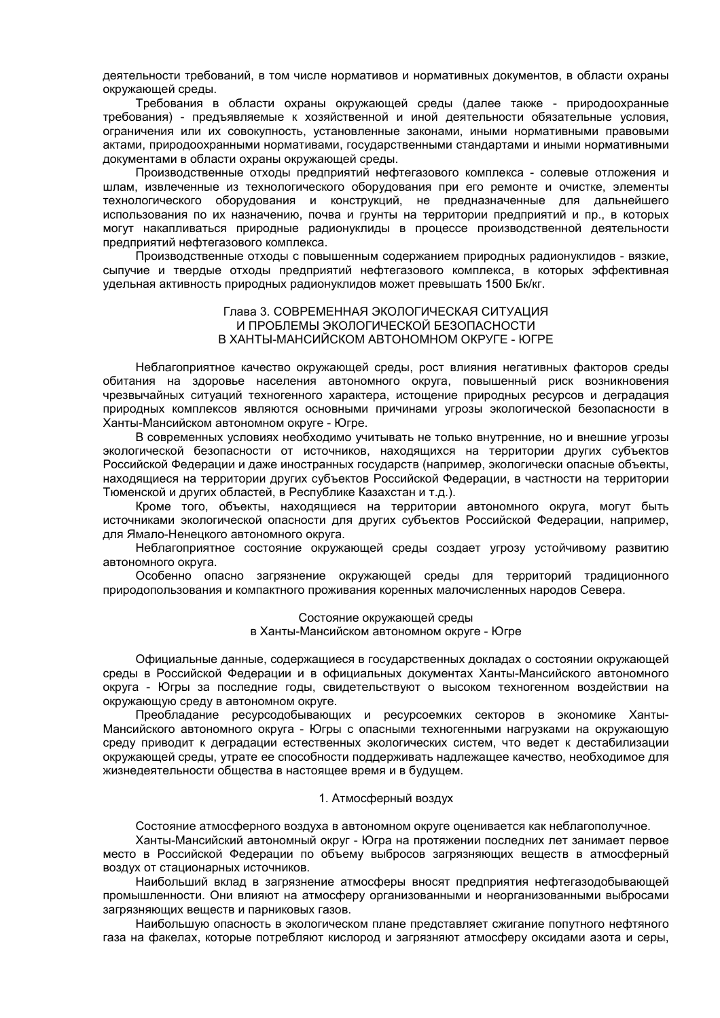деятельности требований, в том числе нормативов и нормативных документов, в области охраны окружающей среды.

Требования в области охраны окружающей среды (далее также - природоохранные требования) - предъявляемые к хозяйственной и иной деятельности обязательные условия, ограничения или их совокупность, установленные законами, иными нормативными правовыми актами, природоохранными нормативами, государственными стандартами и иными нормативными документами в области охраны окружающей среды.

Производственные отходы предприятий нефтегазового комплекса - солевые отложения и шлам, извлеченные из технологического оборудования при его ремонте и очистке, элементы технологического оборудования и конструкций, не предназначенные для дальнейшего использования по их назначению, почва и грунты на территории предприятий и пр., в которых могут накапливаться природные радионуклиды в процессе производственной деятельности предприятий нефтегазового комплекса.

Производственные отходы с повышенным содержанием природных радионуклидов - вязкие, сыпучие и твердые отходы предприятий нефтегазового комплекса, в которых эффективная удельная активность природных радионуклидов может превышать 1500 Бк/кг.

## Глава 3. СОВРЕМЕННАЯ ЭКОЛОГИЧЕСКАЯ СИТУАЦИЯ И ПРОБЛЕМЫ ЭКОЛОГИЧЕСКОЙ БЕЗОПАСНОСТИ В ХАНТЫ-МАНСИЙСКОМ АВТОНОМНОМ ОКРУГЕ - ЮГРЕ

Неблагоприятное качество окружающей среды, рост влияния негативных факторов среды обитания на здоровье населения автономного округа, повышенный риск возникновения чрезвычайных ситуаций техногенного характера, истощение природных ресурсов и деградация природных комплексов являются основными причинами угрозы экологической безопасности в Ханты-Мансийском автономном округе - Югре.

В современных условиях необходимо учитывать не только внутренние, но и внешние угрозы экологической безопасности от источников, находящихся на территории других субъектов Российской Федерации и даже иностранных государств (например, экологически опасные объекты, находящиеся на территории других субъектов Российской Федерации, в частности на территории Тюменской и других областей, в Республике Казахстан и т.д.).

Кроме того, объекты, находящиеся на территории автономного округа, могут быть источниками экологической опасности для других субъектов Российской Федерации, например, для Ямало-Ненецкого автономного округа.

Неблагоприятное состояние окружающей среды создает угрозу устойчивому развитию автономного округа.

Особенно опасно загрязнение окружающей среды для территорий традиционного природопользования и компактного проживания коренных малочисленных народов Севера.

> Состояние окружающей среды в Ханты-Мансийском автономном округе - Югре

Официальные данные, содержащиеся в государственных докладах о состоянии окружающей среды в Российской Федерации и в официальных документах Ханты-Мансийского автономного округа - Югры за последние годы, свидетельствуют о высоком техногенном воздействии на окружающую среду в автономном округе.

Преобладание ресурсодобывающих и ресурсоемких секторов в экономике Ханты-Мансийского автономного округа - Югры с опасными техногенными нагрузками на окружающую среду приводит к деградации естественных экологических систем, что ведет к дестабилизации окружающей среды, утрате ее способности поддерживать надлежащее качество, необходимое для жизнедеятельности общества в настоящее время и в будущем.

# 1. Атмосферный воздух

Состояние атмосферного воздуха в автономном округе оценивается как неблагополучное.

Ханты-Мансийский автономный округ - Югра на протяжении последних лет занимает первое место в Российской Федерации по объему выбросов загрязняющих веществ в атмосферный воздух от стационарных источников.

Наибольший вклад в загрязнение атмосферы вносят предприятия нефтегазодобывающей промышленности. Они влияют на атмосферу организованными и неорганизованными выбросами загрязняющих веществ и парниковых газов.

Наибольшую опасность в экологическом плане представляет сжигание попутного нефтяного газа на факелах, которые потребляют кислород и загрязняют атмосферу оксидами азота и серы,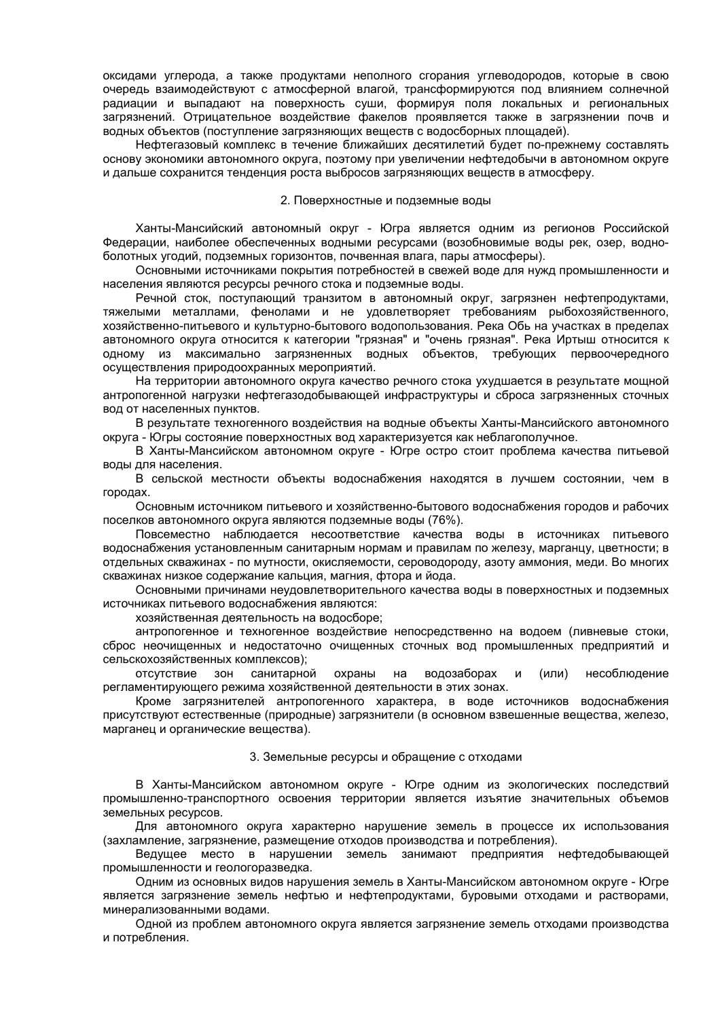оксидами углерода, а также продуктами неполного сгорания углеводородов, которые в свою очередь взаимодействуют с атмосферной влагой, трансформируются под влиянием солнечной радиации и выпадают на поверхность суши, формируя поля локальных и региональных загрязнений. Отрицательное воздействие факелов проявляется также в загрязнении почв и водных объектов (поступление загрязняющих вешеств с водосборных плошадей).

Нефтегазовый комплекс в течение ближайших десятилетий будет по-прежнему составлять основу экономики автономного округа, поэтому при увеличении нефтедобычи в автономном округе и дальше сохранится тенденция роста выбросов загрязняющих веществ в атмосферу.

# 2. Поверхностные и подземные воды

Ханты-Мансийский автономный округ - Югра является одним из регионов Российской Федерации, наиболее обеспеченных водными ресурсами (возобновимые воды рек, озер, водноболотных угодий, подземных горизонтов, почвенная влага, пары атмосферы).

Основными источниками покрытия потребностей в свежей воде для нужд промышленности и населения являются ресурсы речного стока и подземные воды.

Речной сток, поступающий транзитом в автономный округ, загрязнен нефтепродуктами, тяжелыми металлами, фенолами и не удовлетворяет требованиям рыбохозяйственного, хозяйственно-питьевого и культурно-бытового водопользования. Река Обь на участках в пределах автономного округа относится к категории "грязная" и "очень грязная". Река Иртыш относится к одному из максимально загрязненных водных объектов, требующих первоочередного осуществления природоохранных мероприятий.

На территории автономного округа качество речного стока ухудшается в результате мощной антропогенной нагрузки нефтегазодобывающей инфраструктуры и сброса загрязненных сточных вод от населенных пунктов.

В результате техногенного воздействия на водные объекты Ханты-Мансийского автономного округа - Югры состояние поверхностных вод характеризуется как неблагополучное.

В Ханты-Мансийском автономном округе - Югре остро стоит проблема качества питьевой воды для населения.

В сельской местности объекты водоснабжения находятся в лучшем состоянии, чем в городах.

Основным источником питьевого и хозяйственно-бытового водоснабжения городов и рабочих поселков автономного округа являются подземные воды (76%).

Повсеместно наблюдается несоответствие качества воды в источниках питьевого водоснабжения установленным санитарным нормам и правилам по железу, марганцу, цветности; в отдельных скважинах - по мутности, окисляемости, сероводороду, азоту аммония, меди. Во многих скважинах низкое содержание кальция, магния, фтора и йода.

Основными причинами неудовлетворительного качества воды в поверхностных и подземных источниках питьевого водоснабжения являются:

хозяйственная деятельность на водосборе:

антропогенное и техногенное воздействие непосредственно на водоем (ливневые стоки, сброс неочищенных и недостаточно очищенных сточных вод промышленных предприятий и сельскохозяйственных комплексов);

(или) несоблюдение отсутствие  $3OH$ санитарной охраны на водозаборах  $\mathsf{M}$ регламентирующего режима хозяйственной деятельности в этих зонах.

Кроме загрязнителей антропогенного характера, в воде источников водоснабжения присутствуют естественные (природные) загрязнители (в основном взвешенные вещества, железо, марганец и органические вещества).

## 3. Земельные ресурсы и обращение с отходами

В Ханты-Мансийском автономном округе - Югре одним из экологических последствий промышленно-транспортного освоения территории является изъятие значительных объемов земельных ресурсов.

Для автономного округа характерно нарушение земель в процессе их использования (захламление, загрязнение, размещение отходов производства и потребления).

Ведущее место в нарушении земель занимают предприятия нефтедобывающей промышленности и геологоразведка.

Одним из основных видов нарушения земель в Ханты-Мансийском автономном округе - Югре является загрязнение земель нефтью и нефтепродуктами, буровыми отходами и растворами, минерализованными водами.

Одной из проблем автономного округа является загрязнение земель отходами производства и потребления.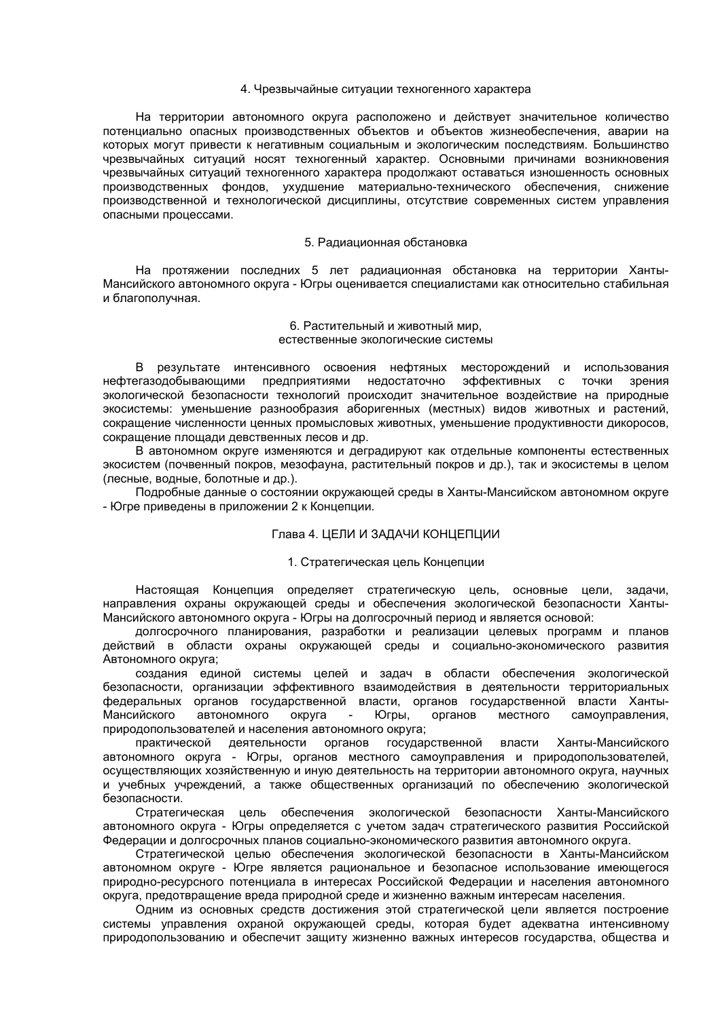## 4. Чрезвычайные ситуации техногенного характера

На территории автономного округа расположено и действует значительное количество потенциально опасных производственных объектов и объектов жизнеобеспечения, аварии на которых могут привести к негативным социальным и экологическим последствиям. Большинство чрезвычайных ситуаций носят техногенный характер. Основными причинами возникновения чрезвычайных ситуаций техногенного характера продолжают оставаться изношенность основных производственных фондов, ухудшение материально-технического обеспечения, снижение производственной и технологической дисциплины, отсутствие современных систем управления опасными процессами.

## 5. Радиационная обстановка

На протяжении последних 5 лет радиационная обстановка на территории Ханты-Мансийского автономного округа - Югры оценивается специалистами как относительно стабильная и благополучная.

## 6. Растительный и животный мир. естественные экологические системы

В результате интенсивного освоения нефтяных месторождений и использования нефтегазодобывающими предприятиями недостаточно эффективных с точки зрения экологической безопасности технологий происходит значительное воздействие на природные экосистемы: уменьшение разнообразия аборигенных (местных) видов животных и растений, сокращение численности ценных промысловых животных, уменьшение продуктивности дикоросов, сокращение площади девственных лесов и др.

В автономном округе изменяются и деградируют как отдельные компоненты естественных экосистем (почвенный покров, мезофауна, растительный покров и др.), так и экосистемы в целом (лесные, водные, болотные и др.).

Подробные данные о состоянии окружающей среды в Ханты-Мансийском автономном округе - Югре приведены в приложении 2 к Концепции.

## Глава 4. ЦЕЛИ И ЗАДАЧИ КОНЦЕПЦИИ

## 1. Стратегическая цель Концепции

Настоящая Концепция определяет стратегическую цель, основные цели, задачи, направления охраны окружающей среды и обеспечения экологической безопасности Ханты-Мансийского автономного округа - Югры на долгосрочный период и является основой:

долгосрочного планирования, разработки и реализации целевых программ и планов действий в области охраны окружающей среды и социально-экономического развития Автономного округа;

создания единой системы целей и задач в области обеспечения экологической безопасности, организации эффективного взаимодействия в деятельности территориальных федеральных органов государственной власти, органов государственной власти Ханты-Мансийского автономного округа Югры. органов местного самоуправления. природопользователей и населения автономного округа;

практической деятельности органов государственной власти Ханты-Мансийского автономного округа - Югры, органов местного самоуправления и природопользователей, осуществляющих хозяйственную и иную деятельность на территории автономного округа, научных и учебных учреждений, а также общественных организаций по обеспечению экологической безопасности.

Стратегическая цель обеспечения экологической безопасности Ханты-Мансийского автономного округа - Югры определяется с учетом задач стратегического развития Российской Федерации и долгосрочных планов социально-экономического развития автономного округа.

Стратегической целью обеспечения экологической безопасности в Ханты-Мансийском автономном округе - Югре является рациональное и безопасное использование имеющегося природно-ресурсного потенциала в интересах Российской Федерации и населения автономного округа, предотвращение вреда природной среде и жизненно важным интересам населения.

Одним из основных средств достижения этой стратегической цели является построение системы управления охраной окружающей среды, которая будет адекватна интенсивному природопользованию и обеспечит защиту жизненно важных интересов государства, общества и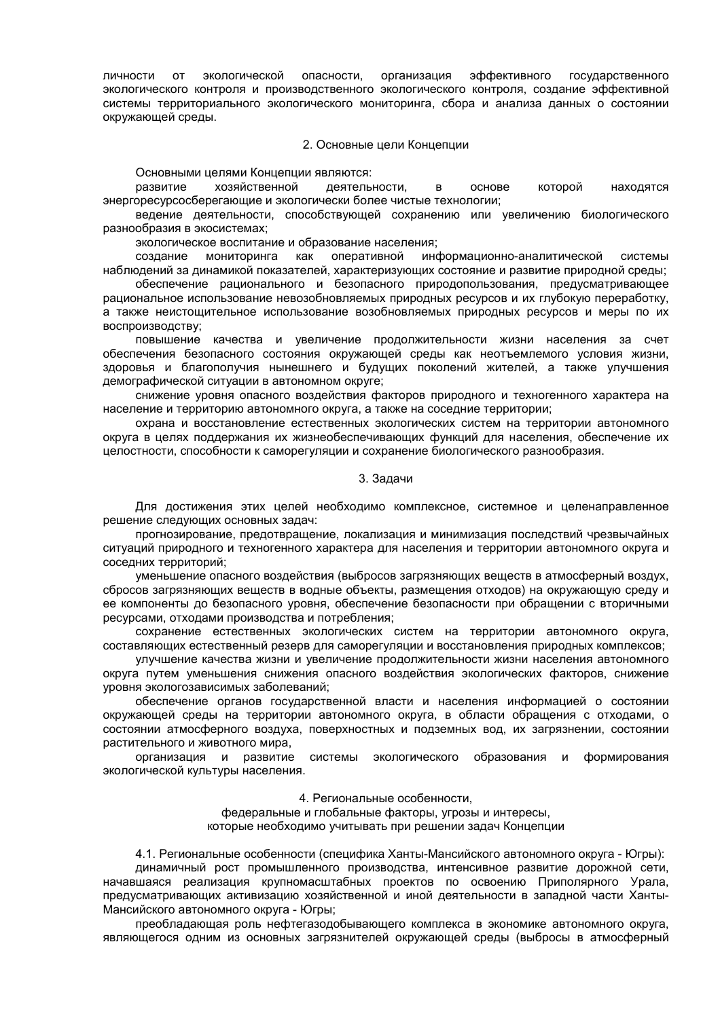экологической опасности, организация эффективного государственного личности  $\Omega$ экологического контроля и производственного экологического контроля, создание эффективной системы территориального экологического мониторинга, сбора и анализа данных о состоянии окружающей среды.

## 2. Основные цели Концепции

Основными целями Концепции являются:

развитие хозяйственной деятельности, которой  $\mathbf{B}$ основе находятся энергоресурсосберегающие и экологически более чистые технологии;

ведение деятельности, способствующей сохранению или увеличению биологического разнообразия в экосистемах;

экологическое воспитание и образование населения;

создание мониторинга как оперативной информационно-аналитической системы наблюдений за динамикой показателей, характеризующих состояние и развитие природной среды;

обеспечение рационального и безопасного природопользования, предусматривающее рациональное использование невозобновляемых природных ресурсов и их глубокую переработку, а также неистощительное использование возобновляемых природных ресурсов и меры по их ВОСПРОИЗВОДСТВУ:

повышение качества и увеличение продолжительности жизни населения за счет обеспечения безопасного состояния окружающей среды как неотъемлемого условия жизни, здоровья и благополучия нынешнего и будущих поколений жителей, а также улучшения демографической ситуации в автономном округе;

снижение уровня опасного воздействия факторов природного и техногенного характера на население и территорию автономного округа, а также на соседние территории;

охрана и восстановление естественных экологических систем на территории автономного округа в целях поддержания их жизнеобеспечивающих функций для населения, обеспечение их целостности, способности к саморегуляции и сохранение биологического разнообразия.

## 3. Задачи

Для достижения этих целей необходимо комплексное, системное и целенаправленное решение следующих основных задач:

прогнозирование, предотвращение, локализация и минимизация последствий чрезвычайных ситуаций природного и техногенного характера для населения и территории автономного округа и соседних территорий;

уменьшение опасного воздействия (выбросов загрязняющих веществ в атмосферный воздух, сбросов загрязняющих вешеств в водные объекты, размешения отходов) на окружающую среду и ее компоненты до безопасного уровня, обеспечение безопасности при обрашении с вторичными ресурсами, отходами производства и потребления:

сохранение естественных экологических систем на территории автономного округа. составляющих естественный резерв для саморегуляции и восстановления природных комплексов;

улучшение качества жизни и увеличение продолжительности жизни населения автономного округа путем уменьшения снижения опасного воздействия экологических факторов, снижение уровня экологозависимых заболеваний;

обеспечение органов государственной власти и населения информацией о состоянии окружающей среды на территории автономного округа, в области обращения с отходами, о состоянии атмосферного воздуха, поверхностных и подземных вод, их загрязнении, состоянии растительного и животного мира,

организация и развитие системы экологического образования и формирования экологической культуры населения.

> 4. Региональные особенности. федеральные и глобальные факторы, угрозы и интересы,

которые необходимо учитывать при решении задач Концепции

4.1. Региональные особенности (специфика Ханты-Мансийского автономного округа - Югры): динамичный рост промышленного производства, интенсивное развитие дорожной сети, начавшаяся реализация крупномасштабных проектов по освоению Приполярного Урала. предусматривающих активизацию хозяйственной и иной деятельности в западной части Ханты-Мансийского автономного округа - Югры;

преобладающая роль нефтегазодобывающего комплекса в экономике автономного округа. являющегося одним из основных загрязнителей окружающей среды (выбросы в атмосферный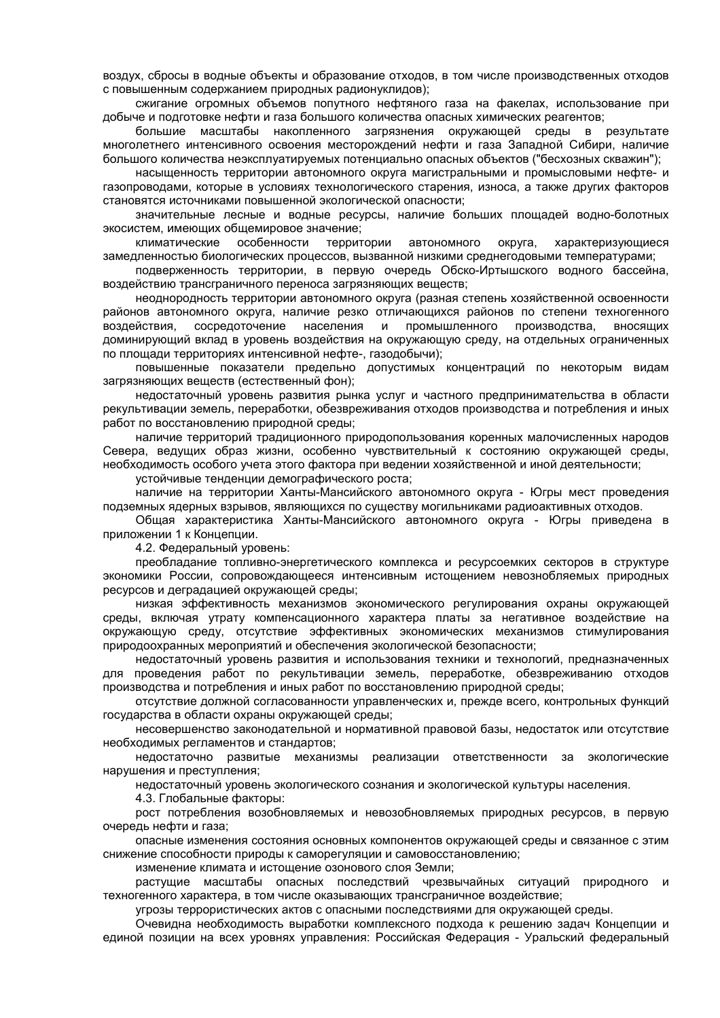воздух, сбросы в водные объекты и образование отходов, в том числе производственных отходов с повышенным содержанием природных радионуклидов);

сжигание огромных объемов попутного нефтяного газа на факелах, использование при добыче и подготовке нефти и газа большого количества опасных химических реагентов;

большие масштабы накопленного загрязнения окружающей среды в результате многолетнего интенсивного освоения месторождений нефти и газа Западной Сибири, наличие большого количества неэксплуатируемых потенциально опасных объектов ("бесхозных скважин");

насыщенность территории автономного округа магистральными и промысловыми нефте- и газопроводами, которые в условиях технологического старения, износа, а также других факторов становятся источниками повышенной экологической опасности;

значительные лесные и водные ресурсы, наличие больших площадей водно-болотных экосистем, имеющих общемировое значение;

климатические особенности территории автономного округа, характеризующиеся замедленностью биологических процессов, вызванной низкими среднегодовыми температурами;

подверженность территории, в первую очередь Обско-Иртышского водного бассейна, воздействию трансграничного переноса загрязняющих веществ;

неоднородность территории автономного округа (разная степень хозяйственной освоенности районов автономного округа, наличие резко отличающихся районов по степени техногенного воздействия, сосредоточение населения и промышленного производства, вносящих доминирующий вклад в уровень воздействия на окружающую среду, на отдельных ограниченных по площади территориях интенсивной нефте-, газодобычи);

повышенные показатели предельно допустимых концентраций по некоторым видам загрязняющих веществ (естественный фон);

недостаточный уровень развития рынка услуг и частного предпринимательства в области рекультивации земель, переработки, обезвреживания отходов производства и потребления и иных работ по восстановлению природной среды:

наличие территорий традиционного природопользования коренных малочисленных народов Севера, ведущих образ жизни, особенно чувствительный к состоянию окружающей среды, необходимость особого учета этого фактора при ведении хозяйственной и иной деятельности;

устойчивые тенденции демографического роста;

наличие на территории Ханты-Мансийского автономного округа - Югры мест проведения подземных ядерных взрывов, являющихся по существу могильниками радиоактивных отходов.

Общая характеристика Ханты-Мансийского автономного округа - Югры приведена в приложении 1 к Концепции.

4.2. Федеральный уровень:

преобладание топливно-энергетического комплекса и ресурсоемких секторов в структуре экономики России, сопровождающееся интенсивным истощением невознобляемых природных ресурсов и деградацией окружающей среды:

низкая эффективность механизмов экономического регулирования охраны окружающей среды, включая утрату компенсационного характера платы за негативное воздействие на окружающую среду, отсутствие эффективных экономических механизмов стимулирования природоохранных мероприятий и обеспечения экологической безопасности;

недостаточный уровень развития и использования техники и технологий, предназначенных для проведения работ по рекультивации земель, переработке, обезвреживанию отходов производства и потребления и иных работ по восстановлению природной среды;

отсутствие должной согласованности управленческих и, прежде всего, контрольных функций государства в области охраны окружающей среды;

несовершенство законодательной и нормативной правовой базы, недостаток или отсутствие необходимых регламентов и стандартов;

недостаточно развитые механизмы реализации ответственности за экологические нарушения и преступления;

недостаточный уровень экологического сознания и экологической культуры населения.

## 4.3. Глобальные факторы:

рост потребления возобновляемых и невозобновляемых природных ресурсов, в первую очередь нефти и газа;

опасные изменения состояния основных компонентов окружающей среды и связанное с этим снижение способности природы к саморегуляции и самовосстановлению;

изменение климата и истощение озонового слоя Земли;

растушие масштабы опасных последствий чрезвычайных ситуаций природного и техногенного характера, в том числе оказывающих трансграничное воздействие:

угрозы террористических актов с опасными последствиями для окружающей среды.

Очевидна необходимость выработки комплексного подхода к решению задач Концепции и единой позиции на всех уровнях управления: Российская Федерация - Уральский федеральный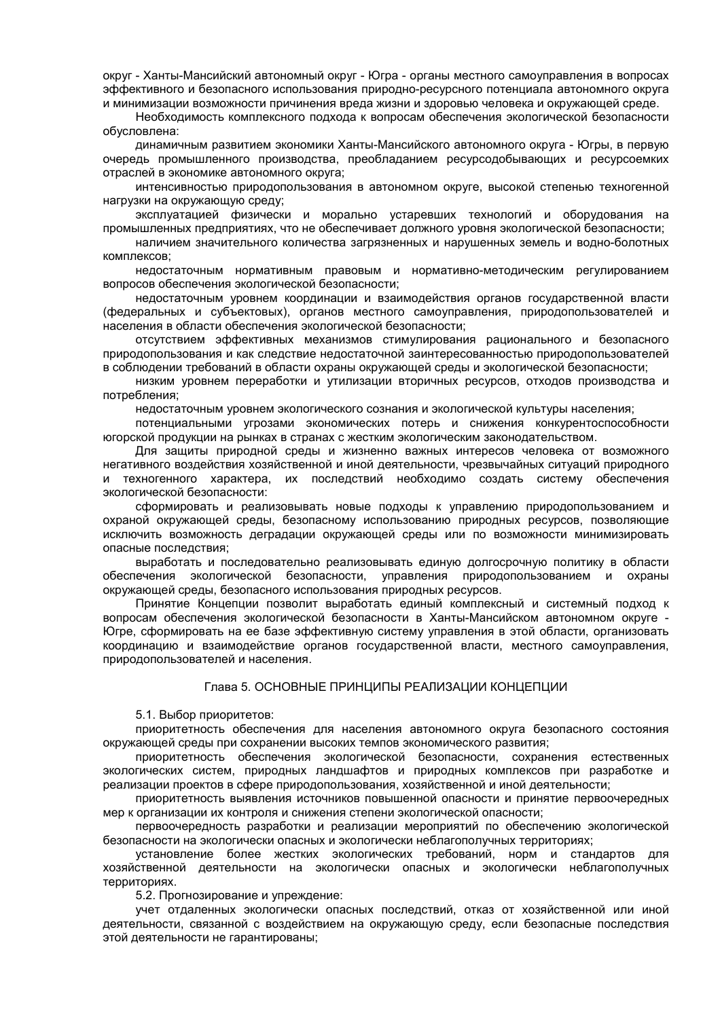округ - Ханты-Мансийский автономный округ - Югра - органы местного самоуправления в вопросах эффективного и безопасного использования природно-ресурсного потенциала автономного округа и минимизации возможности причинения вреда жизни и здоровью человека и окружающей среде.

Необходимость комплексного подхода к вопросам обеспечения экологической безопасности обусловлена:

динамичным развитием экономики Ханты-Мансийского автономного округа - Югры, в первую очередь промышленного производства, преобладанием ресурсодобывающих и ресурсоемких отраслей в экономике автономного округа;

интенсивностью природопользования в автономном округе, высокой степенью техногенной нагрузки на окружающую среду;

эксплуатацией физически и морально устаревших технологий и оборудования на промышленных предприятиях, что не обеспечивает должного уровня экологической безопасности;

наличием значительного количества загрязненных и нарушенных земель и водно-болотных комплексов;

недостаточным нормативным правовым и нормативно-методическим регулированием вопросов обеспечения экологической безопасности;

недостаточным уровнем координации и взаимодействия органов государственной власти (федеральных и субъектовых), органов местного самоуправления, природопользователей и населения в области обеспечения экологической безопасности:

отсутствием эффективных механизмов стимулирования рационального и безопасного природопользования и как следствие недостаточной заинтересованностью природопользователей в соблюдении требований в области охраны окружающей среды и экологической безопасности;

низким уровнем переработки и утилизации вторичных ресурсов, отходов производства и потребления:

недостаточным уровнем экологического сознания и экологической культуры населения;

потенциальными угрозами экономических потерь и снижения конкурентоспособности югорской продукции на рынках в странах с жестким экологическим законодательством.

Для защиты природной среды и жизненно важных интересов человека от возможного негативного воздействия хозяйственной и иной деятельности, чрезвычайных ситуаций природного и техногенного характера, их последствий необходимо создать систему обеспечения экологической безопасности:

сформировать и реализовывать новые подходы к управлению природопользованием и охраной окружающей среды, безопасному использованию природных ресурсов, позволяющие исключить возможность деградации окружающей среды или по возможности минимизировать опасные последствия;

выработать и последовательно реализовывать единую долгосрочную политику в области обеспечения экологической безопасности, управления природопользованием и охраны окружающей среды. безопасного использования природных ресурсов.

Принятие Концепции позволит выработать единый комплексный и системный подход к вопросам обеспечения экологической безопасности в Ханты-Мансийском автономном округе -Югре, сформировать на ее базе эффективную систему управления в этой области, организовать координацию и взаимодействие органов государственной власти, местного самоуправления, природопользователей и населения.

## Глава 5. ОСНОВНЫЕ ПРИНЦИПЫ РЕАЛИЗАЦИИ КОНЦЕПЦИИ

5.1. Выбор приоритетов:

приоритетность обеспечения для населения автономного округа безопасного состояния окружающей среды при сохранении высоких темпов экономического развития;

приоритетность обеспечения экологической безопасности, сохранения естественных экологических систем, природных ландшафтов и природных комплексов при разработке и реализации проектов в сфере природопользования, хозяйственной и иной деятельности;

приоритетность выявления источников повышенной опасности и принятие первоочередных мер к организации их контроля и снижения степени экологической опасности;

первоочередность разработки и реализации мероприятий по обеспечению экологической безопасности на экологически опасных и экологически неблагополучных территориях;

установление более жестких экологических требований, норм и стандартов для хозяйственной деятельности на экологически опасных и экологически неблагополучных территориях.

5.2. Прогнозирование и упреждение:

учет отдаленных экологически опасных последствий, отказ от хозяйственной или иной деятельности, связанной с воздействием на окружающую среду, если безопасные последствия этой деятельности не гарантированы;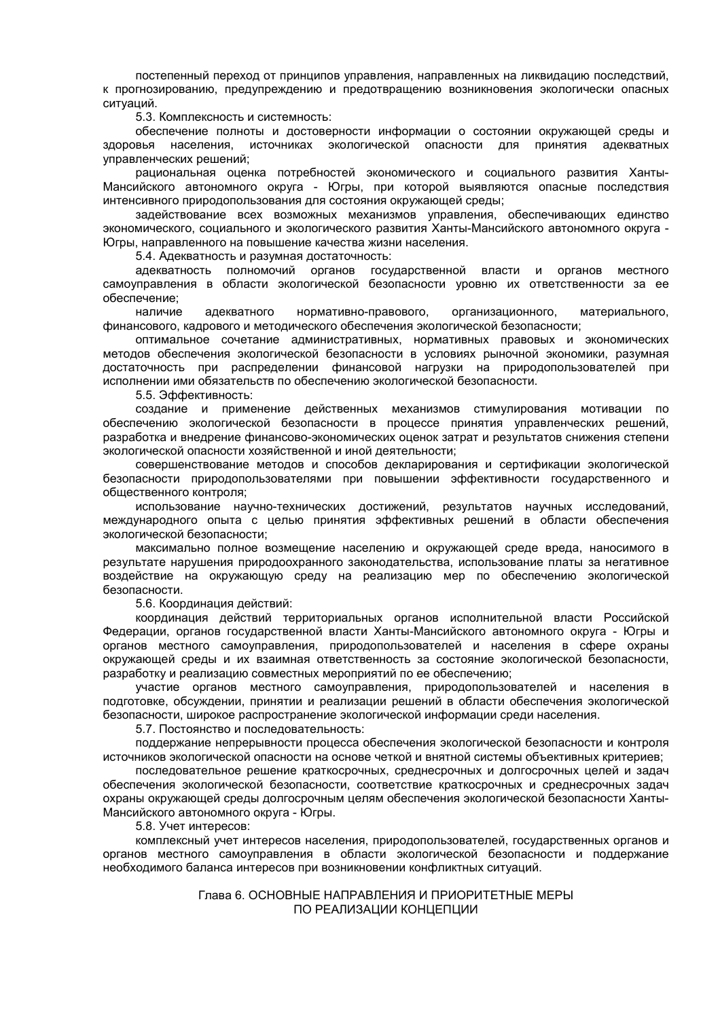постепенный переход от принципов управления, направленных на ликвидацию последствий, к прогнозированию, предупреждению и предотвращению возникновения экологически опасных ситуаций.

5.3. Комплексность и системность:

обеспечение полноты и достоверности информации о состоянии окружающей среды и здоровья населения. источниках экологической опасности для принятия адекватных управленческих решений:

рациональная оценка потребностей экономического и социального развития Ханты-Мансийского автономного округа - Югры, при которой выявляются опасные последствия интенсивного природопользования для состояния окружающей среды;

задействование всех возможных механизмов управления, обеспечивающих единство экономического, социального и экологического развития Ханты-Мансийского автономного округа -Югры, направленного на повышение качества жизни населения.

5.4. Адекватность и разумная достаточность:

адекватность полномочий органов государственной власти и органов местного самоуправления в области экологической безопасности уровню их ответственности за ее обеспечение;

наличие адекватного нормативно-правового, организационного, материального, финансового, кадрового и методического обеспечения экологической безопасности:

оптимальное сочетание административных, нормативных правовых и экономических методов обеспечения экологической безопасности в условиях рыночной экономики, разумная достаточность при распределении финансовой нагрузки на природопользователей при исполнении ими обязательств по обеспечению экологической безопасности.

5.5. Эффективность:

создание и применение действенных механизмов стимулирования мотивации по обеспечению экологической безопасности в процессе принятия управленческих решений, разработка и внедрение финансово-экономических оценок затрат и результатов снижения степени экологической опасности хозяйственной и иной деятельности;

совершенствование методов и способов декларирования и сертификации экологической безопасности природопользователями при повышении эффективности государственного и общественного контроля;

использование научно-технических достижений, результатов научных исследований, международного опыта с целью принятия эффективных решений в области обеспечения экологической безопасности;

максимально полное возмещение населению и окружающей среде вреда, наносимого в результате нарушения природоохранного законодательства, использование платы за негативное воздействие на окружающую среду на реализацию мер по обеспечению экологической безопасности.

5.6. Координация действий:

координация действий территориальных органов исполнительной власти Российской Федерации, органов государственной власти Ханты-Мансийского автономного округа - Югры и органов местного самоуправления, природопользователей и населения в сфере охраны окружающей среды и их взаимная ответственность за состояние экологической безопасности, разработку и реализацию совместных мероприятий по ее обеспечению:

участие органов местного самоуправления, природопользователей и населения в подготовке, обсуждении, принятии и реализации решений в области обеспечения экологической безопасности, широкое распространение экологической информации среди населения.

5.7. Постоянство и последовательность:

поддержание непрерывности процесса обеспечения экологической безопасности и контроля источников экологической опасности на основе четкой и внятной системы объективных критериев:

последовательное решение краткосрочных, среднесрочных и долгосрочных целей и задач обеспечения экологической безопасности, соответствие краткосрочных и среднесрочных задач охраны окружающей среды долгосрочным целям обеспечения экологической безопасности Ханты-Мансийского автономного округа - Югры.

5.8. Учет интересов:

комплексный учет интересов населения, природопользователей, государственных органов и органов местного самоуправления в области экологической безопасности и поддержание необходимого баланса интересов при возникновении конфликтных ситуаций.

> Глава 6. ОСНОВНЫЕ НАПРАВЛЕНИЯ И ПРИОРИТЕТНЫЕ МЕРЫ ПО РЕАЛИЗАЦИИ КОНЦЕПЦИИ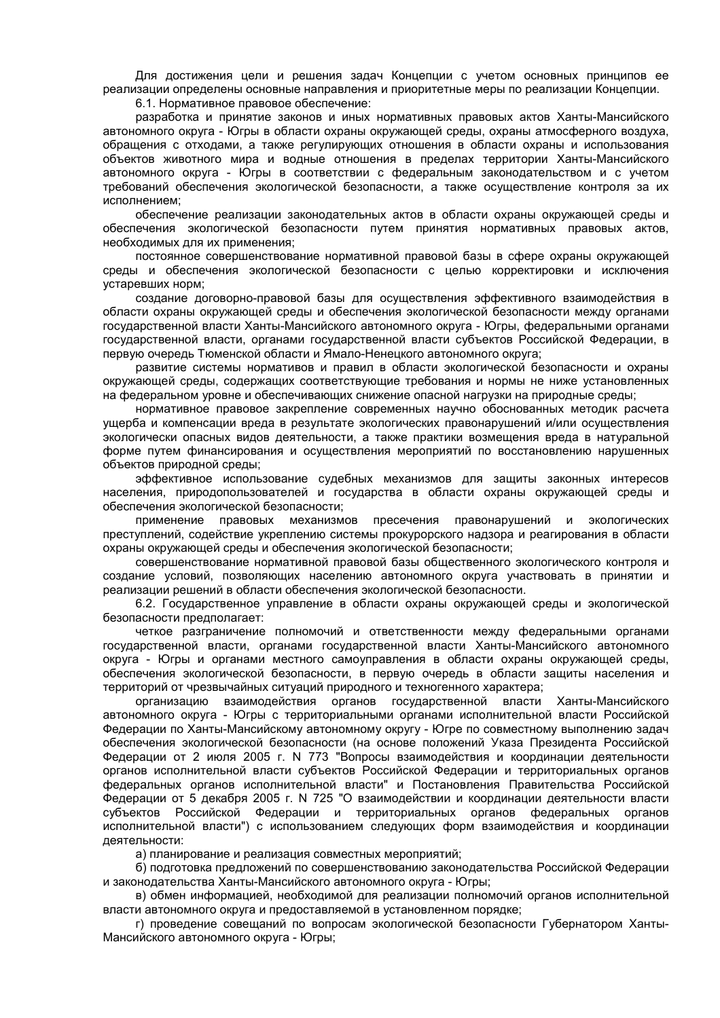Для достижения цели и решения задач Концепции с учетом основных принципов ее реализации определены основные направления и приоритетные меры по реализации Концепции.

6.1. Нормативное правовое обеспечение:

разработка и принятие законов и иных нормативных правовых актов Ханты-Мансийского автономного округа - Югры в области охраны окружающей среды, охраны атмосферного воздуха. обрашения с отходами, а также регулирующих отношения в области охраны и использования объектов животного мира и водные отношения в пределах территории Ханты-Мансийского автономного округа - Югры в соответствии с федеральным законодательством и с учетом требований обеспечения экологической безопасности, а также осуществление контроля за их исполнением:

обеспечение реализации законодательных актов в области охраны окружающей среды и обеспечения экологической безопасности путем принятия нормативных правовых актов, необходимых для их применения;

постоянное совершенствование нормативной правовой базы в сфере охраны окружающей среды и обеспечения экологической безопасности с целью корректировки и исключения устаревших норм;

создание договорно-правовой базы для осуществления эффективного взаимодействия в области охраны окружающей среды и обеспечения экологической безопасности между органами государственной власти Ханты-Мансийского автономного округа - Югры, федеральными органами государственной власти, органами государственной власти субъектов Российской Федерации, в первую очередь Тюменской области и Ямало-Ненецкого автономного округа:

развитие системы нормативов и правил в области экологической безопасности и охраны окружающей среды, содержащих соответствующие требования и нормы не ниже установленных на федеральном уровне и обеспечивающих снижение опасной нагрузки на природные среды;

нормативное правовое закрепление современных научно обоснованных методик расчета ущерба и компенсации вреда в результате экологических правонарушений и/или осуществления экологически опасных видов деятельности, а также практики возмещения вреда в натуральной форме путем финансирования и осуществления мероприятий по восстановлению нарушенных объектов природной среды;

эффективное использование судебных механизмов для защиты законных интересов населения, природопользователей и государства в области охраны окружающей среды и обеспечения экологической безопасности:

применение правовых механизмов пресечения правонарушений и экологических преступлений, содействие укреплению системы прокурорского надзора и реагирования в области охраны окружающей среды и обеспечения экологической безопасности;

совершенствование нормативной правовой базы общественного экологического контроля и создание условий, позволяющих населению автономного округа участвовать в принятии и реализации решений в области обеспечения экологической безопасности.

6.2. Государственное управление в области охраны окружающей среды и экологической безопасности предполагает:

четкое разграничение полномочий и ответственности между федеральными органами государственной власти, органами государственной власти Ханты-Мансийского автономного округа - Югры и органами местного самоуправления в области охраны окружающей среды, обеспечения экологической безопасности, в первую очередь в области защиты населения и территорий от чрезвычайных ситуаций природного и техногенного характера;

организацию взаимодействия органов государственной власти Ханты-Мансийского автономного округа - Югры с территориальными органами исполнительной власти Российской Федерации по Ханты-Мансийскому автономному округу - Югре по совместному выполнению задач обеспечения экологической безопасности (на основе положений Указа Президента Российской Федерации от 2 июля 2005 г. N 773 "Вопросы взаимодействия и координации деятельности органов исполнительной власти субъектов Российской Федерации и территориальных органов федеральных органов исполнительной власти" и Постановления Правительства Российской Федерации от 5 декабря 2005 г. N 725 "О взаимодействии и координации деятельности власти субъектов Российской Федерации и территориальных органов федеральных органов исполнительной власти") с использованием следующих форм взаимодействия и координации деятельности:

а) планирование и реализация совместных мероприятий;

б) подготовка предложений по совершенствованию законодательства Российской Федерации и законодательства Ханты-Мансийского автономного округа - Югры:

в) обмен информацией, необходимой для реализации полномочий органов исполнительной власти автономного округа и предоставляемой в установленном порядке:

г) проведение совешаний по вопросам экологической безопасности Губернатором Ханты-Мансийского автономного округа - Югры;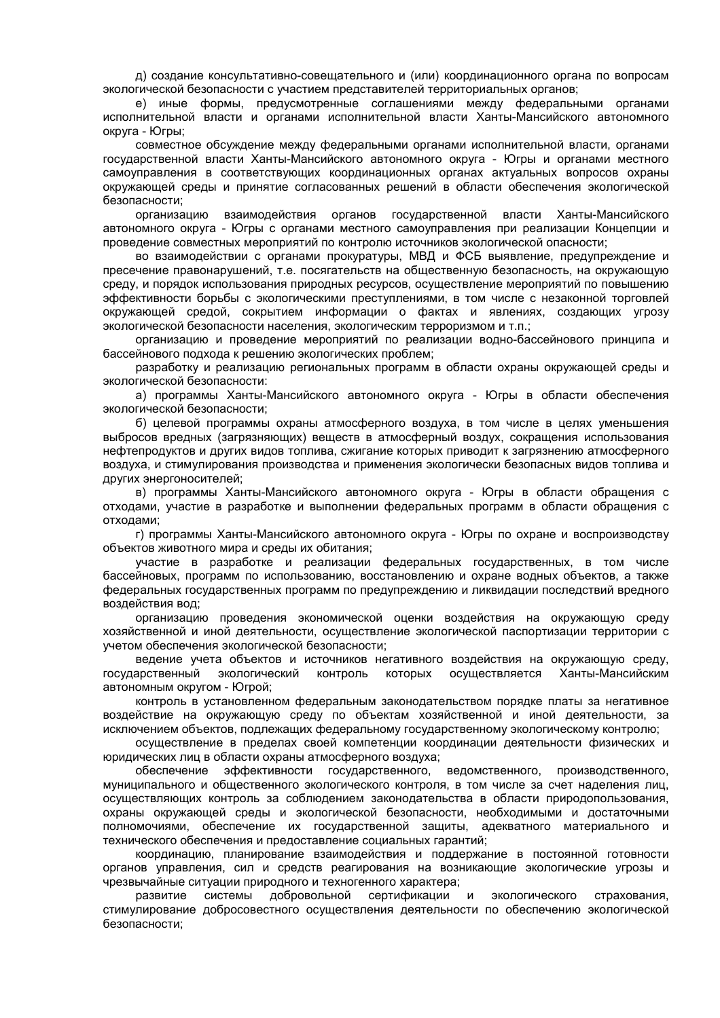д) создание консультативно-совещательного и (или) координационного органа по вопросам экологической безопасности с участием представителей территориальных органов;

е) иные формы, предусмотренные соглашениями между федеральными органами исполнительной власти и органами исполнительной власти Ханты-Мансийского автономного округа - Югры:

совместное обсуждение между федеральными органами исполнительной власти, органами государственной власти Ханты-Мансийского автономного округа - Югры и органами местного самоуправления в соответствующих координационных органах актуальных вопросов охраны окружающей среды и принятие согласованных решений в области обеспечения экологической безопасности:

организацию взаимодействия органов государственной власти Ханты-Мансийского автономного округа - Югры с органами местного самоуправления при реализации Концепции и проведение совместных мероприятий по контролю источников экологической опасности;

во взаимодействии с органами прокуратуры, МВД и ФСБ выявление, предупреждение и пресечение правонарушений, т.е. посягательств на общественную безопасность, на окружающую среду, и порядок использования природных ресурсов, осуществление мероприятий по повышению эффективности борьбы с экологическими преступлениями, в том числе с незаконной торговлей окружающей средой, сокрытием информации о фактах и явлениях, создающих угрозу экологической безопасности населения, экологическим терроризмом и т.п.:

организацию и проведение мероприятий по реализации водно-бассейнового принципа и бассейнового подхода к решению экологических проблем:

разработку и реализацию региональных программ в области охраны окружающей среды и экологической безопасности:

а) программы Ханты-Мансийского автономного округа - Югры в области обеспечения экологической безопасности;

б) целевой программы охраны атмосферного воздуха, в том числе в целях уменьшения выбросов вредных (загрязняющих) веществ в атмосферный воздух, сокращения использования нефтепродуктов и других видов топлива, сжигание которых приводит к загрязнению атмосферного воздуха, и стимулирования производства и применения экологически безопасных видов топлива и других энергоносителей:

в) программы Ханты-Мансийского автономного округа - Югры в области обращения с отходами, участие в разработке и выполнении федеральных программ в области обращения с отходами;

г) программы Ханты-Мансийского автономного округа - Югры по охране и воспроизводству объектов животного мира и среды их обитания;

участие в разработке и реализации федеральных государственных, в том числе бассейновых, программ по использованию, восстановлению и охране водных объектов, а также федеральных государственных программ по предупреждению и ликвидации последствий вредного воздействия вод:

организацию проведения экономической оценки воздействия на окружающую среду хозяйственной и иной деятельности, осуществление экологической паспортизации территории с учетом обеспечения экологической безопасности;

ведение учета объектов и источников негативного воздействия на окружающую среду, экологический государственный которых осуществляется контроль Ханты-Мансийским автономным округом - Югрой;

контроль в установленном федеральным законодательством порядке платы за негативное воздействие на окружающую среду по объектам хозяйственной и иной деятельности, за исключением объектов, подлежащих федеральному государственному экологическому контролю;

осуществление в пределах своей компетенции координации деятельности физических и юридических лиц в области охраны атмосферного воздуха:

обеспечение эффективности государственного, ведомственного, производственного, муниципального и общественного экологического контроля, в том числе за счет наделения лиц, осуществляющих контроль за соблюдением законодательства в области природопользования, охраны окружающей среды и экологической безопасности, необходимыми и достаточными полномочиями, обеспечение их государственной защиты, адекватного материального и технического обеспечения и предоставление социальных гарантий;

координацию, планирование взаимодействия и поддержание в постоянной готовности органов управления, сил и средств реагирования на возникающие экологические угрозы и чрезвычайные ситуации природного и техногенного характера:

развитие системы добровольной сертификации и экологического страхования. стимулирование добросовестного осуществления деятельности по обеспечению экологической безопасности: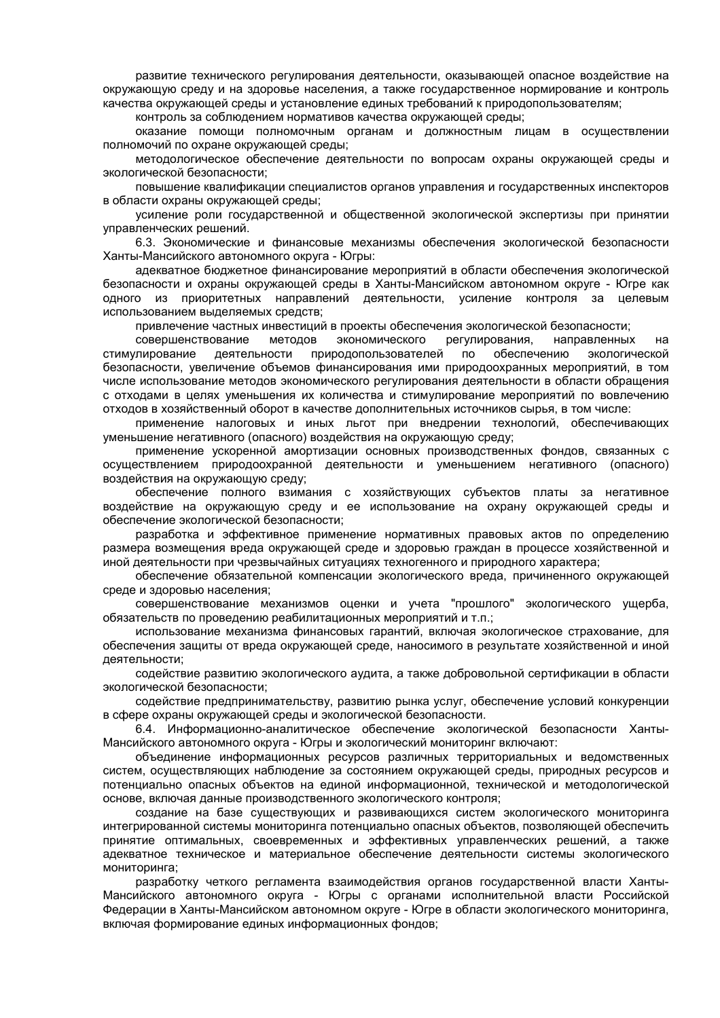развитие технического регулирования деятельности, оказывающей опасное воздействие на окружающую среду и на здоровье населения, а также государственное нормирование и контроль качества окружающей среды и установление единых требований к природопользователям;

контроль за соблюдением нормативов качества окружающей среды;

оказание помощи полномочным органам и должностным лицам в осуществлении полномочий по охране окружающей среды:

методологическое обеспечение деятельности по вопросам охраны окружающей среды и экологической безопасности;

повышение квалификации специалистов органов управления и государственных инспекторов в области охраны окружающей среды;

усиление роли государственной и общественной экологической экспертизы при принятии управленческих решений.

6.3. Экономические и финансовые механизмы обеспечения экологической безопасности Ханты-Мансийского автономного округа - Югры:

адекватное бюджетное финансирование мероприятий в области обеспечения экологической безопасности и охраны окружающей среды в Ханты-Мансийском автономном округе - Югре как одного из приоритетных направлений деятельности, усиление контроля за целевым использованием выделяемых средств;

привлечение частных инвестиций в проекты обеспечения экологической безопасности:

совершенствование метолов экономического регулирования. направленных на стимулирование деятельности природопользователей  $\overline{a}$ обеспечению экологической безопасности, увеличение объемов финансирования ими природоохранных мероприятий, в том числе использование методов экономического регулирования деятельности в области обращения с отходами в целях уменьшения их количества и стимулирование мероприятий по вовлечению отходов в хозяйственный оборот в качестве дополнительных источников сырья, в том числе:

применение налоговых и иных льгот при внедрении технологий, обеспечивающих уменьшение негативного (опасного) воздействия на окружающую среду;

применение ускоренной амортизации основных производственных фондов, связанных с осуществлением природоохранной деятельности и уменьшением негативного (опасного) воздействия на окружающую среду;

обеспечение полного взимания с хозяйствующих субъектов платы за негативное воздействие на окружающую среду и ее использование на охрану окружающей среды и обеспечение экологической безопасности;

разработка и эффективное применение нормативных правовых актов по определению размера возмещения вреда окружающей среде и здоровью граждан в процессе хозяйственной и иной деятельности при чрезвычайных ситуациях техногенного и природного характера;

обеспечение обязательной компенсации экологического вреда, причиненного окружающей среде и здоровью населения:

совершенствование механизмов оценки и учета "прошлого" экологического ущерба, обязательств по проведению реабилитационных мероприятий и т.п.;

использование механизма финансовых гарантий, включая экологическое страхование, для обеспечения защиты от вреда окружающей среде, наносимого в результате хозяйственной и иной деятельности;

содействие развитию экологического аудита, а также добровольной сертификации в области экологической безопасности;

содействие предпринимательству, развитию рынка услуг, обеспечение условий конкуренции в сфере охраны окружающей среды и экологической безопасности.

6.4. Информационно-аналитическое обеспечение экологической безопасности Ханты-Мансийского автономного округа - Югры и экологический мониторинг включают:

объединение информационных ресурсов различных территориальных и ведомственных систем, осуществляющих наблюдение за состоянием окружающей среды, природных ресурсов и потенциально опасных объектов на единой информационной, технической и методологической основе, включая данные производственного экологического контроля;

создание на базе существующих и развивающихся систем экологического мониторинга интегрированной системы мониторинга потенциально опасных объектов, позволяющей обеспечить принятие оптимальных, своевременных и эффективных управленческих решений, а также адекватное техническое и материальное обеспечение деятельности системы экологического мониторинга;

разработку четкого регламента взаимодействия органов государственной власти Ханты-Мансийского автономного округа - Югры с органами исполнительной власти Российской Федерации в Ханты-Мансийском автономном округе - Югре в области экологического мониторинга, включая формирование единых информационных фондов: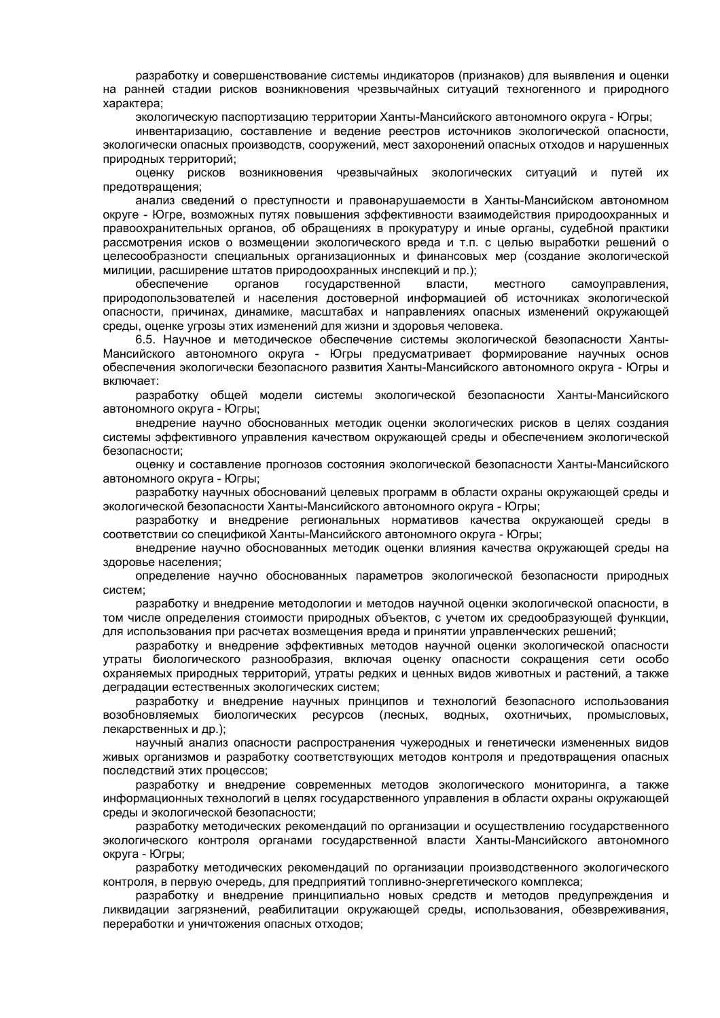разработку и совершенствование системы индикаторов (признаков) для выявления и оценки на ранней стадии рисков возникновения чрезвычайных ситуаций техногенного и природного характера:

экологическую паспортизацию территории Ханты-Мансийского автономного округа - Югры;

инвентаризацию, составление и ведение реестров источников экологической опасности, экологически опасных производств, сооружений, мест захоронений опасных отходов и нарушенных природных территорий;

оценку рисков возникновения чрезвычайных экологических ситуаций и путей их предотвращения;

анализ сведений о преступности и правонарушаемости в Ханты-Мансийском автономном округе - Югре, возможных путях повышения эффективности взаимодействия природоохранных и правоохранительных органов, об обращениях в прокуратуру и иные органы, судебной практики рассмотрения исков о возмещении экологического вреда и т.п. с целью выработки решений о целесообразности специальных организационных и финансовых мер (создание экологической милиции, расширение штатов природоохранных инспекций и пр.);

обеспечение органов государственной власти, местного самоуправления, природопользователей и населения достоверной информацией об источниках экологической опасности, причинах, динамике, масштабах и направлениях опасных изменений окружающей среды, оценке угрозы этих изменений для жизни и здоровья человека.

6.5. Научное и методическое обеспечение системы экологической безопасности Ханты-Мансийского автономного округа - Югры предусматривает формирование научных основ обеспечения экологически безопасного развития Ханты-Мансийского автономного округа - Югры и включает:

разработку общей модели системы экологической безопасности Ханты-Мансийского автономного округа - Югры;

внедрение научно обоснованных методик оценки экологических рисков в целях создания системы эффективного управления качеством окружающей среды и обеспечением экологической безопасности:

оценку и составление прогнозов состояния экологической безопасности Ханты-Мансийского автономного округа - Югры:

разработку научных обоснований целевых программ в области охраны окружающей среды и экологической безопасности Ханты-Мансийского автономного округа - Югры:

разработку и внедрение региональных нормативов качества окружающей среды в соответствии со спецификой Ханты-Мансийского автономного округа - Югры;

внедрение научно обоснованных методик оценки влияния качества окружающей среды на здоровье населения;

определение научно обоснованных параметров экологической безопасности природных систем:

разработку и внедрение методологии и методов научной оценки экологической опасности, в том числе определения стоимости природных объектов, с учетом их средообразующей функции, для использования при расчетах возмешения вреда и принятии управленческих решений:

разработку и внедрение эффективных методов научной оценки экологической опасности утраты биологического разнообразия, включая оценку опасности сокращения сети особо охраняемых природных территорий, утраты редких и ценных видов животных и растений, а также деградации естественных экологических систем;

разработку и внедрение научных принципов и технологий безопасного использования возобновляемых биологических ресурсов (лесных, водных, охотничьих, промысловых, лекарственных и др.);

научный анализ опасности распространения чужеродных и генетически измененных видов живых организмов и разработку соответствующих методов контроля и предотвращения опасных последствий этих процессов;

разработку и внедрение современных методов экологического мониторинга, а также информационных технологий в целях государственного управления в области охраны окружающей среды и экологической безопасности;

разработку методических рекомендаций по организации и осуществлению государственного экологического контроля органами государственной власти Ханты-Мансийского автономного округа - Югры:

разработку методических рекомендаций по организации производственного экологического контроля, в первую очередь, для предприятий топливно-энергетического комплекса;

разработку и внедрение принципиально новых средств и методов предупреждения и ликвидации загрязнений, реабилитации окружающей среды, использования, обезвреживания, переработки и уничтожения опасных отходов: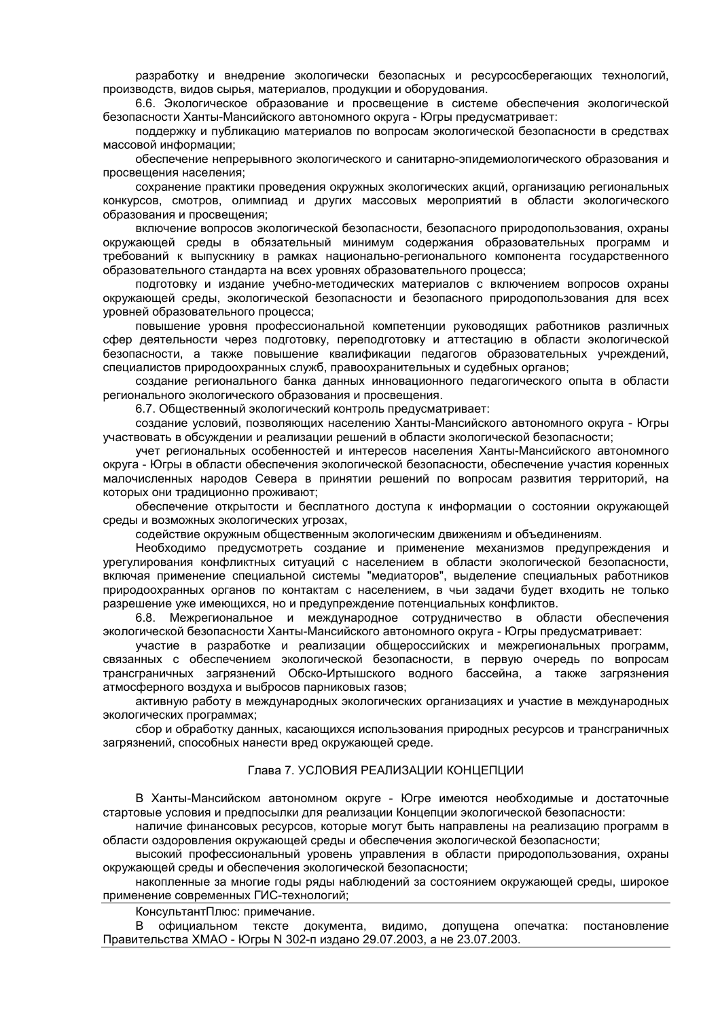разработку и внедрение экологически безопасных и ресурсосберегающих технологий, производств, видов сырья, материалов, продукции и оборудования.

6.6. Экологическое образование и просвещение в системе обеспечения экологической безопасности Ханты-Мансийского автономного округа - Югры предусматривает:

поддержку и публикацию материалов по вопросам экологической безопасности в средствах массовой информации:

обеспечение непрерывного экологического и санитарно-эпидемиологического образования и просвещения населения;

сохранение практики проведения окружных экологических акций, организацию региональных конкурсов, смотров, олимпиад и других массовых мероприятий в области экологического образования и просвешения:

включение вопросов экологической безопасности, безопасного природопользования, охраны окружающей среды в обязательный минимум содержания образовательных программ и требований к выпускнику в рамках национально-регионального компонента государственного образовательного стандарта на всех уровнях образовательного процесса;

подготовку и издание учебно-методических материалов с включением вопросов охраны окружающей среды, экологической безопасности и безопасного природопользования для всех уровней образовательного процесса;

повышение уровня профессиональной компетенции руководящих работников различных сфер деятельности через подготовку, переподготовку и аттестацию в области экологической безопасности, а также повышение квалификации педагогов образовательных учреждений, специалистов природоохранных служб, правоохранительных и судебных органов;

создание регионального банка данных инновационного педагогического опыта в области регионального экологического образования и просвещения.

6.7. Общественный экологический контроль предусматривает:

создание условий, позволяющих населению Ханты-Мансийского автономного округа - Югры участвовать в обсуждении и реализации решений в области экологической безопасности;

учет региональных особенностей и интересов населения Ханты-Мансийского автономного округа - Югры в области обеспечения экологической безопасности, обеспечение участия коренных малочисленных народов Севера в принятии решений по вопросам развития территорий, на которых они традиционно проживают;

обеспечение открытости и бесплатного доступа к информации о состоянии окружающей среды и возможных экологических угрозах,

содействие окружным общественным экологическим движениям и объединениям.

Необходимо предусмотреть создание и применение механизмов предупреждения и урегулирования конфликтных ситуаций с населением в области экологической безопасности, включая применение специальной системы "медиаторов", выделение специальных работников природоохранных органов по контактам с населением, в чьи задачи будет входить не только разрешение уже имеющихся, но и предупреждение потенциальных конфликтов.

6.8. Межрегиональное и международное сотрудничество в области обеспечения экологической безопасности Ханты-Мансийского автономного округа - Югры предусматривает:

участие в разработке и реализации общероссийских и межрегиональных программ, связанных с обеспечением экологической безопасности, в первую очередь по вопросам трансграничных загрязнений Обско-Иртышского водного бассейна, а также загрязнения атмосферного воздуха и выбросов парниковых газов;

активную работу в международных экологических организациях и участие в международных экологических программах:

сбор и обработку данных, касающихся использования природных ресурсов и трансграничных загрязнений, способных нанести вред окружающей среде.

# Глава 7. УСЛОВИЯ РЕАЛИЗАЦИИ КОНЦЕПЦИИ

В Ханты-Мансийском автономном округе - Югре имеются необходимые и достаточные стартовые условия и предпосылки для реализации Концепции экологической безопасности:

наличие финансовых ресурсов, которые могут быть направлены на реализацию программ в области оздоровления окружающей среды и обеспечения экологической безопасности;

высокий профессиональный уровень управления в области природопользования, охраны окружающей среды и обеспечения экологической безопасности;

накопленные за многие годы ряды наблюдений за состоянием окружающей среды, широкое применение современных ГИС-технологий;

КонсультантПлюс: примечание.

B официальном тексте документа, видимо, допущена опечатка: постановление Правительства ХМАО - Югры N 302-п издано 29.07.2003, а не 23.07.2003.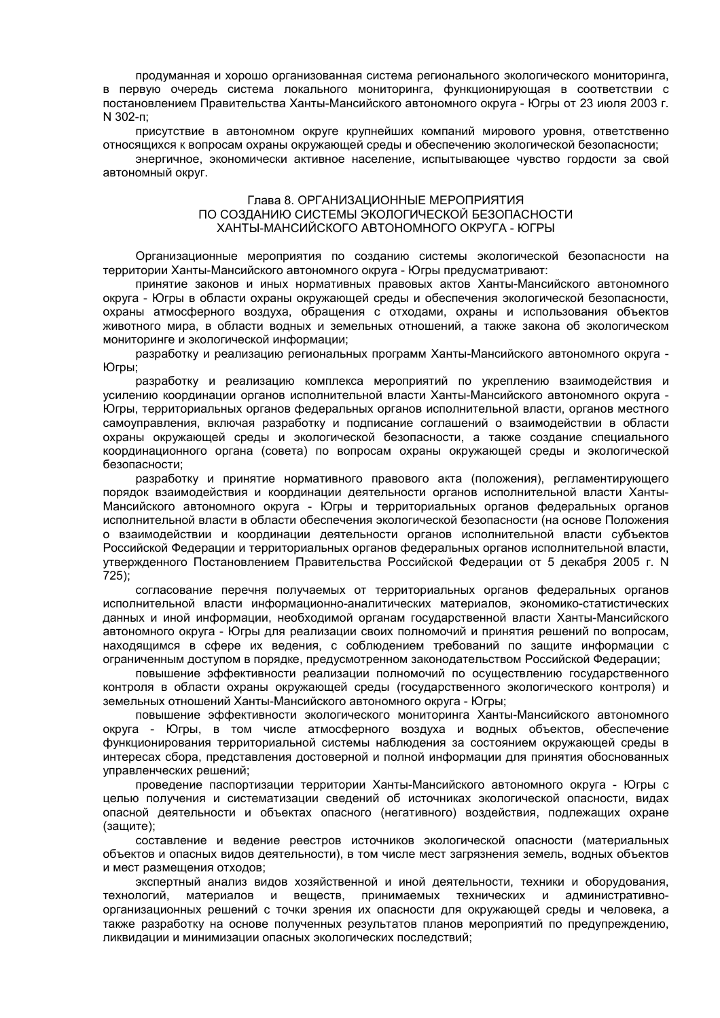продуманная и хорошо организованная система регионального экологического мониторинга. в первую очередь система локального мониторинга, функционирующая в соответствии с постановлением Правительства Ханты-Мансийского автономного округа - Югры от 23 июля 2003 г.  $N$  302-n:

присутствие в автономном округе крупнейших компаний мирового уровня, ответственно относящихся к вопросам охраны окружающей среды и обеспечению экологической безопасности:

энергичное, экономически активное население, испытывающее чувство гордости за свой автономный округ.

## Глава 8. ОРГАНИЗАЦИОННЫЕ МЕРОПРИЯТИЯ ПО СОЗЛАНИЮ СИСТЕМЫ ЭКОЛОГИЧЕСКОЙ БЕЗОПАСНОСТИ ХАНТЫ-МАНСИЙСКОГО АВТОНОМНОГО ОКРУГА - ЮГРЫ

Организационные мероприятия по созданию системы экологической безопасности на территории Ханты-Мансийского автономного округа - Югры предусматривают:

принятие законов и иных нормативных правовых актов Ханты-Мансийского автономного округа - Югры в области охраны окружающей среды и обеспечения экологической безопасности, охраны атмосферного воздуха, обращения с отходами, охраны и использования объектов животного мира, в области водных и земельных отношений, а также закона об экологическом мониторинге и экологической информации:

разработку и реализацию региональных программ Ханты-Мансийского автономного округа -Югры<sup>.</sup>

разработку и реализацию комплекса мероприятий по укреплению взаимодействия и усилению координации органов исполнительной власти Ханты-Мансийского автономного округа -Югры, территориальных органов федеральных органов исполнительной власти, органов местного самоуправления, включая разработку и подписание соглашений о взаимодействии в области охраны окружающей среды и экологической безопасности, а также создание специального координационного органа (совета) по вопросам охраны окружающей среды и экологической безопасности;

разработку и принятие нормативного правового акта (положения), регламентирующего порядок взаимодействия и координации деятельности органов исполнительной власти Ханты-Мансийского автономного округа - Югры и территориальных органов федеральных органов исполнительной власти в области обеспечения экологической безопасности (на основе Положения о взаимодействии и координации деятельности органов исполнительной власти субъектов Российской Федерации и территориальных органов федеральных органов исполнительной власти, утвержденного Постановлением Правительства Российской Федерации от 5 декабря 2005 г. N  $725;$ 

согласование перечня получаемых от территориальных органов федеральных органов исполнительной власти информационно-аналитических материалов, экономико-статистических данных и иной информации, необходимой органам государственной власти Ханты-Мансийского автономного округа - Югры для реализации своих полномочий и принятия решений по вопросам. находящимся в сфере их ведения, с соблюдением требований по защите информации с ограниченным доступом в порядке, предусмотренном законодательством Российской Федерации;

повышение эффективности реализации полномочий по осуществлению государственного контроля в области охраны окружающей среды (государственного экологического контроля) и земельных отношений Ханты-Мансийского автономного округа - Югры;

повышение эффективности экологического мониторинга Ханты-Мансийского автономного округа - Югры, в том числе атмосферного воздуха и водных объектов, обеспечение функционирования территориальной системы наблюдения за состоянием окружающей среды в интересах сбора, представления достоверной и полной информации для принятия обоснованных управленческих решений;

проведение паспортизации территории Ханты-Мансийского автономного округа - Югры с целью получения и систематизации сведений об источниках экологической опасности, видах опасной деятельности и объектах опасного (негативного) воздействия, подлежащих охране (защите);

составление и ведение реестров источников экологической опасности (материальных объектов и опасных видов деятельности), в том числе мест загрязнения земель, водных объектов и мест размещения отходов;

экспертный анализ видов хозяйственной и иной деятельности, техники и оборудования, технологий, материалов и веществ, принимаемых технических и административноорганизационных решений с точки зрения их опасности для окружающей среды и человека, а также разработку на основе полученных результатов планов мероприятий по предупреждению. ликвидации и минимизации опасных экологических последствий;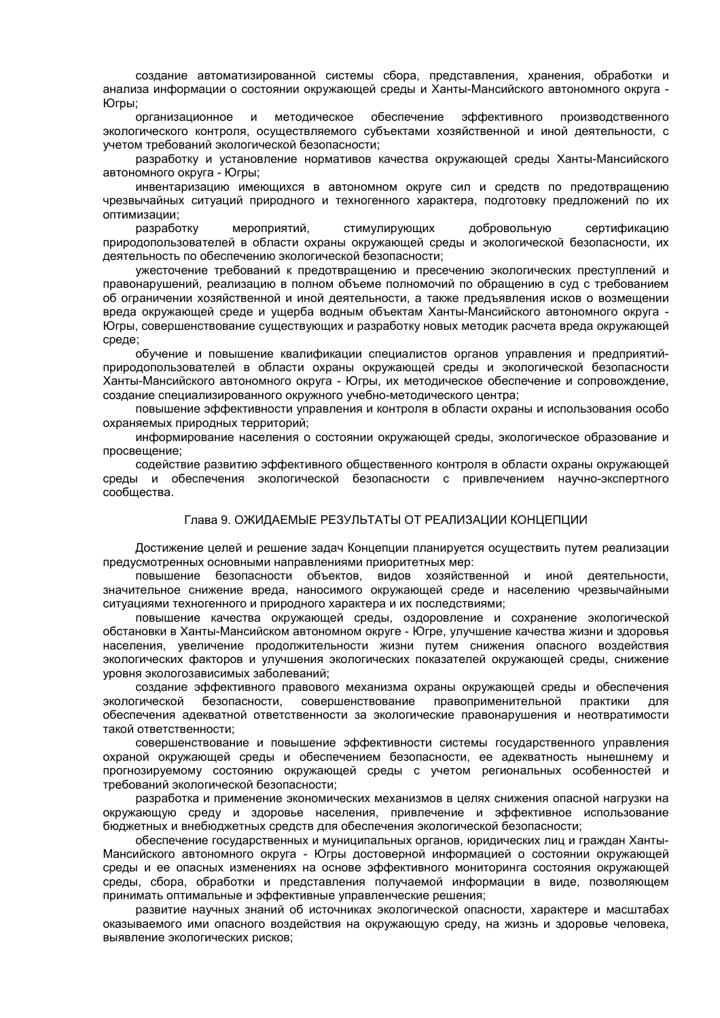создание автоматизированной системы сбора, представления, хранения, обработки и анализа информации о состоянии окружающей среды и Ханты-Мансийского автономного округа -Югры;

организационное и методическое обеспечение эффективного производственного экологического контроля, осуществляемого субъектами хозяйственной и иной деятельности, с учетом требований экологической безопасности:

разработку и установление нормативов качества окружающей среды Ханты-Мансийского автономного округа - Югры;

инвентаризацию имеющихся в автономном округе сил и средств по предотвращению чрезвычайных ситуаций природного и техногенного характера, подготовку предложений по их оптимизации:

добровольную разработку мероприятий, стимулирующих сертификацию природопользователей в области охраны окружающей среды и экологической безопасности, их деятельность по обеспечению экологической безопасности;

ужесточение требований к предотвращению и пресечению экологических преступлений и правонарушений, реализацию в полном объеме полномочий по обращению в суд с требованием об ограничении хозяйственной и иной деятельности, а также предъявления исков о возмещении вреда окружающей среде и ущерба водным объектам Ханты-Мансийского автономного округа -Югры, совершенствование существующих и разработку новых методик расчета вреда окружающей среде:

обучение и повышение квалификации специалистов органов управления и предприятийприродопользователей в области охраны окружающей среды и экологической безопасности Ханты-Мансийского автономного округа - Югры, их методическое обеспечение и сопровождение, создание специализированного окружного учебно-методического центра;

повышение эффективности управления и контроля в области охраны и использования особо охраняемых природных территорий:

информирование населения о состоянии окружающей среды, экологическое образование и просвешение:

содействие развитию эффективного общественного контроля в области охраны окружающей среды и обеспечения экологической безопасности с привлечением научно-экспертного сообщества.

## Глава 9. ОЖИДАЕМЫЕ РЕЗУЛЬТАТЫ ОТ РЕАЛИЗАЦИИ КОНЦЕПЦИИ

Достижение целей и решение задач Концепции планируется осуществить путем реализации предусмотренных основными направлениями приоритетных мер:

повышение безопасности объектов, видов хозяйственной и иной деятельности, значительное снижение вреда, наносимого окружающей среде и населению чрезвычайными ситуациями техногенного и природного характера и их последствиями:

повышение качества окружающей среды, оздоровление и сохранение экологической обстановки в Ханты-Мансийском автономном округе - Югре, улучшение качества жизни и здоровья населения, увеличение продолжительности жизни путем снижения опасного воздействия экологических факторов и улучшения экологических показателей окружающей среды, снижение уровня экологозависимых заболеваний:

создание эффективного правового механизма охраны окружающей среды и обеспечения экологической безопасности, совершенствование правоприменительной практики для обеспечения адекватной ответственности за экологические правонарушения и неотвратимости такой ответственности;

совершенствование и повышение эффективности системы государственного управления охраной окружающей среды и обеспечением безопасности, ее адекватность нынешнему и прогнозируемому состоянию окружающей среды с учетом региональных особенностей и требований экологической безопасности;

разработка и применение экономических механизмов в целях снижения опасной нагрузки на окружающую среду и здоровье населения, привлечение и эффективное использование бюджетных и внебюджетных средств для обеспечения экологической безопасности;

обеспечение государственных и муниципальных органов, юридических лиц и граждан Ханты-Мансийского автономного округа - Югры достоверной информацией о состоянии окружающей среды и ее опасных изменениях на основе эффективного мониторинга состояния окружающей среды, сбора, обработки и представления получаемой информации в виде, позволяющем принимать оптимальные и эффективные управленческие решения:

развитие научных знаний об источниках экологической опасности, характере и масштабах оказываемого ими опасного воздействия на окружающую среду, на жизнь и здоровье человека. выявление экологических рисков;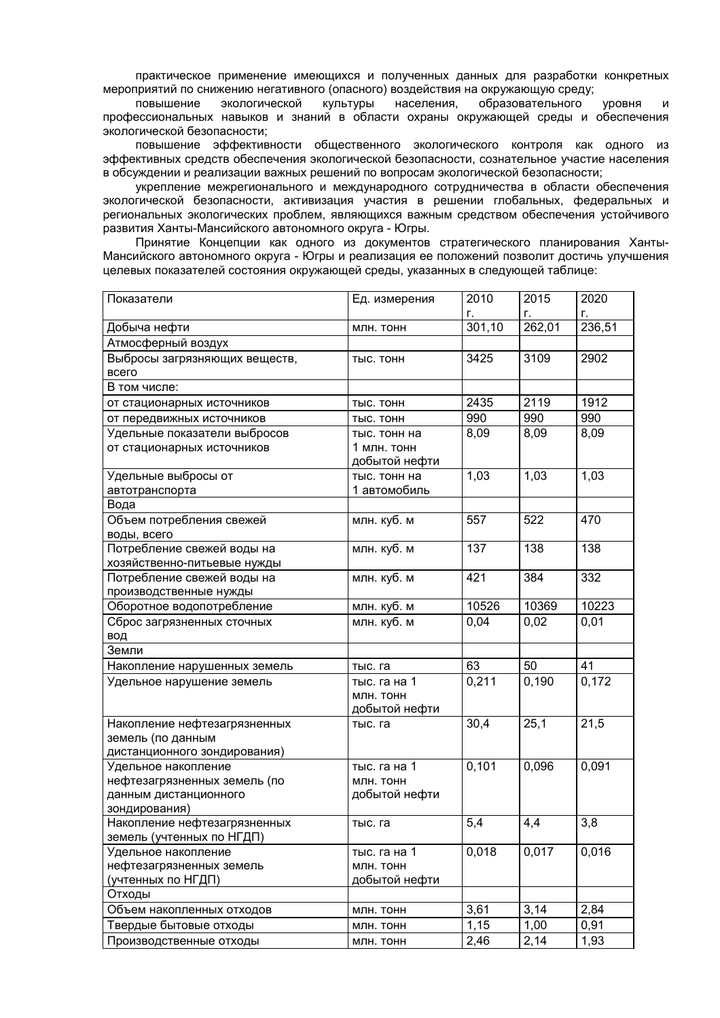практическое применение имеющихся и полученных данных для разработки конкретных мероприятий по снижению негативного (опасного) воздействия на окружающую среду;

повышение экологической культуры населения, образовательного уровня и профессиональных навыков и знаний в области охраны окружающей среды и обеспечения экологической безопасности:

повышение эффективности общественного экологического контроля как одного из эффективных средств обеспечения экологической безопасности, сознательное участие населения в обсуждении и реализации важных решений по вопросам экологической безопасности;

укрепление межрегионального и международного сотрудничества в области обеспечения экологической безопасности, активизация участия в решении глобальных, федеральных и региональных экологических проблем, являющихся важным средством обеспечения устойчивого развития Ханты-Мансийского автономного округа - Югры.

Принятие Концепции как одного из документов стратегического планирования Ханты-Мансийского автономного округа - Югры и реализация ее положений позволит достичь улучшения целевых показателей состояния окружающей среды, указанных в следующей таблице:

| Показатели                                       | Ед. измерения             | 2010<br>г. | 2015<br>г. | 2020<br>г. |
|--------------------------------------------------|---------------------------|------------|------------|------------|
| Добыча нефти                                     | МЛН. ТОНН                 | 301,10     | 262,01     | 236,51     |
| Атмосферный воздух                               |                           |            |            |            |
| Выбросы загрязняющих веществ,                    | тыс. тонн                 | 3425       | 3109       | 2902       |
| всего                                            |                           |            |            |            |
| В том числе:                                     |                           |            |            |            |
| от стационарных источников                       | тыс. тонн                 | 2435       | 2119       | 1912       |
| от передвижных источников                        | тыс. тонн                 | 990        | 990        | 990        |
| Удельные показатели выбросов                     | тыс. тонн на              | 8,09       | 8,09       | 8,09       |
| от стационарных источников                       | 1 млн. тонн               |            |            |            |
|                                                  | добытой нефти             |            |            |            |
| Удельные выбросы от                              | тыс. тонн на              | 1,03       | 1,03       | 1,03       |
| автотранспорта                                   | 1 автомобиль              |            |            |            |
| Вода                                             |                           | 557        | 522        | 470        |
| Объем потребления свежей<br>воды, всего          | млн. куб. м               |            |            |            |
| Потребление свежей воды на                       | млн. куб. м               | 137        | 138        | 138        |
| хозяйственно-питьевые нужды                      |                           |            |            |            |
| Потребление свежей воды на                       | млн. куб. м               | 421        | 384        | 332        |
| производственные нужды                           |                           |            |            |            |
| Оборотное водопотребление                        | млн. куб. м               | 10526      | 10369      | 10223      |
| Сброс загрязненных сточных                       | млн. куб. м               | 0,04       | 0,02       | 0,01       |
| вод<br>Земли                                     |                           |            |            |            |
|                                                  | тыс. га                   | 63         | 50         | 41         |
| Накопление нарушенных земель                     |                           | 0,211      | 0,190      | 0,172      |
| Удельное нарушение земель                        | тыс. га на 1<br>МЛН. ТОНН |            |            |            |
|                                                  | добытой нефти             |            |            |            |
| Накопление нефтезагрязненных                     | тыс. га                   | 30,4       | 25,1       | 21,5       |
| земель (по данным                                |                           |            |            |            |
| дистанционного зондирования)                     |                           |            |            |            |
| Удельное накопление                              | тыс. га на 1              | 0,101      | 0,096      | 0,091      |
| нефтезагрязненных земель (по                     | МЛН. ТОНН                 |            |            |            |
| данным дистанционного                            | добытой нефти             |            |            |            |
| зондирования)                                    |                           |            |            |            |
| Накопление нефтезагрязненных                     | тыс. га                   | 5,4        | 4,4        | 3,8        |
| земель (учтенных по НГДП)<br>Удельное накопление | тыс. га на 1              | 0,018      | 0,017      | 0,016      |
| нефтезагрязненных земель                         | МЛН. ТОНН                 |            |            |            |
| (учтенных по НГДП)                               | добытой нефти             |            |            |            |
| Отходы                                           |                           |            |            |            |
| Объем накопленных отходов                        | МЛН. ТОНН                 | 3,61       | 3,14       | 2,84       |
| Твердые бытовые отходы                           | МЛН. ТОНН                 | 1,15       | 1,00       | 0,91       |
| Производственные отходы                          | МЛН. ТОНН                 | 2,46       | 2,14       | 1,93       |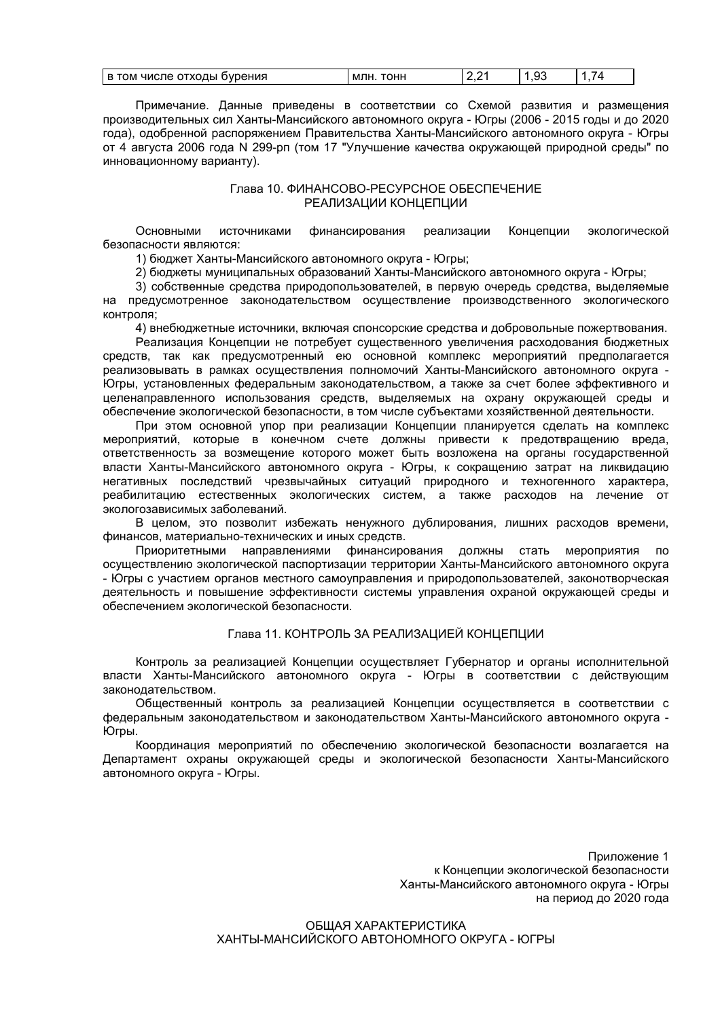| в том числе отходы бурения  <br>тонн<br>млн. | ົົ<br>- - - | r.<br>ن 7. |  |
|----------------------------------------------|-------------|------------|--|
|----------------------------------------------|-------------|------------|--|

Примечание. Данные приведены в соответствии со Схемой развития и размещения производительных сил Ханты-Мансийского автономного округа - Югры (2006 - 2015 годы и до 2020 года), одобренной распоряжением Правительства Ханты-Мансийского автономного округа - Югры от 4 августа 2006 года N 299-рп (том 17 "Улучшение качества окружающей природной среды" по инновационному варианту).

# Глава 10. ФИНАНСОВО-РЕСУРСНОЕ ОБЕСПЕЧЕНИЕ РЕАЛИЗАЦИИ КОНЦЕПЦИИ

Основными источниками финансирования реализации Концепции экологической безопасности являются:

1) бюджет Ханты-Мансийского автономного округа - Югры;

2) бюджеты муниципальных образований Ханты-Мансийского автономного округа - Югры:

3) собственные средства природопользователей, в первую очередь средства, выделяемые на предусмотренное законодательством осуществление производственного экологического  $KOH$ <sup>TDO</sup> $IR$ 

4) внебюджетные источники, включая спонсорские средства и добровольные пожертвования.

Реализация Концепции не потребует существенного увеличения расходования бюджетных средств, так как предусмотренный ею основной комплекс мероприятий предполагается реализовывать в рамках осуществления полномочий Ханты-Мансийского автономного округа -Югры, установленных федеральным законодательством, а также за счет более эффективного и целенаправленного использования средств, выделяемых на охрану окружающей среды и обеспечение экологической безопасности, в том числе субъектами хозяйственной деятельности.

При этом основной упор при реализации Концепции планируется сделать на комплекс мероприятий, которые в конечном счете должны привести к предотвращению вреда, ответственность за возмещение которого может быть возложена на органы государственной власти Ханты-Мансийского автономного округа - Югры, к сокращению затрат на ликвидацию негативных последствий чрезвычайных ситуаций природного и техногенного характера, реабилитацию естественных экологических систем, а также расходов на лечение от экологозависимых заболеваний.

В целом, это позволит избежать ненужного дублирования, лишних расходов времени, финансов, материально-технических и иных средств.

Приоритетными направлениями финансирования должны стать мероприятия по осуществлению экологической паспортизации территории Ханты-Мансийского автономного округа - Югры с участием органов местного самоуправления и природопользователей, законотворческая деятельность и повышение эффективности системы управления охраной окружающей среды и обеспечением экологической безопасности.

# Глава 11. КОНТРОЛЬ ЗА РЕАЛИЗАЦИЕЙ КОНЦЕПЦИИ

Контроль за реализацией Концепции осуществляет Губернатор и органы исполнительной власти Ханты-Мансийского автономного округа - Югры в соответствии с действующим законодательством

Общественный контроль за реализацией Концепции осуществляется в соответствии с федеральным законодательством и законодательством Ханты-Мансийского автономного округа -Югры.

Координация мероприятий по обеспечению экологической безопасности возлагается на Департамент охраны окружающей среды и экологической безопасности Ханты-Мансийского автономного округа - Югры.

> Приложение 1 к Концепции экологической безопасности Ханты-Мансийского автономного округа - Югры на период до 2020 года

ОБЩАЯ ХАРАКТЕРИСТИКА ХАНТЫ-МАНСИЙСКОГО АВТОНОМНОГО ОКРУГА - ЮГРЫ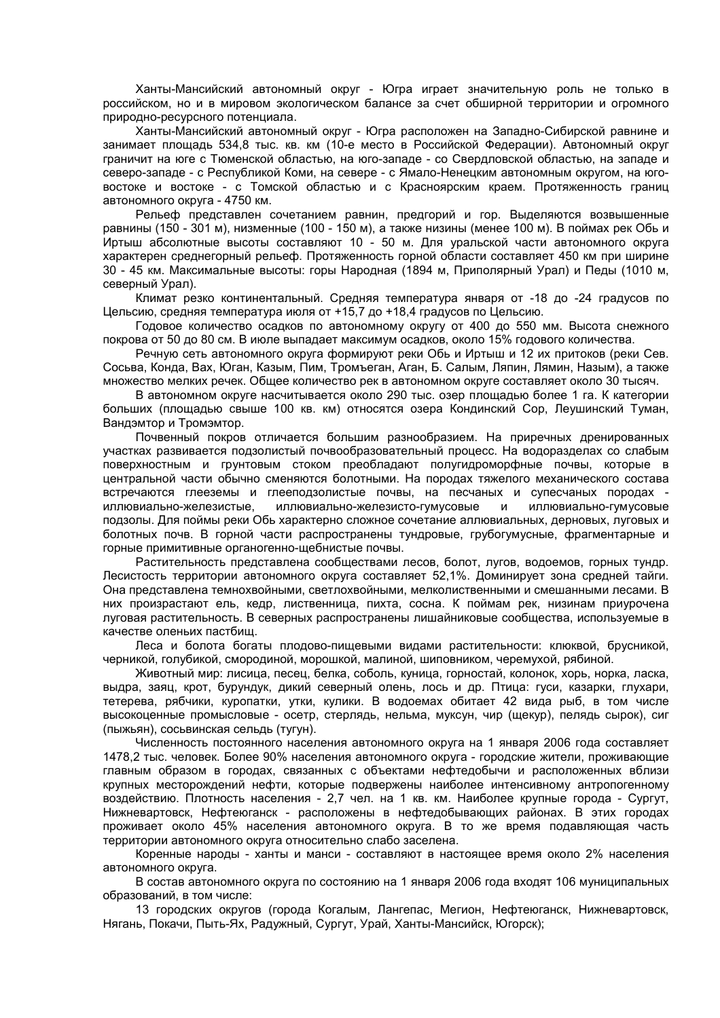Ханты-Мансийский автономный округ - Югра играет значительную роль не только в российском, но и в мировом экологическом балансе за счет обширной территории и огромного природно-ресурсного потенциала.

Ханты-Мансийский автономный округ - Югра расположен на Западно-Сибирской равнине и занимает площадь 534.8 тыс. кв. км (10-е место в Российской Федерации). Автономный округ граничит на юге с Тюменской областью, на юго-западе - со Свердловской областью, на западе и северо-западе - с Республикой Коми, на севере - с Ямало-Ненецким автономным округом, на юговостоке и востоке - с Томской областью и с Красноярским краем. Протяженность границ автономного округа - 4750 км.

Рельеф представлен сочетанием равнин, предгорий и гор. Выделяются возвышенные равнины (150 - 301 м), низменные (100 - 150 м), а также низины (менее 100 м). В поймах рек Обь и Иртыш абсолютные высоты составляют 10 - 50 м. Для уральской части автономного округа характерен среднегорный рельеф. Протяженность горной области составляет 450 км при ширине 30 - 45 км. Максимальные высоты: горы Народная (1894 м, Приполярный Урал) и Педы (1010 м, северный Урал).

Климат резко континентальный. Средняя температура января от -18 до -24 градусов по Цельсию, средняя температура июля от +15,7 до +18,4 градусов по Цельсию.

Годовое количество осадков по автономному округу от 400 до 550 мм. Высота снежного покрова от 50 до 80 см. В июле выпадает максимум осадков, около 15% годового количества.

Речную сеть автономного округа формируют реки Обь и Иртыш и 12 их притоков (реки Сев. Сосьва, Конда, Вах, Юган, Казым, Пим, Тромъеган, Аган, Б. Салым, Ляпин, Лямин, Назым), а также множество мелких речек. Общее количество рек в автономном округе составляет около 30 тысяч.

В автономном округе насчитывается около 290 тыс. озер площадью более 1 га. К категории больших (площадью свыше 100 кв. км) относятся озера Кондинский Сор, Леушинский Туман, Вандэмтор и Тромэмтор.

Почвенный покров отличается большим разнообразием. На приречных дренированных участках развивается подзолистый почвообразовательный процесс. На водоразделах со слабым поверхностным и грунтовым стоком преобладают полугидроморфные почвы, которые в центральной части обычно сменяются болотными. На породах тяжелого механического состава встречаются глееземы и глееподзолистые почвы, на песчаных и супесчаных породах и иллювиально-гумусовые иллювиально-железистые. иллювиально-железисто-гумусовые подзолы. Для поймы реки Обь характерно сложное сочетание аллювиальных, дерновых, луговых и болотных почв. В горной части распространены тундровые, грубогумусные, фрагментарные и горные примитивные органогенно-щебнистые почвы.

Растительность представлена сообществами лесов, болот, лугов, водоемов, горных тундр. Лесистость территории автономного округа составляет 52.1%. Доминирует зона средней тайги. Она представлена темнохвойными, светлохвойными, мелколиственными и смешанными лесами. В них произрастают ель, кедр, лиственница, пихта, сосна. К поймам рек, низинам приурочена луговая растительность. В северных распространены лишайниковые сообщества, используемые в качестве оленьих пастбиш.

Леса и болота богаты плодово-пищевыми видами растительности: клюквой, брусникой, черникой, голубикой, смородиной, морошкой, малиной, шиповником, черемухой, рябиной.

Животный мир: лисица, песец, белка, соболь, куница, горностай, колонок, хорь, норка, ласка, выдра, заяц, крот, бурундук, дикий северный олень, лось и др. Птица: гуси, казарки, глухари, тетерева, рябчики, куропатки, утки, кулики. В водоемах обитает 42 вида рыб, в том числе высокоценные промысловые - осетр, стерлядь, нельма, муксун, чир (щекур), пелядь сырок), сиг (пыжьян), сосьвинская сельдь (тугун).

Численность постоянного населения автономного округа на 1 января 2006 года составляет 1478.2 тыс. человек. Более 90% населения автономного округа - городские жители, проживающие главным образом в городах, связанных с объектами нефтедобычи и расположенных вблизи крупных месторождений нефти, которые подвержены наиболее интенсивному антропогенному воздействию. Плотность населения - 2,7 чел. на 1 кв. км. Наиболее крупные города - Сургут, Нижневартовск, Нефтеюганск - расположены в нефтедобывающих районах. В этих городах проживает около 45% населения автономного округа. В то же время подавляющая часть территории автономного округа относительно слабо заселена.

Коренные народы - ханты и манси - составляют в настоящее время около 2% населения автономного округа.

В состав автономного округа по состоянию на 1 января 2006 года входят 106 муниципальных образований. в том числе:

13 городских округов (города Когалым, Лангепас, Мегион, Нефтеюганск, Нижневартовск, Нягань, Покачи, Пыть-Ях, Радужный, Сургут, Урай, Ханты-Мансийск, Югорск);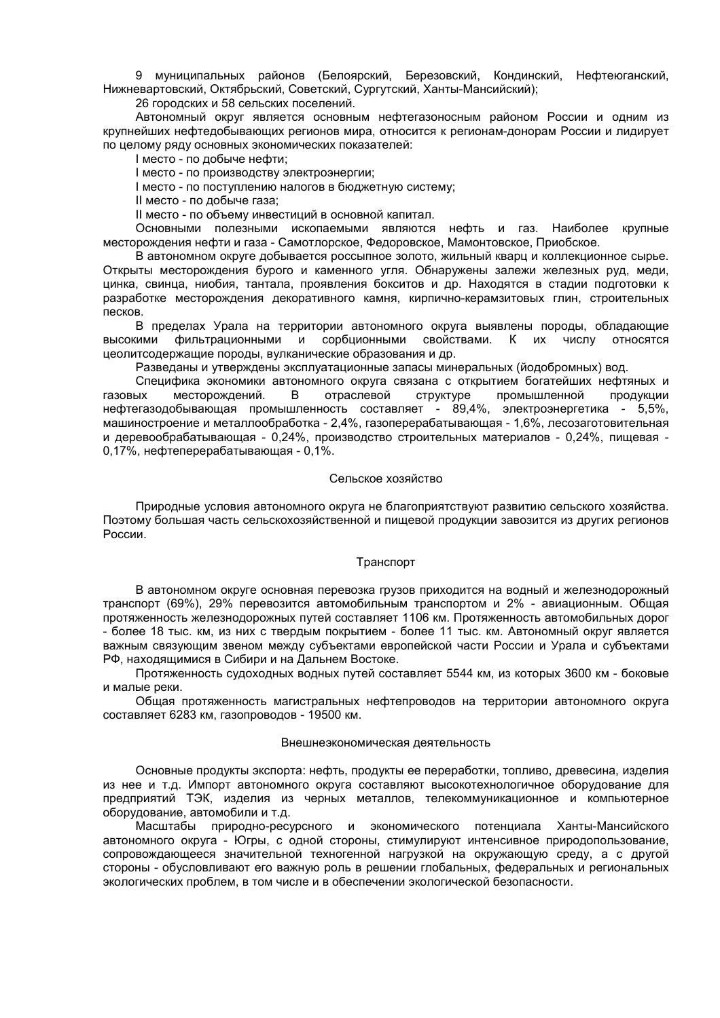9 муниципальных районов (Белоярский, Березовский, Кондинский, Нефтеюганский, Нижневартовский, Октябрьский, Советский, Сургутский, Ханты-Мансийский);

26 городских и 58 сельских поселений.

Автономный округ является основным нефтегазоносным районом России и одним из крупнейших нефтедобывающих регионов мира, относится к регионам-донорам России и лидирует по целому ряду основных экономических показателей:

I место - по добыче нефти;

I место - по производству электроэнергии;

I место - по поступлению налогов в бюджетную систему;

II место - по добыче газа:

II место - по объему инвестиций в основной капитал.

Основными полезными ископаемыми являются нефть и газ. Наиболее крупные месторождения нефти и газа - Самотлорское, Федоровское, Мамонтовское, Приобское.

В автономном округе добывается россыпное золото, жильный кварц и коллекционное сырье. Открыты месторождения бурого и каменного угля. Обнаружены залежи железных руд, меди, цинка, свинца, ниобия, тантала, проявления бокситов и др. Находятся в стадии подготовки к разработке месторождения декоративного камня, кирпично-керамзитовых глин, строительных песков.

В пределах Урала на территории автономного округа выявлены породы, обладающие **ВЫСОКИМИ** фильтрационными и сорбционными свойствами. К их числу относятся цеолитсодержащие породы, вулканические образования и др.

Разведаны и утверждены эксплуатационные запасы минеральных (йодобромных) вод.

Специфика экономики автономного округа связана с открытием богатейших нефтяных и структуре месторождений. отраслевой промышленной газовых B продукции нефтегазодобывающая промышленность составляет - 89.4%, электроэнергетика - 5.5%, машиностроение и металлообработка - 2,4%, газоперерабатывающая - 1,6%, лесозаготовительная и деревообрабатывающая - 0,24%, производство строительных материалов - 0,24%, пищевая -0.17%, нефтеперерабатывающая - 0.1%.

## Сельское хозяйство

Природные условия автономного округа не благоприятствуют развитию сельского хозяйства. Поэтому большая часть сельскохозяйственной и пищевой продукции завозится из других регионов России.

## Транспорт

В автономном округе основная перевозка грузов приходится на водный и железнодорожный транспорт (69%). 29% перевозится автомобильным транспортом и 2% - авиационным. Общая протяженность железнодорожных путей составляет 1106 км. Протяженность автомобильных дорог - более 18 тыс. км. из них с твердым покрытием - более 11 тыс. км. Автономный округ является важным связующим звеном между субъектами европейской части России и Урала и субъектами РФ, находящимися в Сибири и на Дальнем Востоке.

Протяженность судоходных водных путей составляет 5544 км, из которых 3600 км - боковые и малые реки.

Общая протяженность магистральных нефтепроводов на территории автономного округа составляет 6283 км. газопроводов - 19500 км.

## Внешнеэкономическая деятельность

Основные продукты экспорта: нефть, продукты ее переработки, топливо, древесина, изделия из нее и т.д. Импорт автономного округа составляют высокотехнологичное оборудование для предприятий ТЭК, изделия из черных металлов, телекоммуникационное и компьютерное оборудование, автомобили и т.д.

Масштабы природно-ресурсного и экономического потенциала Ханты-Мансийского автономного округа - Югры, с одной стороны, стимулируют интенсивное природопользование, сопровождающееся значительной техногенной нагрузкой на окружающую среду, а с другой стороны - обусловливают его важную роль в решении глобальных, федеральных и региональных экологических проблем, в том числе и в обеспечении экологической безопасности.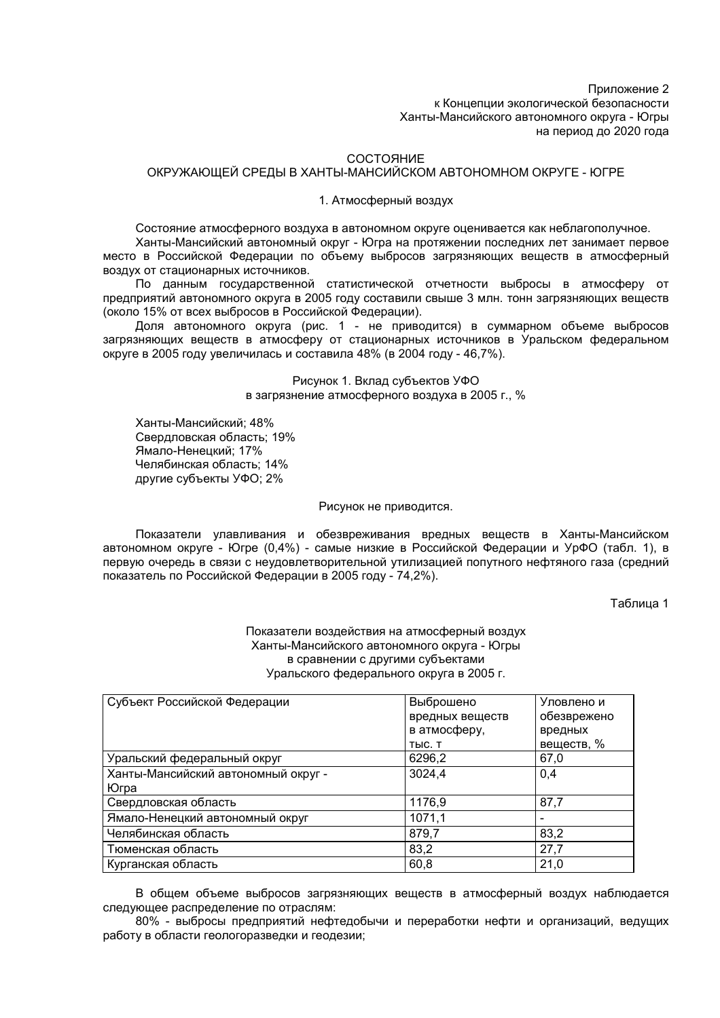Приложение 2 к Концепции экологической безопасности Ханты-Мансийского автономного округа - Югры на период до 2020 года

## СОСТОЯНИЕ

# ОКРУЖАЮЩЕЙ СРЕДЫ В ХАНТЫ-МАНСИЙСКОМ АВТОНОМНОМ ОКРУГЕ - ЮГРЕ

## 1. Атмосферный воздух

Состояние атмосферного воздуха в автономном округе оценивается как неблагополучное.

Ханты-Мансийский автономный округ - Югра на протяжении последних лет занимает первое место в Российской Федерации по объему выбросов загрязняющих веществ в атмосферный воздух от стационарных источников.

По данным государственной статистической отчетности выбросы в атмосферу от предприятий автономного округа в 2005 году составили свыше 3 млн. тонн загрязняющих веществ (около 15% от всех выбросов в Российской Федерации).

Доля автономного округа (рис. 1 - не приводится) в суммарном объеме выбросов загрязняющих веществ в атмосферу от стационарных источников в Уральском федеральном округе в 2005 году увеличилась и составила 48% (в 2004 году - 46,7%).

> Рисунок 1. Вклад субъектов УФО в загрязнение атмосферного воздуха в 2005 г., %

Ханты-Мансийский: 48% Свердловская область; 19% Ямало-Ненецкий; 17% Челябинская область; 14% другие субъекты УФО; 2%

## Рисунок не приводится.

Показатели улавливания и обезвреживания вредных веществ в Ханты-Мансийском автономном округе - Югре (0,4%) - самые низкие в Российской Федерации и УрФО (табл. 1), в первую очередь в связи с неудовлетворительной утилизацией попутного нефтяного газа (средний показатель по Российской Федерации в 2005 году - 74,2%).

Таблица 1

# Показатели воздействия на атмосферный воздух Ханты-Мансийского автономного округа - Югры в сравнении с другими субъектами Уральского федерального округа в 2005 г.

| Субъект Российской Федерации        | Выброшено       | Уловлено и  |
|-------------------------------------|-----------------|-------------|
|                                     | вредных веществ | обезврежено |
|                                     | в атмосферу,    | вредных     |
|                                     | <b>ТЫС. Т</b>   | веществ, %  |
| Уральский федеральный округ         | 6296,2          | 67,0        |
| Ханты-Мансийский автономный округ - | 3024,4          | 0.4         |
| Югра                                |                 |             |
| Свердловская область                | 1176,9          | 87,7        |
| Ямало-Ненецкий автономный округ     | 1071,1          |             |
| Челябинская область                 | 879,7           | 83,2        |
| Тюменская область                   | 83,2            | 27,7        |
| Курганская область                  | 60,8            | 21,0        |

В общем объеме выбросов загрязняющих веществ в атмосферный воздух наблюдается следующее распределение по отраслям:

80% - выбросы предприятий нефтедобычи и переработки нефти и организаций, ведущих работу в области геологоразведки и геодезии: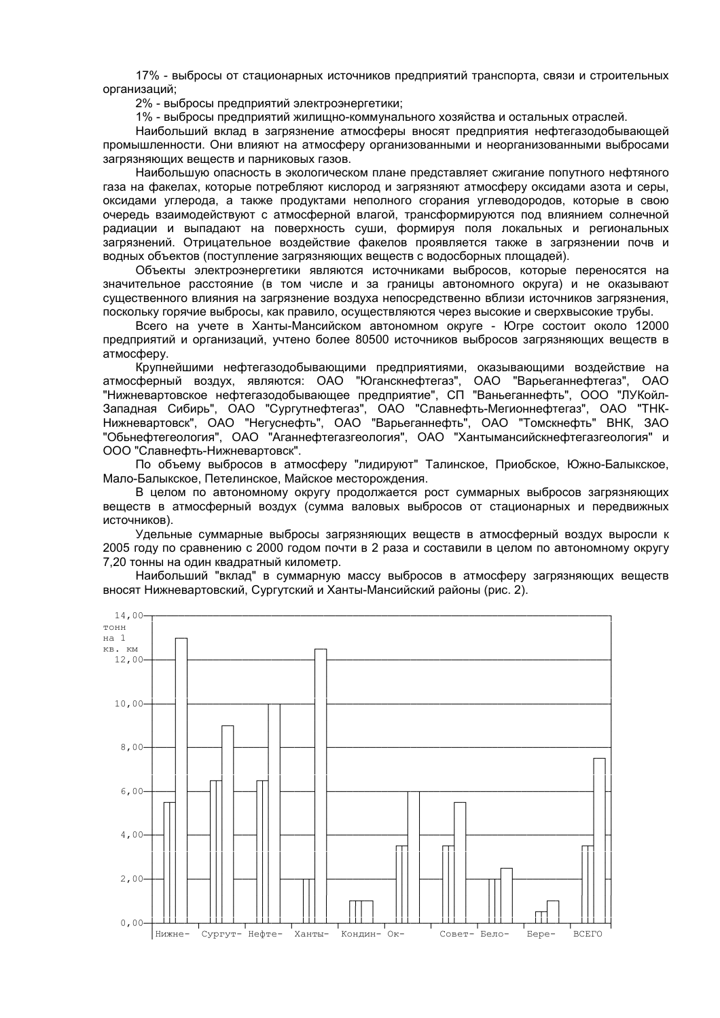17% - выбросы от стационарных источников предприятий транспорта, связи и строительных организаций:

2% - выбросы предприятий электроэнергетики;

1% - выбросы предприятий жилищно-коммунального хозяйства и остальных отраслей.

Наибольший вклад в загрязнение атмосферы вносят предприятия нефтегазодобывающей промышленности. Они влияют на атмосферу организованными и неорганизованными выбросами загрязняющих веществ и парниковых газов.

Наибольшую опасность в экологическом плане представляет сжигание попутного нефтяного газа на факелах, которые потребляют кислород и загрязняют атмосферу оксидами азота и серы, оксидами углерода, а также продуктами неполного сгорания углеводородов, которые в свою очередь взаимодействуют с атмосферной влагой, трансформируются под влиянием солнечной радиации и выпадают на поверхность суши, формируя поля локальных и региональных загрязнений. Отрицательное воздействие факелов проявляется также в загрязнении почв и водных объектов (поступление загрязняющих веществ с водосборных площадей).

Объекты электроэнергетики являются источниками выбросов, которые переносятся на значительное расстояние (в том числе и за границы автономного округа) и не оказывают существенного влияния на загрязнение воздуха непосредственно вблизи источников загрязнения, поскольку горячие выбросы, как правило, осуществляются через высокие и сверхвысокие трубы.

Всего на учете в Ханты-Мансийском автономном округе - Югре состоит около 12000 предприятий и организаций, учтено более 80500 источников выбросов загрязняющих веществ в атмосферу.

Крупнейшими нефтегазодобывающими предприятиями, оказывающими воздействие на атмосферный воздух, являются: ОАО "Юганскнефтегаз", ОАО "Варьеганнефтегаз", ОАО "Нижневартовское нефтегазодобывающее предприятие", СП "Ваньеганнефть", ООО "ЛУКойл-Западная Сибирь", ОАО "Сургутнефтегаз", ОАО "Славнефть-Мегионнефтегаз", ОАО "ТНК-<br>Нижневартовск", ОАО "Негуснефть", ОАО "Варьеганнефть", ОАО "Томскнефть" ВНК, ЗАО "Обьнефтегеология", ОАО "Аганнефтегазгеология", ОАО "Хантымансийскнефтегазгеология" и ООО "Славнефть-Нижневартовск".

По объему выбросов в атмосферу "лидируют" Талинское, Приобское, Южно-Балыкское, Мало-Балыкское. Петелинское. Майское месторождения.

В целом по автономному округу продолжается рост суммарных выбросов загрязняющих веществ в атмосферный воздух (сумма валовых выбросов от стационарных и передвижных источников).

Удельные суммарные выбросы загрязняющих веществ в атмосферный воздух выросли к 2005 году по сравнению с 2000 годом почти в 2 раза и составили в целом по автономному округу 7,20 тонны на один квадратный километр.

Наибольший "вклад" в суммарную массу выбросов в атмосферу загрязняющих веществ вносят Нижневартовский. Сургутский и Ханты-Мансийский районы (рис. 2).

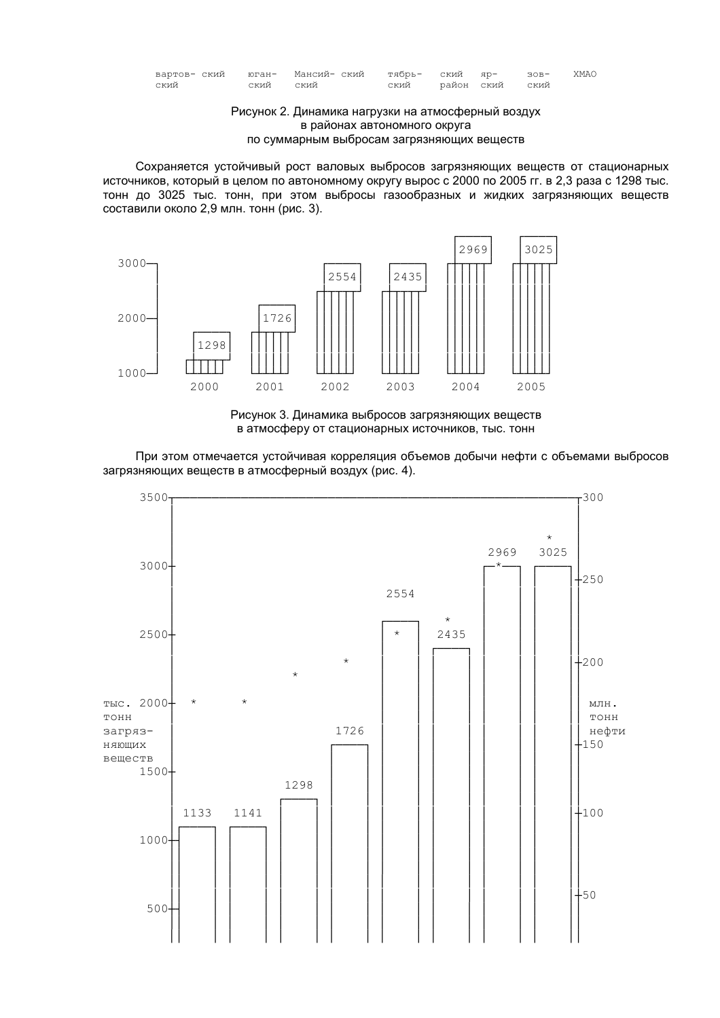|      |           | вартов- ский илан- Мансий-ский тябрь- ский яр- вов- |                      |  | XMAO |
|------|-----------|-----------------------------------------------------|----------------------|--|------|
| ский | ский ский |                                                     | ский район ский ский |  |      |

# Рисунок 2. Динамика нагрузки на атмосферный воздух в районах автономного округа по суммарным выбросам загрязняющих веществ

Сохраняется устойчивый рост валовых выбросов загрязняющих веществ от стационарных источников, который в целом по автономному округу вырос с 2000 по 2005 гг. в 2,3 раза с 1298 тыс. тонн до 3025 тыс. тонн, при этом выбросы газообразных и жидких загрязняющих веществ составили около 2,9 млн. тонн (рис. 3).



Рисунок 3. Динамика выбросов загрязняющих веществ в атмосферу от стационарных источников, тыс. тонн

При этом отмечается устойчивая корреляция объемов добычи нефти с объемами выбросов загрязняющих веществ в атмосферный воздух (рис. 4).

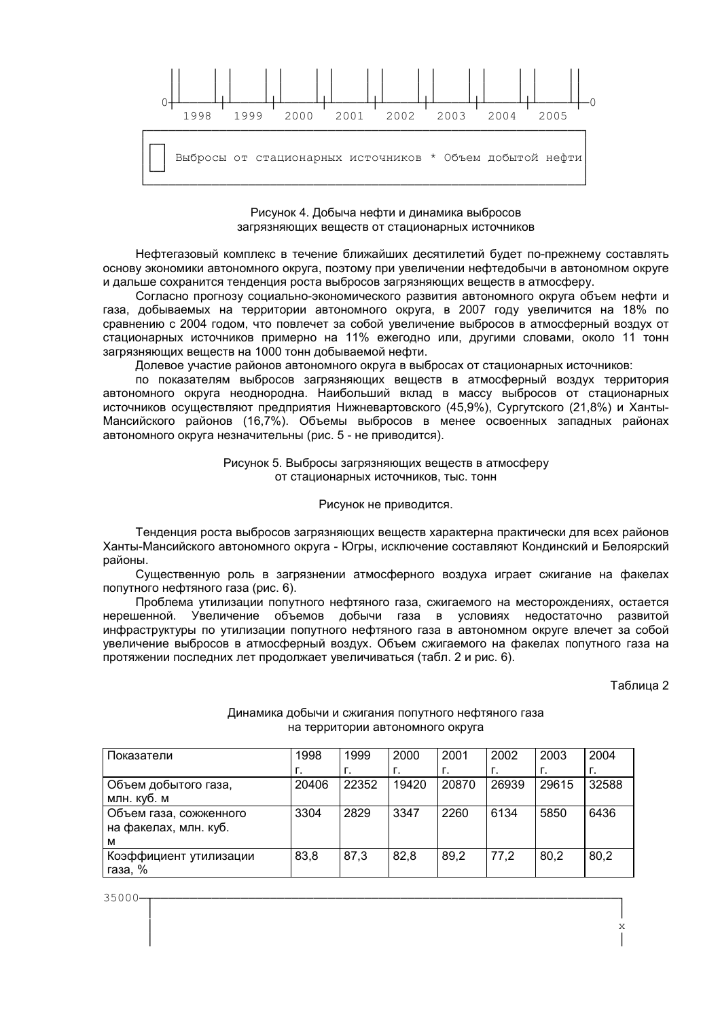

Рисунок 4. Добыча нефти и динамика выбросов загрязняющих веществ от стационарных источников

Нефтегазовый комплекс в течение ближайших десятилетий будет по-прежнему составлять основу экономики автономного округа, поэтому при увеличении нефтедобычи в автономном округе и дальше сохранится тенденция роста выбросов загрязняющих веществ в атмосферу.

Согласно прогнозу социально-экономического развития автономного округа объем нефти и газа, добываемых на территории автономного округа, в 2007 году увеличится на 18% по сравнению с 2004 годом, что повлечет за собой увеличение выбросов в атмосферный воздух от стационарных источников примерно на 11% ежегодно или, другими словами, около 11 тонн загрязняющих веществ на 1000 тонн добываемой нефти.

Долевое участие районов автономного округа в выбросах от стационарных источников:

по показателям выбросов загрязняющих веществ в атмосферный воздух территория автономного округа неоднородна. Наибольший вклад в массу выбросов от стационарных источников осуществляют предприятия Нижневартовского (45,9%), Сургутского (21,8%) и Ханты-Мансийского районов (16,7%). Объемы выбросов в менее освоенных западных районах автономного округа незначительны (рис. 5 - не приводится).

> Рисунок 5. Выбросы загрязняющих веществ в атмосферу от стационарных источников, тыс. тонн

### Рисунок не приводится.

Тенденция роста выбросов загрязняющих веществ характерна практически для всех районов Ханты-Мансийского автономного округа - Югры, исключение составляют Кондинский и Белоярский районы.

Существенную роль в загрязнении атмосферного воздуха играет сжигание на факелах попутного нефтяного газа (рис. 6).

Проблема утилизации попутного нефтяного газа, сжигаемого на месторождениях, остается нерешенной. Увеличение объемов добычи газа в условиях недостаточно развитой инфраструктуры по утилизации попутного нефтяного газа в автономном округе влечет за собой увеличение выбросов в атмосферный воздух. Объем сжигаемого на факелах попутного газа на протяжении последних лет продолжает увеличиваться (табл. 2 и рис. 6).

Таблица 2

 $\bar{x}$ 

| Показатели                                      | 1998  | 1999  | 2000  | 2001  | 2002  | 2003  | 2004  |
|-------------------------------------------------|-------|-------|-------|-------|-------|-------|-------|
|                                                 | г.    |       | Г.    | г.    | г.    | г.    | г.    |
| Объем добытого газа,                            | 20406 | 22352 | 19420 | 20870 | 26939 | 29615 | 32588 |
| млн. куб. м                                     |       |       |       |       |       |       |       |
| Объем газа, сожженного<br>на факелах, млн. куб. | 3304  | 2829  | 3347  | 2260  | 6134  | 5850  | 6436  |
| М                                               |       |       |       |       |       |       |       |
| Коэффициент утилизации                          | 83,8  | 87,3  | 82,8  | 89,2  | 77,2  | 80,2  | 80,2  |
| газа, %                                         |       |       |       |       |       |       |       |

# Динамика добычи и сжигания попутного нефтяного газа на территории автономного округа

35000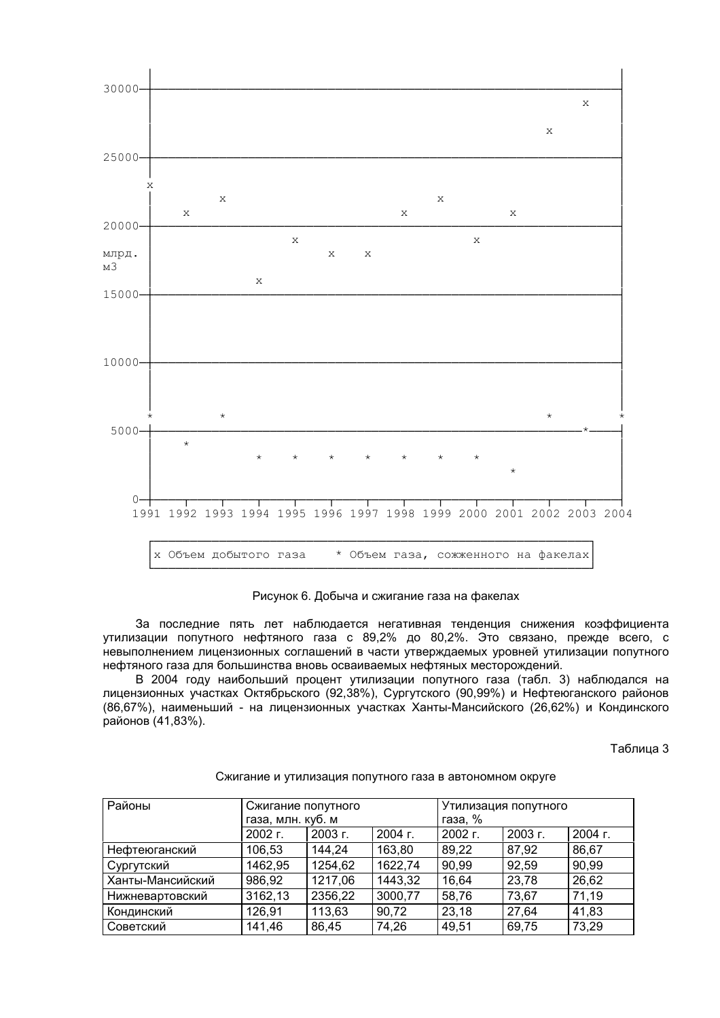

# Рисунок 6. Добыча и сжигание газа на факелах

За последние пять лет наблюдается негативная тенденция снижения коэффициента утилизации попутного нефтяного газа с 89,2% до 80,2%. Это связано, прежде всего, с невыполнением лицензионных соглашений в части утверждаемых уровней утилизации попутного нефтяного газа для большинства вновь осваиваемых нефтяных месторождений.

В 2004 году наибольший процент утилизации попутного газа (табл. 3) наблюдался на лицензионных участках Октябрьского (92,38%), Сургутского (90,99%) и Нефтеюганского районов (86,67%), наименьший - на лицензионных участках Ханты-Мансийского (26,62%) и Кондинского районов (41,83%).

Таблица 3

| Районы           | Сжигание попутного |         |         | Утилизация попутного |         |         |  |
|------------------|--------------------|---------|---------|----------------------|---------|---------|--|
|                  | газа, млн. куб. м  |         |         | газа, %              |         |         |  |
|                  | 2002 г.            | 2003 г. | 2004 г. | 2002 г.              | 2003 г. | 2004 г. |  |
| Нефтеюганский    | 106,53             | 144,24  | 163,80  | 89,22                | 87,92   | 86,67   |  |
| Сургутский       | 1462,95            | 1254,62 | 1622,74 | 90,99                | 92,59   | 90,99   |  |
| Ханты-Мансийский | 986,92             | 1217,06 | 1443,32 | 16,64                | 23,78   | 26,62   |  |
| Нижневартовский  | 3162,13            | 2356,22 | 3000,77 | 58,76                | 73,67   | 71,19   |  |
| Кондинский       | 126,91             | 113,63  | 90,72   | 23,18                | 27,64   | 41,83   |  |
| Советский        | 141,46             | 86,45   | 74,26   | 49,51                | 69,75   | 73,29   |  |

# Сжигание и утилизация попутного газа в автономном округе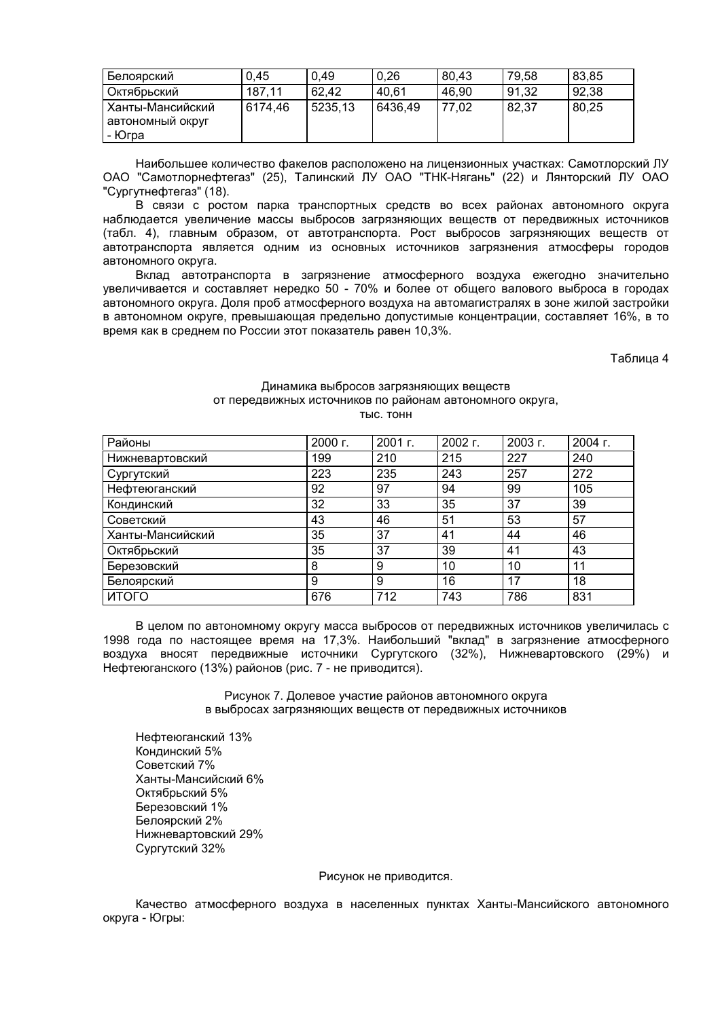| Белоярский       | 0.45    | 0.49    | 0.26    | 80.43 | 79.58 | 83.85 |
|------------------|---------|---------|---------|-------|-------|-------|
| Октябрьский      | 187.11  | 62.42   | 40.61   | 46.90 | 91.32 | 92.38 |
| Ханты-Мансийский | 6174.46 | 5235,13 | 6436.49 | 77.02 | 82.37 | 80.25 |
| автономный округ |         |         |         |       |       |       |
| - Югра           |         |         |         |       |       |       |

Наибольшее количество факелов расположено на лицензионных участках: Самотлорский ЛУ ОАО "Самотлорнефтегаз" (25), Талинский ЛУ ОАО "ТНК-Нягань" (22) и Лянторский ЛУ ОАО "Сургутнефтегаз" (18).

В связи с ростом парка транспортных средств во всех районах автономного округа наблюдается увеличение массы выбросов загрязняющих веществ от передвижных источников (табл. 4), главным образом, от автотранспорта. Рост выбросов загрязняющих веществ от автотранспорта является одним из основных источников загрязнения атмосферы городов автономного округа.

Вклад автотранспорта в загрязнение атмосферного воздуха ежегодно значительно увеличивается и составляет нередко 50 - 70% и более от общего валового выброса в городах автономного округа. Доля проб атмосферного воздуха на автомагистралях в зоне жилой застройки в автономном округе, превышающая предельно допустимые концентрации, составляет 16%, в то время как в среднем по России этот показатель равен 10,3%.

Таблица 4

### Динамика выбросов загрязняющих веществ от передвижных источников по районам автономного округа, тыс. тонн

| Районы           | 2000 г. | $2001$ r. | 2002 г. | 2003 г. | 2004 г. |
|------------------|---------|-----------|---------|---------|---------|
| Нижневартовский  | 199     | 210       | 215     | 227     | 240     |
| Сургутский       | 223     | 235       | 243     | 257     | 272     |
| Нефтеюганский    | 92      | 97        | 94      | 99      | 105     |
| Кондинский       | 32      | 33        | 35      | 37      | 39      |
| Советский        | 43      | 46        | 51      | 53      | 57      |
| Ханты-Мансийский | 35      | 37        | 41      | 44      | 46      |
| Октябрьский      | 35      | 37        | 39      | 41      | 43      |
| Березовский      | 8       | 9         | 10      | 10      | 11      |
| Белоярский       | 9       | 9         | 16      | 17      | 18      |
| <b>NTOLO</b>     | 676     | 712       | 743     | 786     | 831     |

В целом по автономному округу масса выбросов от передвижных источников увеличилась с 1998 года по настоящее время на 17,3%. Наибольший "вклад" в загрязнение атмосферного воздуха вносят передвижные источники Сургутского (32%), Нижневартовского (29%) и Нефтеюганского (13%) районов (рис. 7 - не приводится).

> Рисунок 7. Долевое участие районов автономного округа в выбросах загрязняющих веществ от передвижных источников

Нефтеюганский 13% Конлинский 5% Советский 7% Ханты-Мансийский 6% Октябрьский 5% Березовский 1% Белоярский 2% Нижневартовский 29% Сургутский 32%

Рисунок не приводится.

Качество атмосферного воздуха в населенных пунктах Ханты-Мансийского автономного округа - Югры: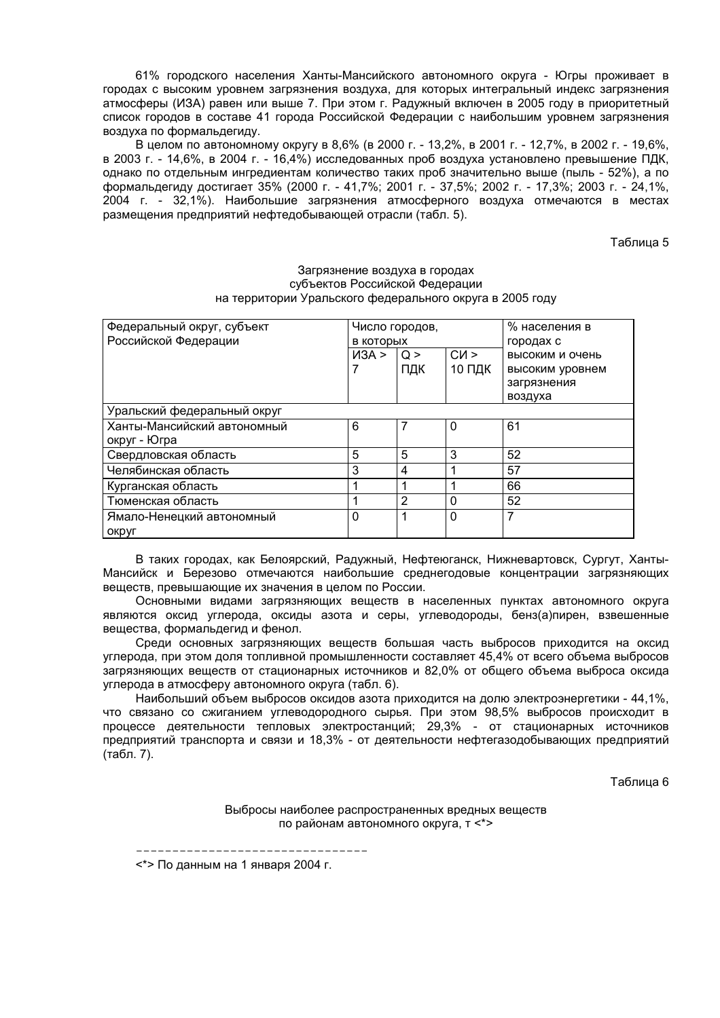61% городского населения Ханты-Мансийского автономного округа - Югры проживает в городах с высоким уровнем загрязнения воздуха, для которых интегральный индекс загрязнения атмосферы (ИЗА) равен или выше 7. При этом г. Радужный включен в 2005 году в приоритетный список городов в составе 41 города Российской Федерации с наибольшим уровнем загрязнения воздуха по формальдегиду.

В целом по автономному округу в 8,6% (в 2000 г. - 13,2%, в 2001 г. - 12,7%, в 2002 г. - 19,6%, в 2003 г. - 14,6%, в 2004 г. - 16,4%) исследованных проб воздуха установлено превышение ПДК, однако по отдельным ингредиентам количество таких проб значительно выше (пыль - 52%), а по формальдегиду достигает 35% (2000 г. - 41,7%; 2001 г. - 37,5%; 2002 г. - 17,3%; 2003 г. - 24,1%, 2004 г. - 32,1%). Наибольшие загрязнения атмосферного воздуха отмечаются в местах размещения предприятий нефтедобывающей отрасли (табл. 5).

Таблица 5

# Загрязнение воздуха в городах субъектов Российской Федерации на территории Уральского федерального округа в 2005 году

| Федеральный округ, субъект  | Число городов, |     |          | % населения в   |
|-----------------------------|----------------|-----|----------|-----------------|
| Российской Федерации        | в которых      |     |          | городах с       |
|                             | MSA >          | Q > | CM >     | высоким и очень |
|                             |                | ПДК | 10 ПДК   | высоким уровнем |
|                             |                |     |          | загрязнения     |
|                             |                |     |          | воздуха         |
| Уральский федеральный округ |                |     |          |                 |
| Ханты-Мансийский автономный | 6              | 7   | $\Omega$ | 61              |
| округ - Югра                |                |     |          |                 |
| Свердловская область        | 5              | 5   | 3        | 52              |
| Челябинская область         | 3              | 4   |          | 57              |
| Курганская область          |                |     |          | 66              |
| Тюменская область           |                | 2   | $\Omega$ | 52              |
| Ямало-Ненецкий автономный   | 0              | 1   | $\Omega$ | 7               |
| округ                       |                |     |          |                 |

В таких городах, как Белоярский, Радужный, Нефтеюганск, Нижневартовск, Сургут, Ханты-Мансийск и Березово отмечаются наибольшие среднегодовые концентрации загрязняющих вешеств, превышающие их значения в целом по России.

Основными видами загрязняющих веществ в населенных пунктах автономного округа являются оксид углерода, оксиды азота и серы, углеводороды, бенз(а)пирен, взвешенные вещества, формальдегид и фенол.

Среди основных загрязняющих веществ большая часть выбросов приходится на оксид углерода, при этом доля топливной промышленности составляет 45,4% от всего объема выбросов загрязняющих вешеств от стационарных источников и 82.0% от обшего объема выброса оксида углерода в атмосферу автономного округа (табл. 6).

Наибольший объем выбросов оксидов азота приходится на долю электроэнергетики - 44,1%, что связано со сжиганием углеводородного сырья. При этом 98.5% выбросов происходит в процессе деятельности тепловых электростанций; 29,3% - от стационарных источников предприятий транспорта и связи и 18,3% - от деятельности нефтегазодобывающих предприятий (табл. 7).

Таблица 6

Выбросы наиболее распространенных вредных веществ по районам автономного округа, т <\*>

<\*> По данным на 1 января 2004 г.

\_\_\_\_\_\_\_\_\_\_\_\_\_\_\_\_\_\_\_\_\_\_\_\_\_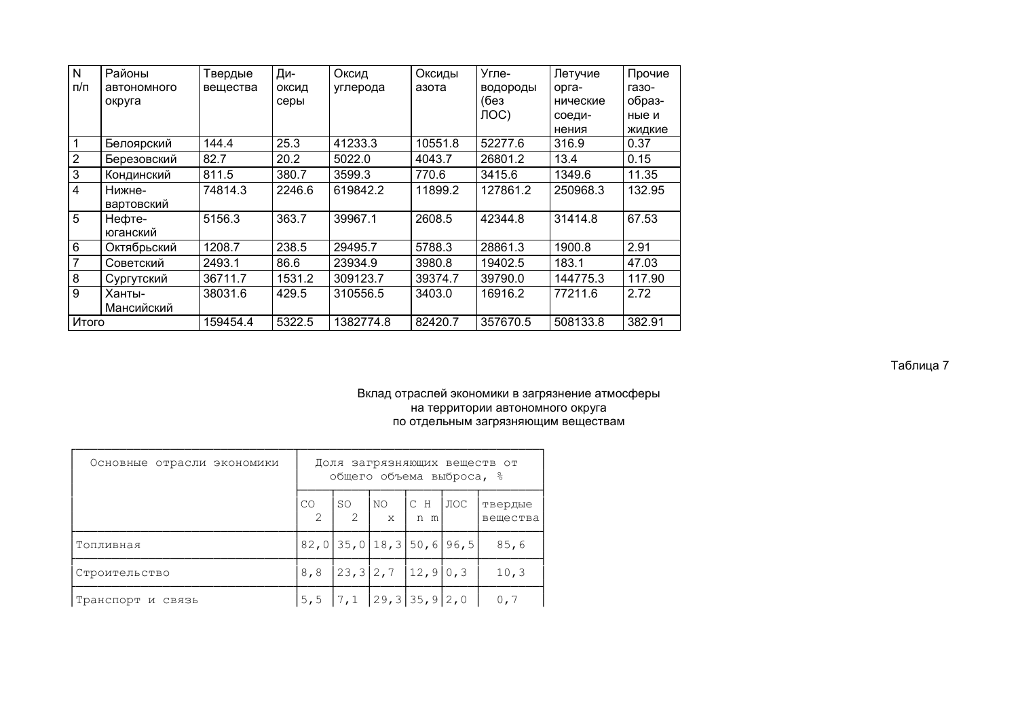| N              | Районы      | Твердые  | Ди-    | Оксид     | Оксиды  | Угле-    | Летучие  | Прочие |
|----------------|-------------|----------|--------|-----------|---------|----------|----------|--------|
| $\Pi/\Pi$      | автономного | вещества | ОКСИД  | углерода  | азота   | водороды | орга-    | газо-  |
|                | округа      |          | серы   |           |         | (без     | нические | образ- |
|                |             |          |        |           |         | ЛОС)     | соеди-   | ные и  |
|                |             |          |        |           |         |          | нения    | жидкие |
| 1              | Белоярский  | 144.4    | 25.3   | 41233.3   | 10551.8 | 52277.6  | 316.9    | 0.37   |
| $\overline{2}$ | Березовский | 82.7     | 20.2   | 5022.0    | 4043.7  | 26801.2  | 13.4     | 0.15   |
| 3              | Кондинский  | 811.5    | 380.7  | 3599.3    | 770.6   | 3415.6   | 1349.6   | 11.35  |
| $\overline{4}$ | Нижне-      | 74814.3  | 2246.6 | 619842.2  | 11899.2 | 127861.2 | 250968.3 | 132.95 |
|                | вартовский  |          |        |           |         |          |          |        |
| 5              | Нефте-      | 5156.3   | 363.7  | 39967.1   | 2608.5  | 42344.8  | 31414.8  | 67.53  |
|                | юганский    |          |        |           |         |          |          |        |
| 6              | Октябрьский | 1208.7   | 238.5  | 29495.7   | 5788.3  | 28861.3  | 1900.8   | 2.91   |
| $\overline{7}$ | Советский   | 2493.1   | 86.6   | 23934.9   | 3980.8  | 19402.5  | 183.1    | 47.03  |
| 8              | Сургутский  | 36711.7  | 1531.2 | 309123.7  | 39374.7 | 39790.0  | 144775.3 | 117.90 |
| 9              | Ханты-      | 38031.6  | 429.5  | 310556.5  | 3403.0  | 16916.2  | 77211.6  | 2.72   |
|                | Мансийский  |          |        |           |         |          |          |        |
| Итого          |             | 159454.4 | 5322.5 | 1382774.8 | 82420.7 | 357670.5 | 508133.8 | 382.91 |

Таблица 7

# Вклад отраслей экономики в загрязнение атмосферы<br>на территории автономного округа<br>по отдельным загрязняющим веществам

| Основные отрасли экономики | Доля загрязняющих веществ от<br>общего объема выброса, % |                            |                   |              |             |                     |
|----------------------------|----------------------------------------------------------|----------------------------|-------------------|--------------|-------------|---------------------|
|                            | CO                                                       | <b>SO</b>                  | NO.<br>X          | $C$ H<br>n m | <b>JIOC</b> | твердые<br>вещества |
| Топливная                  |                                                          | $82,0$ 35,0 18,3 50,6 96,5 |                   |              |             | 85,6                |
| Строительство              | 8, 8                                                     |                            | 23,3 2,7 12,9 0,3 |              |             | 10, 3               |
| Транспорт и связь          | 5, 5                                                     | 7,1                        | 29,3 35,9 2,0     |              |             | 0,7                 |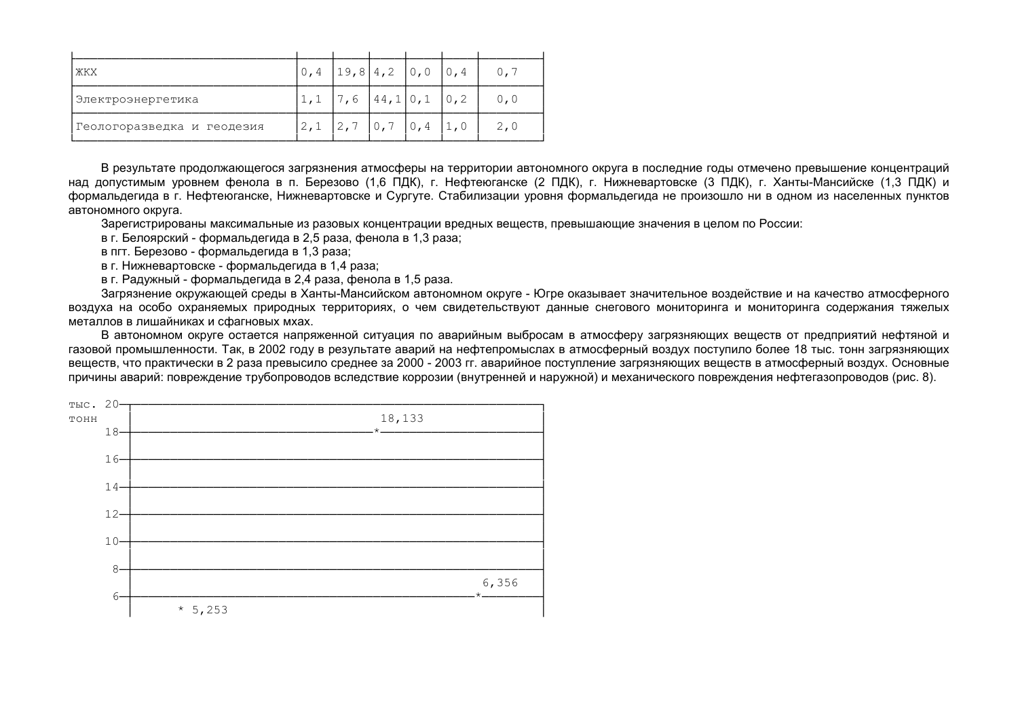| ЖКХ                        | $\lfloor 0, 4 \rfloor$ | $19,8$ 4,2 0,0 |                |      | $\vert 0, 4 \vert$ | 0,7 |
|----------------------------|------------------------|----------------|----------------|------|--------------------|-----|
| Электроэнергетика          |                        | ,6             | 44,1 0,1       |      | $\vert 0, 2 \vert$ | 0.0 |
| Реологоразведка и геодезия | 12,1                   |                | $\overline{ }$ | 0, 4 |                    | 2,0 |

В результате продолжающегося загрязнения атмосферы на территории автономного округа в последние годы отмечено превышение концентраций над допустимым уровнем фенола в п. Березово (1,6 ПДК), г. Нефтеюганске (2 ПДК), г. Нижневартовске (3 ПДК), г. Ханты-Мансийске (1,3 ПДК) и формальдегида в г. Нефтеюганске, Нижневартовске и Сургуте. Стабилизации уровня формальдегида не произошло ни в одном из населенных пунктов автономного округа.

Зарегистрированы максимальные из разовых концентрации вредных веществ, превышающие значения в целом по России:

в г. Белоярский - формальдегида в 2,5 раза, фенола в 1,3 раза;

в пгт. Березово - формальдегида в 1,3 раза;

в г. Нижневартовске - формальдегида в 1,4 раза;

в г. Радужный - формальдегида в 2,4 раза, фенола в 1,5 раза.

Загрязнение окружающей среды в Ханты-Мансийском автономном округе - Югре оказывает значительное воздействие и на качество атмосферного воздуха на особо охраняемых природных территориях, о чем свидетельствуют данные снегового мониторинга и мониторинга содержания тяжелых металлов в лишайниках и сфагновых мхах.

В автономном округе остается напряженной ситуация по аварийным выбросам в атмосферу загрязняющих веществ от предприятий нефтяной и газовой промышленности. Так, в 2002 году в результате аварий на нефтепромыслах в атмосферный воздух поступило более 18 тыс. тонн загрязняющих веществ, что практически в 2 раза превысило среднее за 2000 - 2003 гг. аварийное поступление загрязняющих веществ в атмосферный воздух. Основные причины аварий: повреждение трубопроводов вследствие коррозии (внутренней и наружной) и механического повреждения нефтегазопроводов (рис. 8).

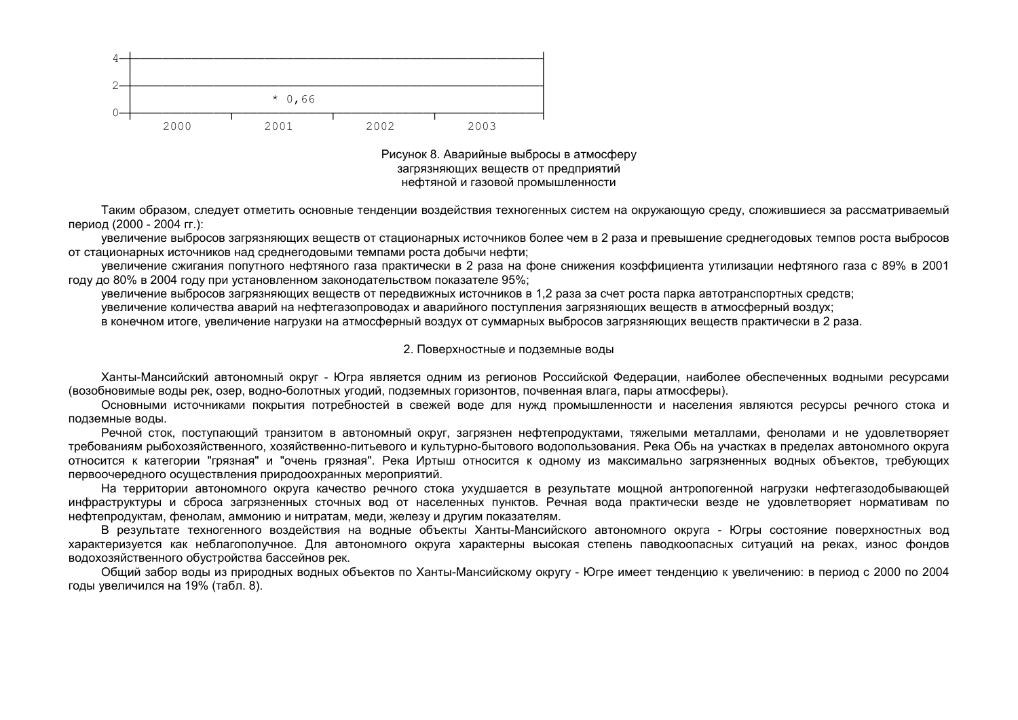

Рисунок 8. Аварийные выбросы в атмосферу загрязняющих вешеств от предприятий нефтяной и газовой промышленности

Таким образом, следует отметить основные тенденции воздействия техногенных систем на окружающую среду, сложившиеся за рассматриваемый период (2000 - 2004 гг.):

увеличение выбросов загрязняющих веществ от стационарных источников более чем в 2 раза и превышение среднегодовых темпов роста выбросов от стационарных источников над среднегодовыми темпами роста добычи нефти:

увеличение сжигания попутного нефтяного газа практически в 2 раза на фоне снижения коэффициента утилизации нефтяного газа с 89% в 2001 году до 80% в 2004 году при установленном законодательством показателе 95%;

увеличение выбросов загрязняющих веществ от передвижных источников в 1.2 раза за счет роста парка автотранспортных средств;

увеличение количества аварий на нефтегазопроводах и аварийного поступления загрязняющих веществ в атмосферный воздух;

в конечном итоге, увеличение нагрузки на атмосферный воздух от суммарных выбросов загрязняющих веществ практически в 2 раза.

## 2. Поверхностные и подземные воды

Ханты-Мансийский автономный округ - Югра является одним из регионов Российской Федерации, наиболее обеспеченных водными ресурсами (возобновимые воды рек, озер, водно-болотных угодий, подземных горизонтов, почвенная влага, пары атмосферы).

Основными источниками покрытия потребностей в свежей воде для нужд промышленности и населения являются ресурсы речного стока и подземные воды.

Речной сток, поступающий транзитом в автономный округ, загрязнен нефтепродуктами, тяжелыми металлами, фенолами и не удовлетворяет требованиям рыбохозяйственного, хозяйственно-питьевого и культурно-бытового водопользования. Река Обь на участках в пределах автономного округа относится к категории "грязная" и "очень грязная". Река Иртыш относится к одному из максимально загрязненных водных объектов, требующих первоочередного осуществления природоохранных мероприятий.

На территории автономного округа качество речного стока ухудшается в результате мощной антропогенной нагрузки нефтегазодобывающей инфраструктуры и сброса загрязненных сточных вод от населенных пунктов. Речная вода практически везде не удовлетворяет нормативам по нефтепродуктам, фенолам, аммонию и нитратам, меди, железу и другим показателям.

В результате техногенного воздействия на водные объекты Ханты-Мансийского автономного округа - Югры состояние поверхностных вод характеризуется как неблагополучное. Для автономного округа характерны высокая степень паводкоопасных ситуаций на реках, износ фондов водохозяйственного обустройства бассейнов рек.

Общий забор воды из природных водных объектов по Ханты-Мансийскому округу - Югре имеет тенденцию к увеличению: в период с 2000 по 2004 годы увеличился на 19% (табл. 8).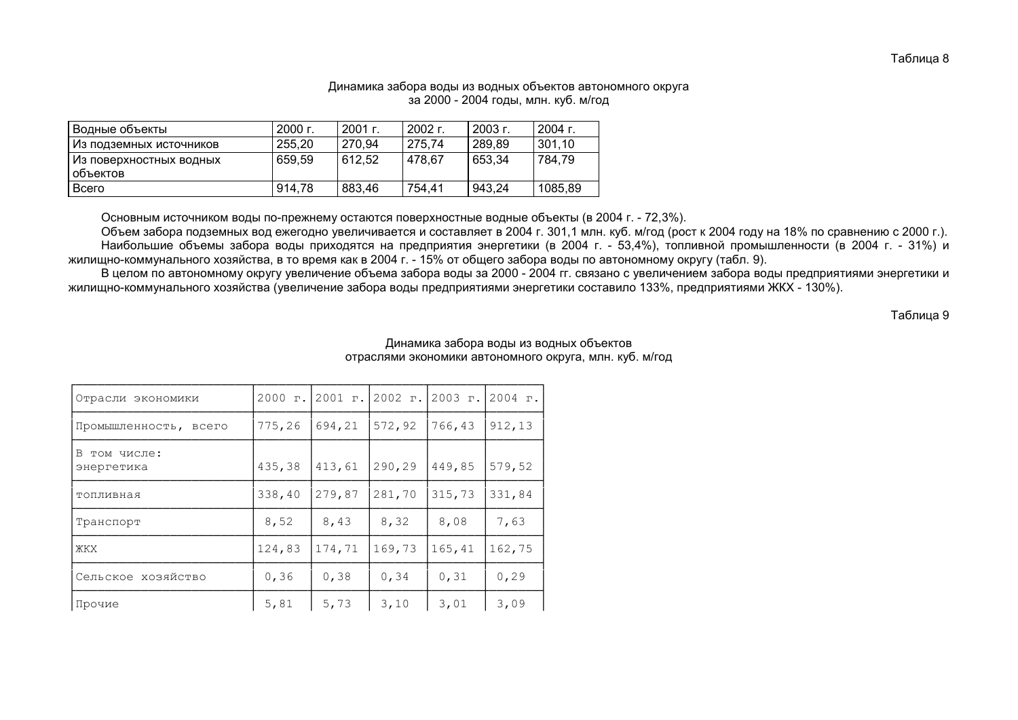# Динамика забора воды из водных объектов автономного округа за 2000 - 2004 годы, млн. куб. м/год

| Водные объекты                      | $2000r$ . | $2001$ г. | 2002 г. | 2003 г. | 2004 г. |
|-------------------------------------|-----------|-----------|---------|---------|---------|
| Из подземных источников             | 255.20    | 270.94    | 275.74  | 289.89  | 301.10  |
| Из поверхностных водных<br>объектов | 659.59    | 612.52    | 478.67  | 653.34  | 784.79  |
| Всего                               | 914.78    | 883.46    | 754.41  | 943.24  | 1085.89 |

Основным источником воды по-прежнему остаются поверхностные водные объекты (в 2004 г. - 72,3%).

Объем забора подземных вод ежегодно увеличивается и составляет в 2004 г. 301.1 млн. куб. м/год (рост к 2004 году на 18% по сравнению с 2000 г.). Наибольшие объемы забора воды приходятся на предприятия энергетики (в 2004 г. - 53,4%), топливной промышленности (в 2004 г. - 31%) и жилищно-коммунального хозяйства, в то время как в 2004 г. - 15% от общего забора воды по автономному округу (табл. 9).

В целом по автономному округу увеличение объема забора воды за 2000 - 2004 гг. связано с увеличением забора воды предприятиями энергетики и жилищно-коммунального хозяйства (увеличение забора воды предприятиями энергетики составило 133%, предприятиями ЖКХ - 130%).

Таблица 9

| Отрасли экономики          |        | 2000 r. 2001 r. 2002 r. 2003 r. 2004 r. |        |        |        |
|----------------------------|--------|-----------------------------------------|--------|--------|--------|
| Промышленность, всего      | 775,26 | 694,21                                  | 572,92 | 766,43 | 912,13 |
| В том числе:<br>энергетика | 435,38 | 413,61                                  | 290,29 | 449,85 | 579,52 |
| топливная                  | 338,40 | 279,87                                  | 281,70 | 315,73 | 331,84 |
| Транспорт                  | 8,52   | 8,43                                    | 8,32   | 8,08   | 7,63   |
| ЖКХ                        | 124,83 | 174,71                                  | 169,73 | 165,41 | 162,75 |
| Сельское хозяйство         | 0, 36  | 0, 38                                   | 0, 34  | 0, 31  | 0, 29  |
| Прочие                     | 5,81   | 5,73                                    | 3,10   | 3,01   | 3,09   |

# Динамика забора воды из водных объектов отраслями экономики автономного округа, млн. куб. м/год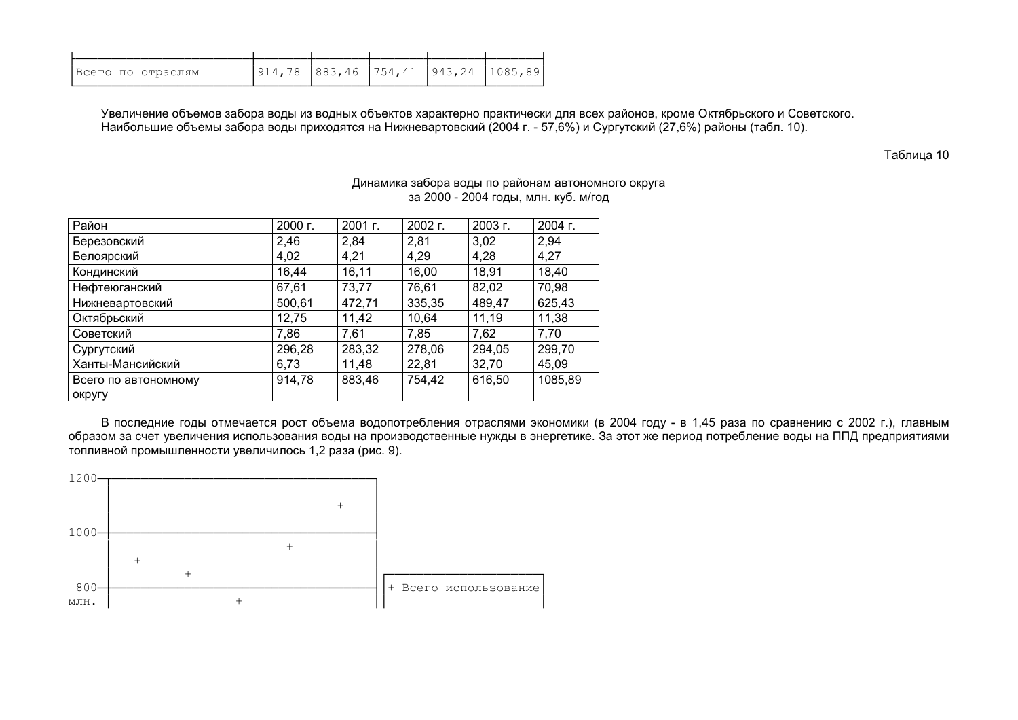| Всего по отраслям |  |  |  |
|-------------------|--|--|--|

Увеличение объемов забора воды из водных объектов характерно практически для всех районов, кроме Октябрьского и Советского. Наибольшие объемы забора воды приходятся на Нижневартовский (2004 г. - 57,6%) и Сургутский (27,6%) районы (табл. 10).

Таблица 10

| Район                | 2000 г. | 2001 г. | 2002 г. | 2003 г. | 2004 г. |
|----------------------|---------|---------|---------|---------|---------|
| Березовский          | 2,46    | 2,84    | 2,81    | 3,02    | 2,94    |
| Белоярский           | 4,02    | 4,21    | 4,29    | 4,28    | 4,27    |
| Кондинский           | 16,44   | 16,11   | 16,00   | 18,91   | 18,40   |
| Нефтеюганский        | 67,61   | 73,77   | 76,61   | 82,02   | 70,98   |
| Нижневартовский      | 500,61  | 472,71  | 335,35  | 489,47  | 625,43  |
| Октябрьский          | 12,75   | 11,42   | 10,64   | 11,19   | 11,38   |
| Советский            | 7,86    | 7,61    | 7,85    | 7,62    | 7,70    |
| Сургутский           | 296,28  | 283,32  | 278,06  | 294,05  | 299,70  |
| Ханты-Мансийский     | 6,73    | 11,48   | 22,81   | 32,70   | 45,09   |
| Всего по автономному | 914,78  | 883,46  | 754,42  | 616,50  | 1085,89 |
| округу               |         |         |         |         |         |

# Динамика забора воды по районам автономного округа за 2000 - 2004 годы, млн. куб. м/год

В последние годы отмечается рост объема водопотребления отраслями экономики (в 2004 году - в 1,45 раза по сравнению с 2002 г.), главным образом за счет увеличения использования воды на производственные нужды в энергетике. За этот же период потребление воды на ППД предприятиями топливной промышленности увеличилось 1.2 раза (рис. 9).

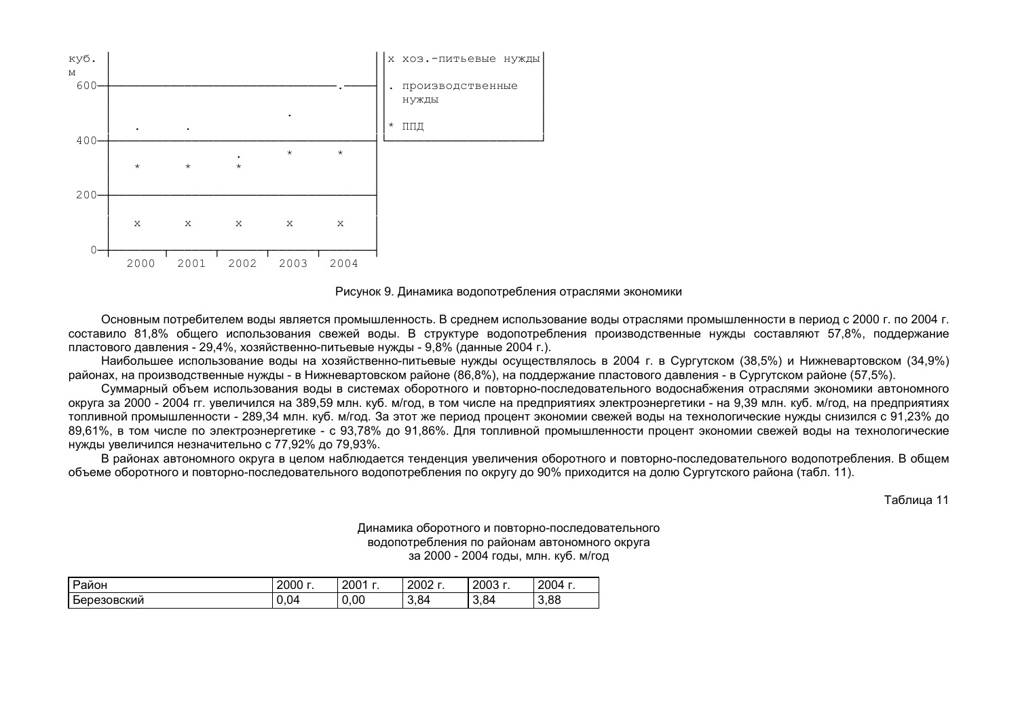

#### Рисунок 9. Динамика водопотребления отраслями экономики

Основным потребителем воды является промышленность. В среднем использование воды отраслями промышленности в период с 2000 г. по 2004 г. составило 81.8% общего использования свежей воды. В структуре водопотребления производственные нужды составляют 57.8%, поддержание пластового давления - 29,4%, хозяйственно-питьевые нужды - 9,8% (данные 2004 г.).

Наибольшее использование воды на хозяйственно-питьевые нужды осуществлялось в 2004 г. в Сургутском (38,5%) и Нижневартовском (34,9%) районах, на производственные нужды - в Нижневартовском районе (86.8%), на поддержание пластового давления - в Сургутском районе (57.5%).

Суммарный объем использования воды в системах оборотного и повторно-последовательного водоснабжения отраслями экономики автономного округа за 2000 - 2004 гг. увеличился на 389,59 млн. куб. м/год, в том числе на предприятиях электроэнергетики - на 9,39 млн. куб. м/год, на предприятиях топливной промышленности - 289,34 млн. куб. м/год. За этот же период процент экономии свежей воды на технологические нужды снизился с 91,23% до 89,61%, в том числе по электроэнергетике - с 93,78% до 91,86%. Для топливной промышленности процент экономии свежей воды на технологические нужды увеличился незначительно с 77,92% до 79,93%.

В районах автономного округа в целом наблюдается тенденция увеличения оборотного и повторно-последовательного водопотребления. В общем объеме оборотного и повторно-последовательного водопотребления по округу до 90% приходится на долю Сургутского района (табл. 11).

Таблица 11

Динамика оборотного и повторно-последовательного водопотребления по районам автономного округа за 2000 - 2004 годы, млн. куб. м/год

| Район              | 2000 г. | 2001 | 2002<br>. . | 2003<br>. . | $2004$ г. |
|--------------------|---------|------|-------------|-------------|-----------|
| <b>Ьерезовский</b> | 0,04    | 0,00 | 3,84        | 3,84        | 3,88      |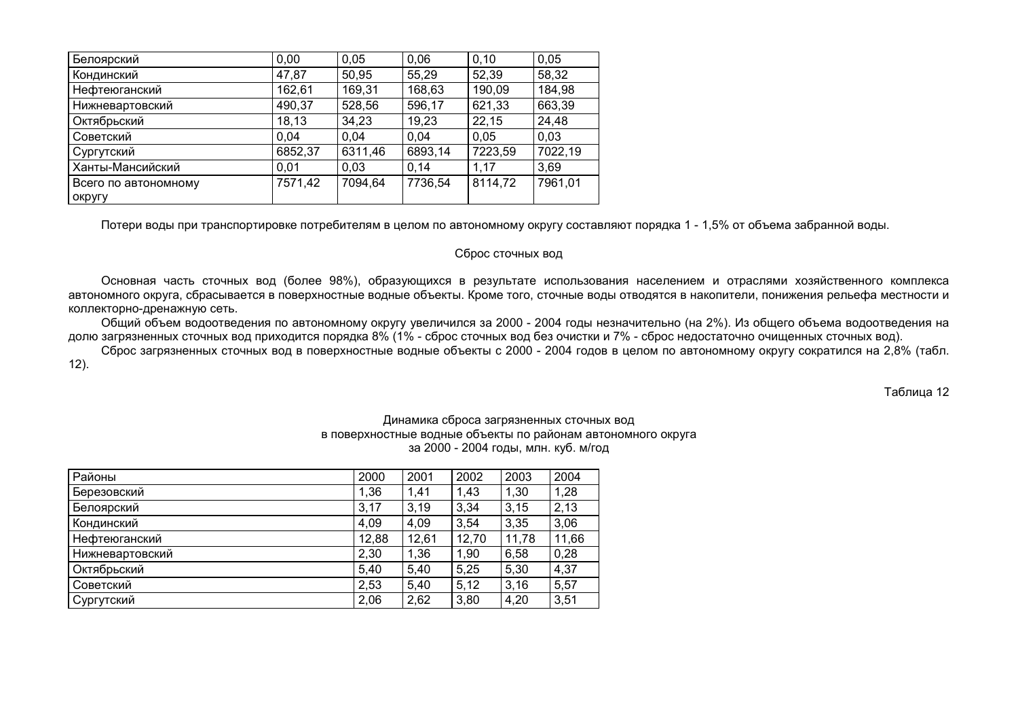| Белоярский           | 0,00    | 0,05    | 0,06    | 0,10    | 0,05    |
|----------------------|---------|---------|---------|---------|---------|
| Кондинский           | 47,87   | 50,95   | 55,29   | 52,39   | 58,32   |
| Нефтеюганский        | 162,61  | 169,31  | 168,63  | 190,09  | 184,98  |
| Нижневартовский      | 490,37  | 528,56  | 596,17  | 621,33  | 663,39  |
| Октябрьский          | 18,13   | 34,23   | 19,23   | 22,15   | 24,48   |
| Советский            | 0,04    | 0,04    | 0,04    | 0,05    | 0,03    |
| Сургутский           | 6852,37 | 6311,46 | 6893,14 | 7223,59 | 7022,19 |
| Ханты-Мансийский     | 0,01    | 0,03    | 0,14    | 1,17    | 3,69    |
| Всего по автономному | 7571,42 | 7094,64 | 7736,54 | 8114,72 | 7961,01 |
| округу               |         |         |         |         |         |

Потери воды при транспортировке потребителям в целом по автономному округу составляют порядка 1 - 1,5% от объема забранной воды.

## Сброс сточных вод

Основная часть сточных вод (более 98%), образующихся в результате использования населением и отраслями хозяйственного комплекса автономного округа, сбрасывается в поверхностные водные объекты. Кроме того, сточные воды отводятся в накопители, понижения рельефа местности и коллекторно-дренажную сеть.

Общий объем водоотведения по автономному округу увеличился за 2000 - 2004 годы незначительно (на 2%). Из общего объема водоотведения на долю загрязненных сточных вод приходится порядка 8% (1% - сброс сточных вод без очистки и 7% - сброс недостаточно очищенных сточных вод).

Сброс загрязненных сточных вод в поверхностные водные объекты с 2000 - 2004 годов в целом по автономному округу сократился на 2,8% (табл.  $12$ ).

Таблица 12

|                 | за 2000 - 2004 годы, млн. куб. м/год |       |       |       |       |  |  |
|-----------------|--------------------------------------|-------|-------|-------|-------|--|--|
| Районы          | 2000                                 | 2001  | 2002  | 2003  | 2004  |  |  |
| Березовский     | 1,36                                 | 1,41  | 1,43  | 1,30  | 1,28  |  |  |
| Белоярский      | 3,17                                 | 3,19  | 3,34  | 3,15  | 2,13  |  |  |
| Кондинский      | 4,09                                 | 4,09  | 3,54  | 3,35  | 3,06  |  |  |
| Нефтеюганский   | 12,88                                | 12,61 | 12,70 | 11,78 | 11,66 |  |  |
| Нижневартовский | 2,30                                 | 1,36  | 1,90  | 6,58  | 0,28  |  |  |
| Октябрьский     | 5,40                                 | 5,40  | 5,25  | 5,30  | 4,37  |  |  |
| Советский       | 2,53                                 | 5,40  | 5,12  | 3,16  | 5,57  |  |  |
| Сургутский      | 2,06                                 | 2,62  | 3,80  | 4,20  | 3,51  |  |  |

Динамика сброса загрязненных сточных вод в поверхностные водные объекты по районам автономного округа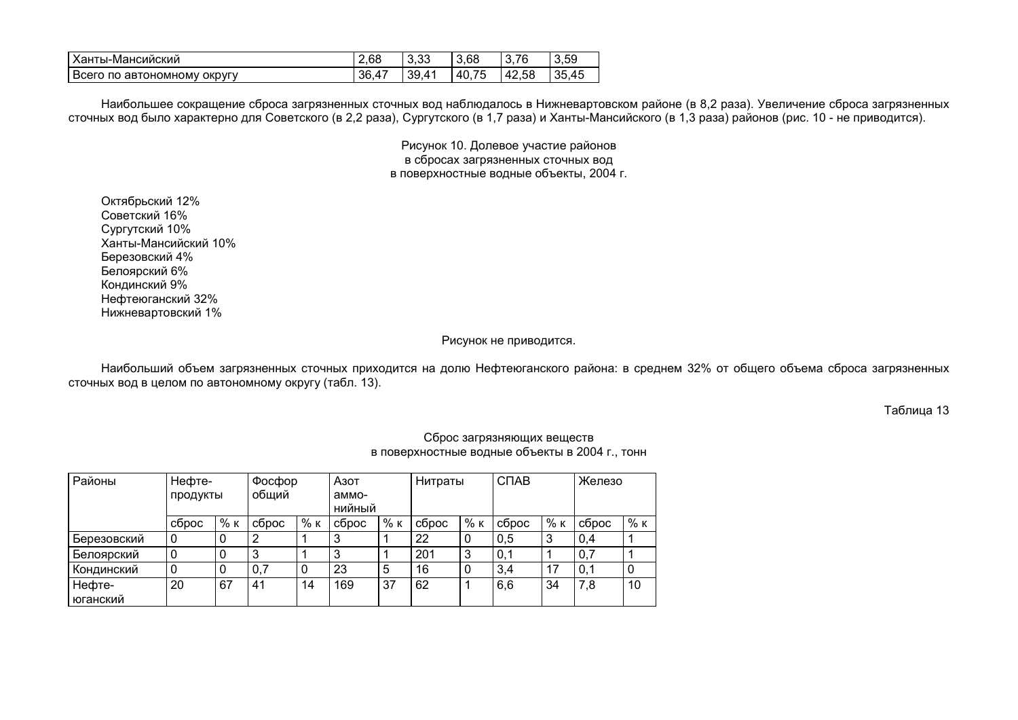| Ханты-Мансийский                         | 2,68  | $\sim$ $\sim$<br>ິ.ບ. | 3,68         | 3,76  | 3,59  |
|------------------------------------------|-------|-----------------------|--------------|-------|-------|
| Bcero<br>по автономному<br><b>OKDVFV</b> | 36.4. | 39.                   | 40,75<br>ں ، | 42,58 | 35,45 |

Наибольшее сокращение сброса загрязненных сточных вод наблюдалось в Нижневартовском районе (в 8,2 раза). Увеличение сброса загрязненных сточных вод было характерно для Советского (в 2,2 раза), Сургутского (в 1,7 раза) и Ханты-Мансийского (в 1,3 раза) районов (рис. 10 - не приводится).

> Рисунок 10. Долевое участие районов в сбросах загрязненных сточных вод в поверхностные водные объекты, 2004 г.

Октябрьский 12% Советский 16% Сургутский 10% Ханты-Мансийский 10% Березовский 4% Белоярский 6% Кондинский 9% Нефтеюганский 32% Нижневартовский 1%

# Рисунок не приводится.

Наибольший объем загрязненных сточных приходится на долю Нефтеюганского района: в среднем 32% от общего объема сброса загрязненных сточных вод в целом по автономному округу (табл. 13).

Таблица 13

| Районы<br>Нефте-   |          |       | $\Phi$ oc $\Phi$ op |     | Азот            |     |       | Нитраты |       | <b>CTAB</b> |       | Железо |
|--------------------|----------|-------|---------------------|-----|-----------------|-----|-------|---------|-------|-------------|-------|--------|
|                    | продукты |       | обший               |     | аммо-<br>нийный |     |       |         |       |             |       |        |
|                    | сброс    | $%$ K | cброс               | % K | cбpoc           | % к | сброс | % K     | сброс | $%$ K       | сброс | $%$ K  |
| Березовский        |          |       | 2                   |     | 3               |     | 22    | J.      | 0,5   | 0<br>د      | 0,4   |        |
| Белоярский         |          | 0     | 3                   |     | 3               |     | 201   | 3       | 0,1   |             | 0,7   |        |
| Кондинский         |          |       | 0,7                 | 0   | 23              | 5   | 16    | -U      | 3,4   | 17          | 0,1   | 0      |
| Нефте-<br>юганский | 20       | 67    | 41                  | 14  | 169             | 37  | 62    |         | 6,6   | 34          | 7,8   | 10     |

## Сброс загрязняющих веществ в поверхностные водные объекты в 2004 г., тонн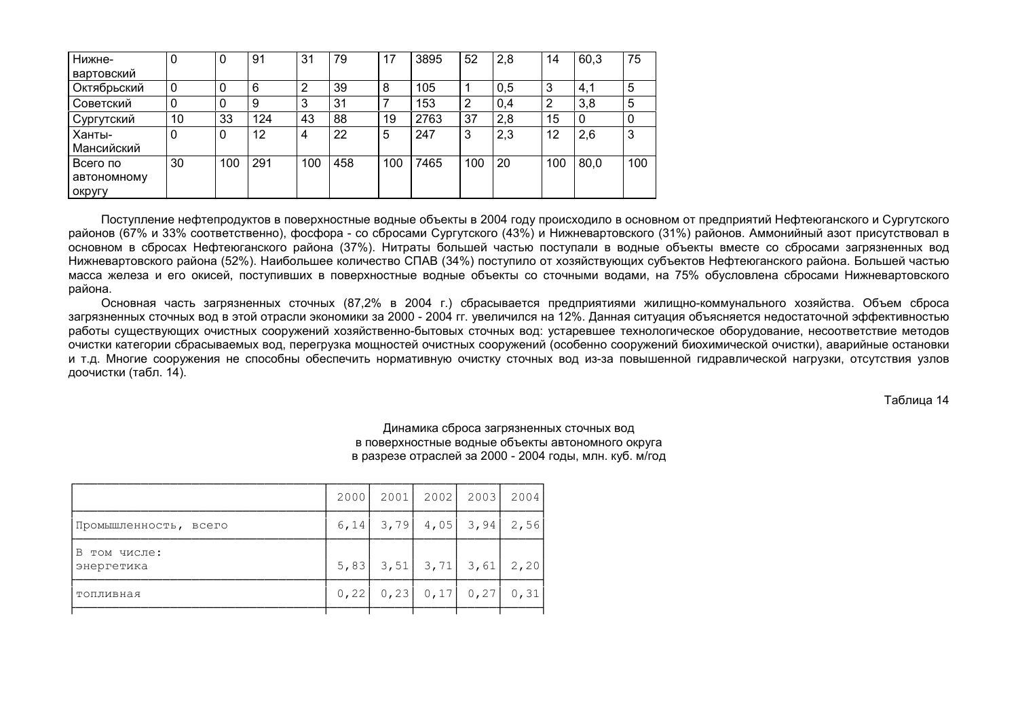| Нижне-                            | $\Omega$ | 0   | 91  | 3'  | 79  | 17  | 3895 | 52  | 2,8 | 14  | 60,3        | 75  |
|-----------------------------------|----------|-----|-----|-----|-----|-----|------|-----|-----|-----|-------------|-----|
| вартовский                        |          |     |     |     |     |     |      |     |     |     |             |     |
| Октябрьский                       | 0        | 0   | 6   | 2   | 39  | 8   | 105  |     | 0,5 | 3   | 4,1         | 5   |
| Советский                         |          | 0   | 9   | 3   | 31  |     | 153  | 2   | 0,4 | 2   | 3,8         | 5   |
| Сургутский                        | 10       | 33  | 124 | 43  | 88  | 19  | 2763 | 37  | 2,8 | 15  | $\mathbf 0$ | 0   |
| Ханты-<br>Мансийский              | $\Omega$ | 0   | 12  | 4   | 22  | 5   | 247  | 3   | 2,3 | 12  | 2,6         | 3   |
| Всего по<br>автономному<br>округу | 30       | 100 | 291 | 100 | 458 | 100 | 7465 | 100 | 20  | 100 | 80,0        | 100 |

Поступление нефтепродуктов в поверхностные водные объекты в 2004 году происходило в основном от предприятий Нефтеюганского и Сургутского районов (67% и 33% соответственно), фосфора - со сбросами Сургутского (43%) и Нижневартовского (31%) районов. Аммонийный азот присутствовал в основном в сбросах Нефтеюганского района (37%). Нитраты большей частью поступали в водные объекты вместе со сбросами загрязненных вод Нижневартовского района (52%). Наибольшее количество СПАВ (34%) поступило от хозяйствующих субъектов Нефтеюганского района. Большей частью масса железа и его окисей, поступивших в поверхностные водные объекты со сточными водами, на 75% обусловлена сбросами Нижневартовского района.

Основная часть загрязненных сточных (87,2% в 2004 г.) сбрасывается предприятиями жилищно-коммунального хозяйства. Объем сброса загрязненных сточных вод в этой отрасли экономики за 2000 - 2004 гг. увеличился на 12%. Данная ситуация объясняется недостаточной эффективностью работы существующих очистных сооружений хозяйственно-бытовых сточных вод: устаревшее технологическое оборудование, несоответствие методов очистки категории сбрасываемых вод, перегрузка мощностей очистных сооружений (особенно сооружений биохимической очистки), аварийные остановки и т.д. Многие сооружения не способны обеспечить нормативную очистку сточных вод из-за повышенной гидравлической нагрузки, отсутствия узлов доочистки (табл. 14).

Таблица 14

|                               | 2000 |                                                         | 2001   2002   2003 | 2004  |
|-------------------------------|------|---------------------------------------------------------|--------------------|-------|
| Промышленность, всего         |      | $6, 14$ 3, 79 4, 05 3, 94 2, 56                         |                    |       |
| В<br>том числе:<br>энергетика |      | $5,83$ 3,51 3,71 3,61                                   |                    | 2,20  |
| топливная                     |      | $0, 22 \begin{bmatrix} 0, 23 \end{bmatrix}$ 0, 17 0, 27 |                    | 0, 31 |
|                               |      |                                                         |                    |       |

# Динамика сброса загрязненных сточных вод в поверхностные водные объекты автономного округа в разрезе отраслей за 2000 - 2004 годы, млн. куб. м/год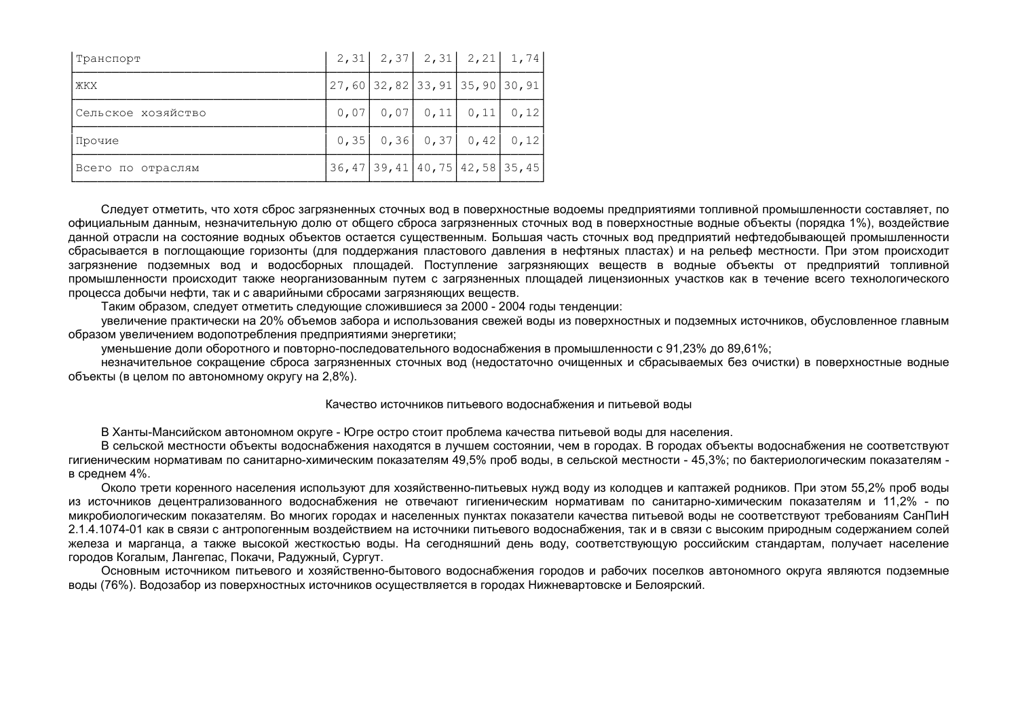| Транспорт          | 2, 31   2, 37   2, 31   2, 21   1, 74 |  |  |
|--------------------|---------------------------------------|--|--|
| <b>KKX</b>         | 27,60   32,82   33,91   35,90   30,91 |  |  |
| Сельское хозяйство | $0,07$ 0,07 0,11 0,11 0,12            |  |  |
| Прочие             | $0,35$ 0,36 0,37 0,42 0,12            |  |  |
| Всего по отраслям  | $36, 47$ 39, 41 40, 75 42, 58 35, 45  |  |  |

Следует отметить, что хотя сброс загрязненных сточных вод в поверхностные водоемы предприятиями топливной промышленности составляет, по официальным данным, незначительную долю от общего сброса загрязненных сточных вод в поверхностные водные объекты (порядка 1%), воздействие данной отрасли на состояние водных объектов остается существенным. Большая часть сточных вод предприятий нефтедобывающей промышленности сбрасывается в поглощающие горизонты (для поддержания пластового давления в нефтяных пластах) и на рельеф местности. При этом происходит загрязнение подземных вод и водосборных площадей. Поступление загрязняющих веществ в водные объекты от предприятий топливной промышленности происходит также неорганизованным путем с загрязненных площадей лицензионных участков как в течение всего технологического процесса добычи нефти, так и с аварийными сбросами загрязняющих веществ.

Таким образом, следует отметить следующие сложившиеся за 2000 - 2004 годы тенденции:

увеличение практически на 20% объемов забора и использования свежей воды из поверхностных и подземных источников, обусловленное главным образом увеличением водопотребления предприятиями энергетики;

уменьшение доли оборотного и повторно-последовательного водоснабжения в промышленности с 91,23% до 89,61%;

незначительное сокращение сброса загрязненных сточных вод (недостаточно очищенных и сбрасываемых без очистки) в поверхностные водные объекты (в целом по автономному округу на 2,8%).

## Качество источников питьевого водоснабжения и питьевой воды

В Ханты-Мансийском автономном округе - Югре остро стоит проблема качества питьевой воды для населения.

В сельской местности объекты водоснабжения находятся в лучшем состоянии, чем в городах. В городах объекты водоснабжения не соответствуют гигиеническим нормативам по санитарно-химическим показателям 49.5% проб воды, в сельской местности - 45.3%; по бактериологическим показателям в среднем 4%.

Около трети коренного населения используют для хозяйственно-питьевых нужд воду из колодцев и каптажей родников. При этом 55,2% проб воды из источников децентрализованного водоснабжения не отвечают гигиеническим нормативам по санитарно-химическим показателям и 11,2% - по микробиологическим показателям. Во многих городах и населенных пунктах показатели качества питьевой воды не соответствуют требованиям СанПиН 2.1.4.1074-01 как в связи с антропогенным воздействием на источники питьевого водоснабжения, так и в связи с высоким природным содержанием солей железа и марганца, а также высокой жесткостью воды. На сегодняшний день воду, соответствующую российским стандартам, получает население городов Когалым, Лангепас, Покачи, Радужный, Сургут.

Основным источником питьевого и хозяйственно-бытового водоснабжения городов и рабочих поселков автономного округа являются подземные воды (76%). Водозабор из поверхностных источников осуществляется в городах Нижневартовске и Белоярский.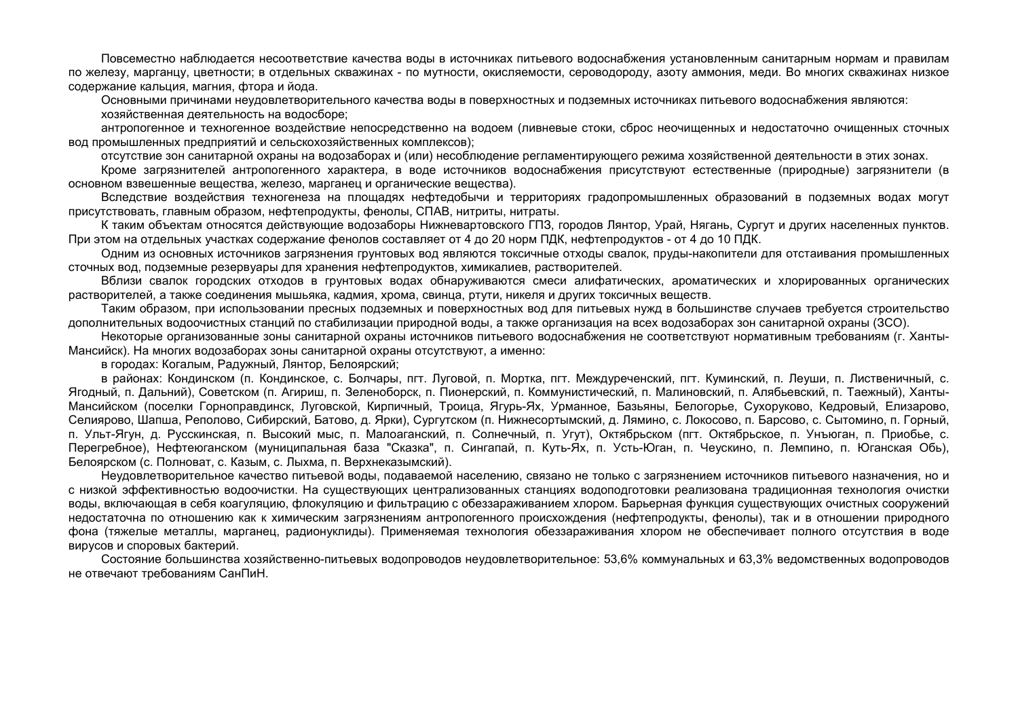Повсеместно наблюдается несоответствие качества воды в источниках питьевого водоснабжения установленным санитарным нормам и правилам по железу, марганцу, цветности; в отдельных скважинах - по мутности, окисляемости, сероводороду, азоту аммония, меди. Во многих скважинах низкое содержание кальция, магния, фтора и йода.

Основными причинами неудовлетворительного качества воды в поверхностных и подземных источниках питьевого водоснабжения являются: хозяйственная деятельность на водосборе:

антропогенное и техногенное воздействие непосредственно на водоем (ливневые стоки, сброс неочищенных и недостаточно очищенных сточных вод промышленных предприятий и сельскохозяйственных комплексов);

отсутствие зон санитарной охраны на водозаборах и (или) несоблюдение регламентирующего режима хозяйственной деятельности в этих зонах.

Кроме загрязнителей антропогенного характера, в воде источников водоснабжения присутствуют естественные (природные) загрязнители (в основном взвешенные вещества, железо, марганец и органические вещества).

Вследствие воздействия техногенеза на площадях нефтедобычи и территориях градопромышленных образований в подземных водах могут присутствовать, главным образом, нефтепродукты, фенолы, СПАВ, нитриты, нитраты.

К таким объектам относятся действующие водозаборы Нижневартовского ГПЗ, городов Лянтор, Урай, Нягань, Сургут и других населенных пунктов. При этом на отдельных участках содержание фенолов составляет от 4 до 20 норм ПДК, нефтепродуктов - от 4 до 10 ПДК.

Одним из основных источников загрязнения грунтовых вод являются токсичные отходы свалок, пруды-накопители для отстаивания промышленных сточных вод, подземные резервуары для хранения нефтепродуктов, химикалиев, растворителей.

Вблизи свалок городских отходов в грунтовых водах обнаруживаются смеси алифатических, ароматических и хлорированных органических растворителей, а также соединения мышьяка, кадмия, хрома, свинца, ртути, никеля и других токсичных веществ.

Таким образом, при использовании пресных подземных и поверхностных вод для питьевых нужд в большинстве случаев требуется строительство дополнительных водоочистных станций по стабилизации природной воды, а также организация на всех водозаборах зон санитарной охраны (3CO),

Некоторые организованные зоны санитарной охраны источников питьевого водоснабжения не соответствуют нормативным требованиям (г. Ханты-Мансийск). На многих водозаборах зоны санитарной охраны отсутствуют, а именно:

в городах: Когалым, Радужный, Лянтор, Белоярский;

в районах: Кондинском (п. Кондинское, с. Болчары, пгт. Луговой, п. Мортка, пгт. Междуреченский, пгт. Куминский, п. Леуши, п. Лиственичный, с. Ягодный, п. Дальний), Советском (п. Агириш, п. Зеленоборск, п. Пионерский, п. Коммунистический, п. Малиновский, п. Алябьевский, п. Таежный), Ханты-Мансийском (поселки Горноправдинск, Луговской, Кирпичный, Троица, Ягурь-Ях, Урманное, Базьяны, Белогорье, Сухоруково, Кедровый, Елизарово, Селиярово, Шапша, Реполово, Сибирский, Батово, д. Ярки), Сургутском (п. Нижнесортымский, д. Лямино, с. Локосово, п. Барсово, с. Сытомино, п. Горный, п. Ульт-Ягун, д. Русскинская, п. Высокий мыс, п. Малоаганский, п. Солнечный, п. Угут), Октябрьском (пгт. Октябрьское, п. Унъюган, п. Приобье, с. Перегребное), Нефтеюганском (муниципальная база "Сказка", п. Сингапай, п. Куть-Ях, п. Усть-Юган, п. Чеускино, п. Лемпино, п. Юганская Обь), Белоярском (с. Полноват, с. Казым, с. Лыхма, п. Верхнеказымский).

Неудовлетворительное качество питьевой воды, подаваемой населению, связано не только с загрязнением источников питьевого назначения, но и с низкой эффективностью водоочистки. На существующих централизованных станциях водоподготовки реализована традиционная технология очистки воды, включающая в себя коагуляцию, флокуляцию и фильтрацию с обеззараживанием хлором. Барьерная функция существующих очистных сооружений недостаточна по отношению как к химическим загрязнениям антропогенного происхождения (нефтепродукты, фенолы), так и в отношении природного фона (тяжелые металлы, марганец, радионуклиды). Применяемая технология обеззараживания хлором не обеспечивает полного отсутствия в воде вирусов и споровых бактерий.

Состояние большинства хозяйственно-питьевых водопроводов неудовлетворительное: 53.6% коммунальных и 63.3% ведомственных водопроводов не отвечают требованиям СанПиН.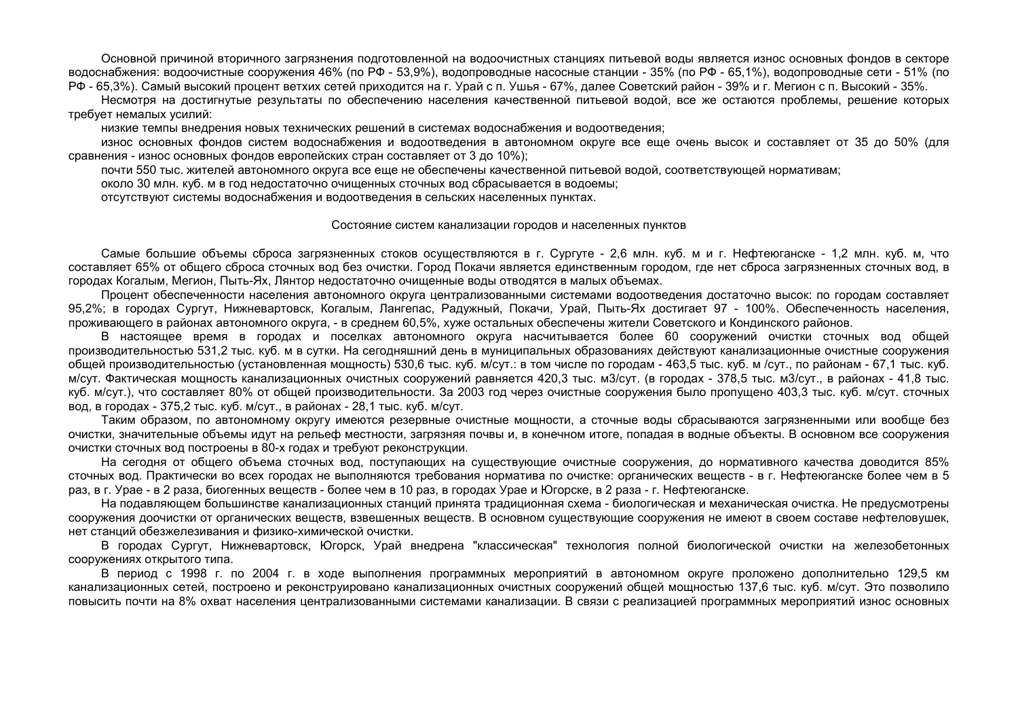Основной причиной вторичного загрязнения подготовленной на водоочистных станциях питьевой воды является износ основных фондов в секторе водоснабжения: водоочистные сооружения 46% (по РФ - 53.9%), водопроводные насосные станции - 35% (по РФ - 65.1%), водопроводные сети - 51% (по РФ - 65,3%). Самый высокий процент ветхих сетей приходится на г. Урай с п. Ушья - 67%, далее Советский район - 39% и г. Мегион с п. Высокий - 35%.

Несмотря на достигнутые результаты по обеспечению населения качественной питьевой водой, все же остаются проблемы, решение которых требует немалых усилий:

низкие темпы внедрения новых технических решений в системах водоснабжения и водоотведения:

износ основных фондов систем водоснабжения и водоотведения в автономном округе все еще очень высок и составляет от 35 до 50% (для сравнения - износ основных фондов европейских стран составляет от 3 до 10%):

почти 550 тыс. жителей автономного округа все еще не обеспечены качественной питьевой водой, соответствующей нормативам;

около 30 млн. куб. м в год недостаточно очищенных сточных вод сбрасывается в водоемы;

отсутствуют системы водоснабжения и водоотведения в сельских населенных пунктах.

#### Состояние систем канализации городов и населенных пунктов

Самые большие объемы сброса загрязненных стоков осуществляются в г. Сургуте - 2,6 млн. куб. м и г. Нефтеюганске - 1,2 млн. куб. м, что составляет 65% от общего сброса сточных вод без очистки. Город Покачи является единственным городом, где нет сброса загрязненных сточных вод, в городах Когалым, Мегион, Пыть-Ях, Лянтор недостаточно очищенные воды отводятся в малых объемах.

Процент обеспеченности населения автономного округа централизованными системами водоотведения достаточно высок: по городам составляет 95.2%; в городах Сургут, Нижневартовск, Когалым, Лангепас, Радужный, Покачи, Урай, Пыть-Ях достигает 97 - 100%. Обеспеченность населения, проживающего в районах автономного округа. - в среднем 60.5%, хуже остальных обеспечены жители Советского и Кондинского районов.

В настоящее время в городах и поселках автономного округа насчитывается более 60 сооружений очистки сточных вод общей производительностью 531,2 тыс. куб. м в сутки. На сегодняшний день в муниципальных образованиях действуют канализационные очистные сооружения общей производительностью (установленная мощность) 530,6 тыс. куб. м/сут.: в том числе по городам - 463,5 тыс. куб. м/сут., по районам - 67,1 тыс. куб. м/сут. Фактическая мощность канализационных очистных сооружений равняется 420,3 тыс. м3/сут. (в городах - 378,5 тыс. м3/сут., в районах - 41,8 тыс. куб. м/сут.), что составляет 80% от общей производительности. За 2003 год через очистные сооружения было пропущено 403.3 тыс. куб. м/сут. сточных вод. в городах - 375.2 тыс. куб. м/сут., в районах - 28.1 тыс. куб. м/сут.

Таким образом, по автономному округу имеются резервные очистные мощности, а сточные воды сбрасываются загрязненными или вообще без очистки, значительные объемы идут на рельеф местности, загрязняя почвы и, в конечном итоге, попадая в водные объекты. В основном все сооружения очистки сточных вод построены в 80-х годах и требуют реконструкции.

На сегодня от общего объема сточных вод, поступающих на существующие очистные сооружения, до нормативного качества доводится 85% сточных вод. Практически во всех городах не выполняются требования норматива по очистке: органических веществ - в г. Нефтеюганске более чем в 5 раз, в г. Урае - в 2 раза, биогенных веществ - более чем в 10 раз, в городах Урае и Югорске, в 2 раза - г. Нефтеюганске.

На подавляющем большинстве канализационных станций принята традиционная схема - биологическая и механическая очистка. Не предусмотрены сооружения доочистки от органических веществ, взвешенных веществ. В основном существующие сооружения не имеют в своем составе нефтеловушек, нет станций обезжелезивания и физико-химической очистки.

В городах Сургут, Нижневартовск, Югорск, Урай внедрена "классическая" технология полной биологической очистки на железобетонных сооружениях открытого типа.

В период с 1998 г. по 2004 г. в ходе выполнения программных мероприятий в автономном округе проложено дополнительно 129,5 км канализационных сетей, построено и реконструировано канализационных очистных сооружений общей мощностью 137,6 тыс. куб. м/сут. Это позволило повысить почти на 8% охват населения централизованными системами канализации. В связи с реализацией программных мероприятий износ основных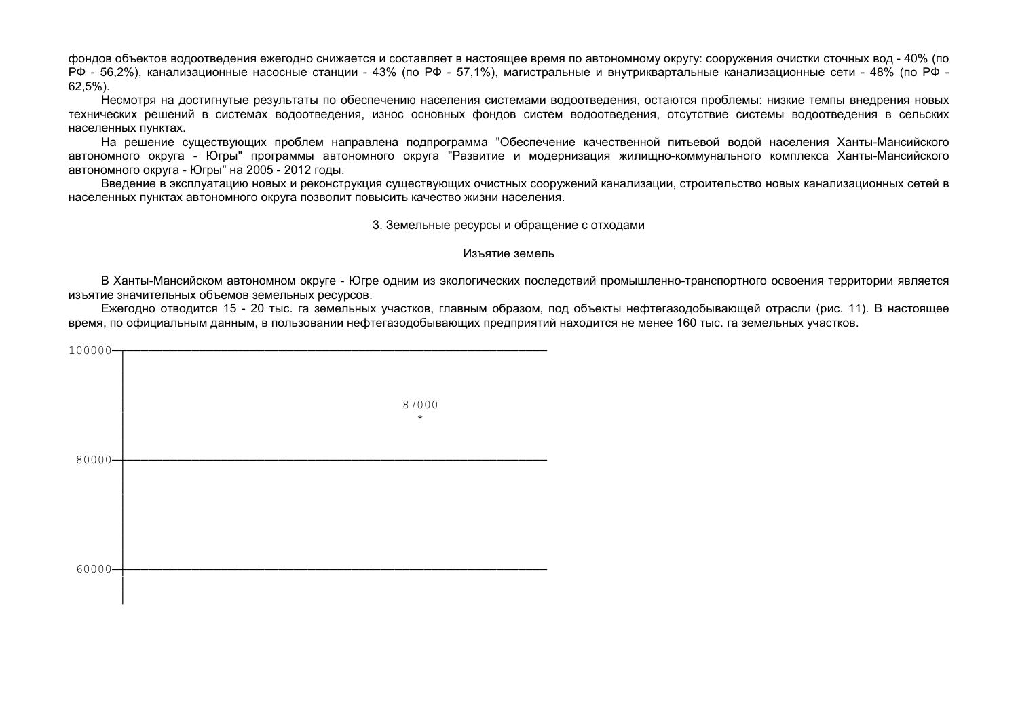фондов объектов водоотведения ежегодно снижается и составляет в настоящее время по автономному округу: сооружения очистки сточных вод - 40% (по РФ - 56.2%), канализационные насосные станции - 43% (по РФ - 57.1%), магистральные и внутриквартальные канализационные сети - 48% (по РФ - $62.5\%$ ).

Несмотря на достигнутые результаты по обеспечению населения системами водоотведения, остаются проблемы: низкие темпы внедрения новых технических решений в системах водоотведения, износ основных фондов систем водоотведения, отсутствие системы водоотведения в сельских населенных пунктах.

На решение существующих проблем направлена подпрограмма "Обеспечение качественной питьевой водой населения Ханты-Мансийского автономного округа - Югры" программы автономного округа "Развитие и модернизация жилишно-коммунального комплекса Ханты-Мансийского автономного округа - Югры" на 2005 - 2012 годы.

Введение в эксплуатацию новых и реконструкция существующих очистных сооружений канализации, строительство новых канализационных сетей в населенных пунктах автономного округа позволит повысить качество жизни населения.

3. Земельные ресурсы и обращение с отходами

#### Изъятие земель

В Ханты-Мансийском автономном округе - Югре одним из экологических последствий промышленно-транспортного освоения территории является изъятие значительных объемов земельных ресурсов.

Ежегодно отводится 15 - 20 тыс. га земельных участков, главным образом, под объекты нефтегазодобывающей отрасли (рис. 11). В настоящее время, по официальным данным, в пользовании нефтегазодобывающих предприятий находится не менее 160 тыс, га земельных участков,

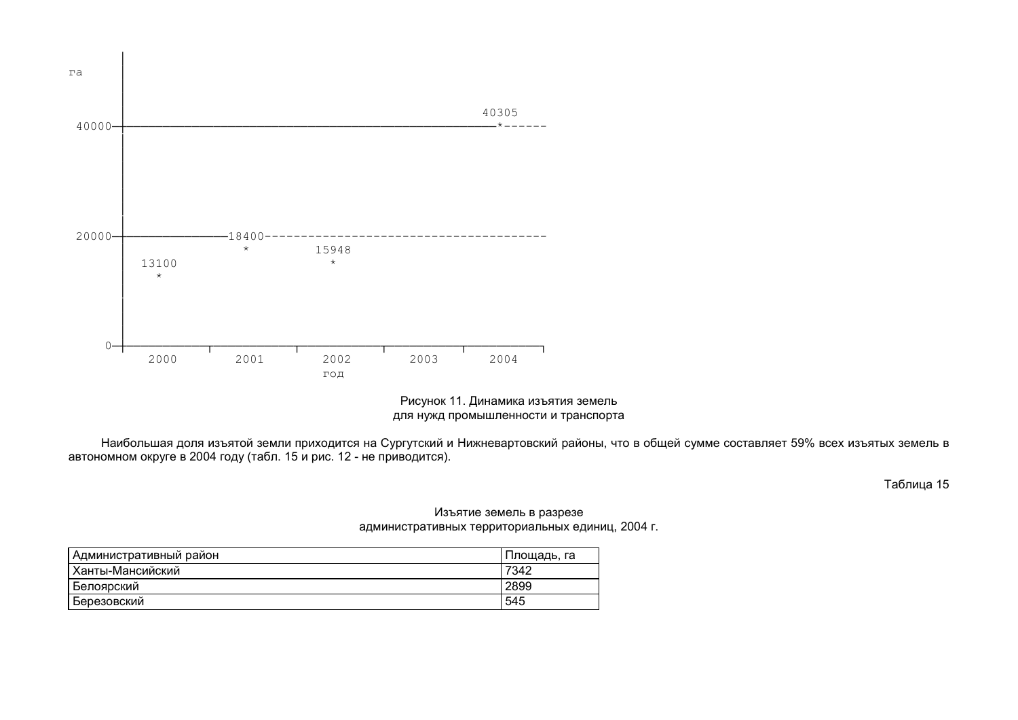

Рисунок 11. Динамика изъятия земель для нужд промышленности и транспорта

Наибольшая доля изъятой земли приходится на Сургутский и Нижневартовский районы, что в общей сумме составляет 59% всех изъятых земель в автономном округе в 2004 году (табл. 15 и рис. 12 - не приводится).

Таблица 15

# Изъятие земель в разрезе административных территориальных единиц, 2004 г.

| Административный район | . Площадь, га |
|------------------------|---------------|
| . Ханты-Мансийский     | 7342          |
| Белоярский             | 2899          |
| Березовский            | 545           |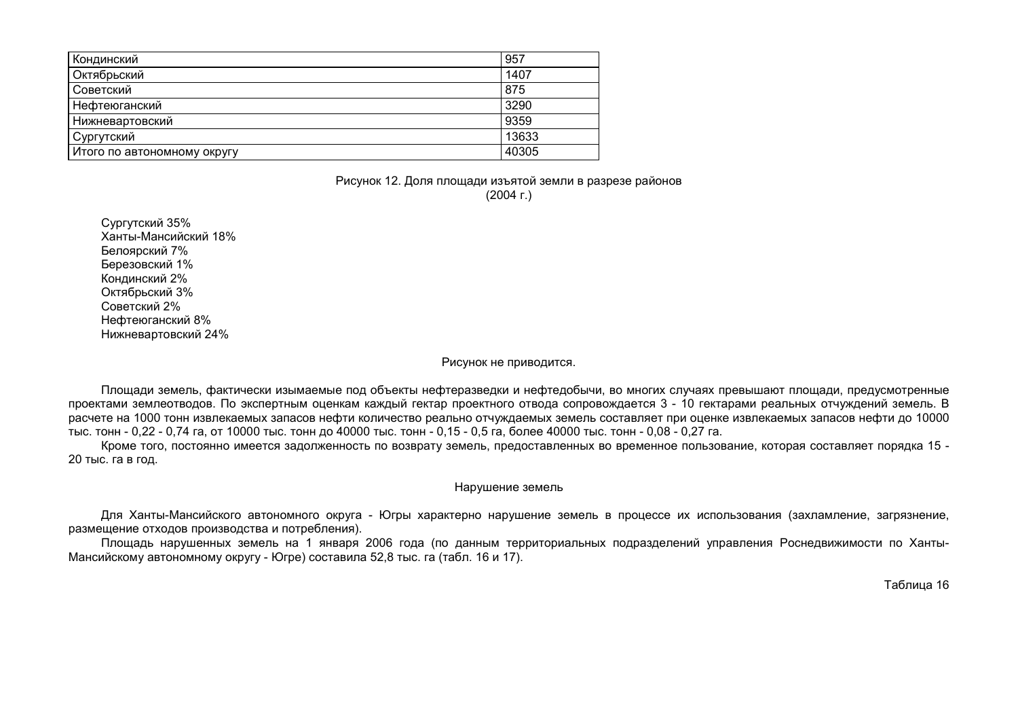| Кондинский                  | 957   |
|-----------------------------|-------|
| Октябрьский                 | 1407  |
| Советский                   | 875   |
| Нефтеюганский               | 3290  |
| Нижневартовский             | 9359  |
| Сургутский                  | 13633 |
| Итого по автономному округу | 40305 |

Рисунок 12. Доля плошади изъятой земли в разрезе районов  $(2004 r.)$ 

Сургутский 35% Ханты-Мансийский 18% Белоярский 7% Березовский 1% Кондинский 2% Октябрьский 3% Советский 2% Нефтеюганский 8% Нижневартовский 24%

#### Рисунок не приводится.

Площади земель, фактически изымаемые под объекты нефтеразведки и нефтедобычи, во многих случаях превышают площади, предусмотренные проектами землеотводов. По экспертным оценкам каждый гектар проектного отвода сопровождается 3 - 10 гектарами реальных отчуждений земель. В расчете на 1000 тонн извлекаемых запасов нефти количество реально отчуждаемых земель составляет при оценке извлекаемых запасов нефти до 10000 тыс. тонн - 0,22 - 0,74 га, от 10000 тыс. тонн до 40000 тыс. тонн - 0,15 - 0,5 га, более 40000 тыс. тонн - 0,08 - 0,27 га.

Кроме того, постоянно имеется задолженность по возврату земель, предоставленных во временное пользование, которая составляет порядка 15 -20 тыс. га в год.

#### Нарушение земель

Для Ханты-Мансийского автономного округа - Югры характерно нарушение земель в процессе их использования (захламление, загрязнение, размещение отходов производства и потребления).

Площадь нарушенных земель на 1 января 2006 года (по данным территориальных подразделений управления Роснедвижимости по Ханты-Мансийскому автономному округу - Югре) составила 52,8 тыс. га (табл. 16 и 17).

Таблица 16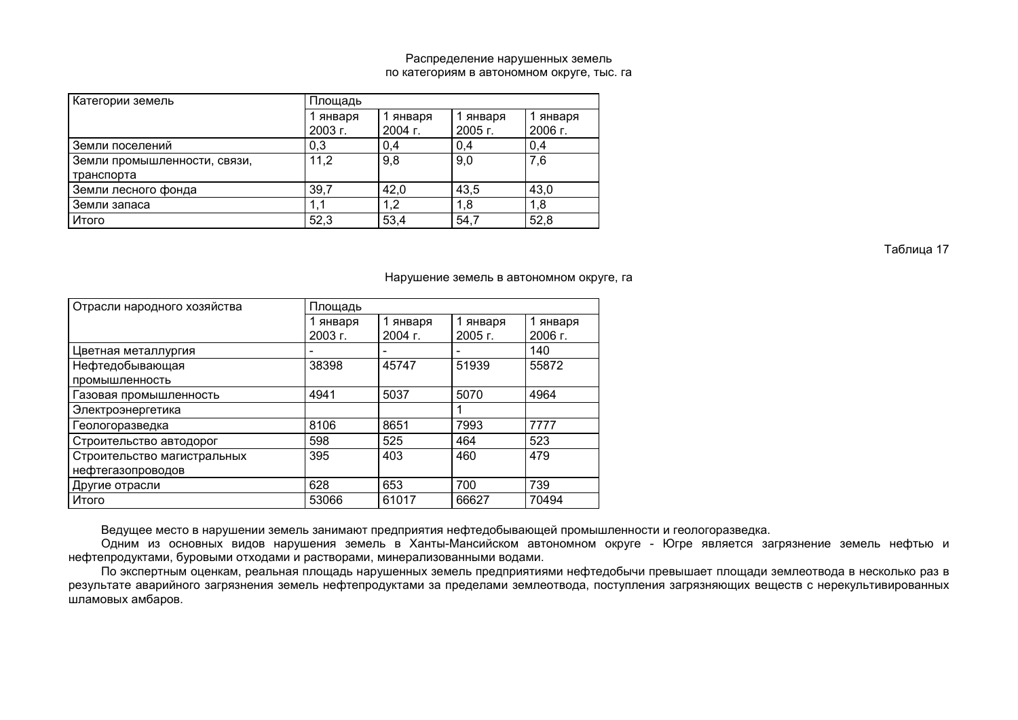# Распределение нарушенных земель по категориям в автономном округе, тыс. га

| Категории земель             | Площадь  |           |          |          |  |  |
|------------------------------|----------|-----------|----------|----------|--|--|
|                              | 1 января | 1 января  | 1 января | 1 января |  |  |
|                              | 2003 г.  | $2004$ г. | 2005 г.  | 2006 г.  |  |  |
| Земли поселений              | 0,3      | 0,4       | 0,4      | 0,4      |  |  |
| Земли промышленности, связи, | 11,2     | 9,8       | 9,0      | 7,6      |  |  |
| транспорта                   |          |           |          |          |  |  |
| Земли лесного фонда          | 39,7     | 42.0      | 43,5     | 43,0     |  |  |
| Земли запаса                 |          | 1,2       | 1,8      | 1,8      |  |  |
| Итого                        | 52,3     | 53,4      | 54,7     | 52,8     |  |  |

Таблица 17

## Нарушение земель в автономном округе, га

| Отрасли народного хозяйства | Площадь   |          |           |           |  |  |
|-----------------------------|-----------|----------|-----------|-----------|--|--|
|                             | 1 января  | 1 января | 1 января  | 1 января  |  |  |
|                             | $2003$ г. | 2004 г.  | $2005r$ . | $2006$ г. |  |  |
| Цветная металлургия         |           |          |           | 140       |  |  |
| Нефтедобывающая             | 38398     | 45747    | 51939     | 55872     |  |  |
| промышленность              |           |          |           |           |  |  |
| Газовая промышленность      | 4941      | 5037     | 5070      | 4964      |  |  |
| Электроэнергетика           |           |          |           |           |  |  |
| Геологоразведка             | 8106      | 8651     | 7993      | 7777      |  |  |
| Строительство автодорог     | 598       | 525      | 464       | 523       |  |  |
| Строительство магистральных | 395       | 403      | 460       | 479       |  |  |
| нефтегазопроводов           |           |          |           |           |  |  |
| Другие отрасли              | 628       | 653      | 700       | 739       |  |  |
| Итого                       | 53066     | 61017    | 66627     | 70494     |  |  |

Ведущее место в нарушении земель занимают предприятия нефтедобывающей промышленности и геологоразведка.

Одним из основных видов нарушения земель в Ханты-Мансийском автономном округе - Югре является загрязнение земель нефтью и нефтепродуктами, буровыми отходами и растворами, минерализованными водами.

По экспертным оценкам, реальная площадь нарушенных земель предприятиями нефтедобычи превышает площади землеотвода в несколько раз в результате аварийного загрязнения земель нефтепродуктами за пределами землеотвода, поступления загрязняющих веществ с нерекультивированных шламовых амбаров.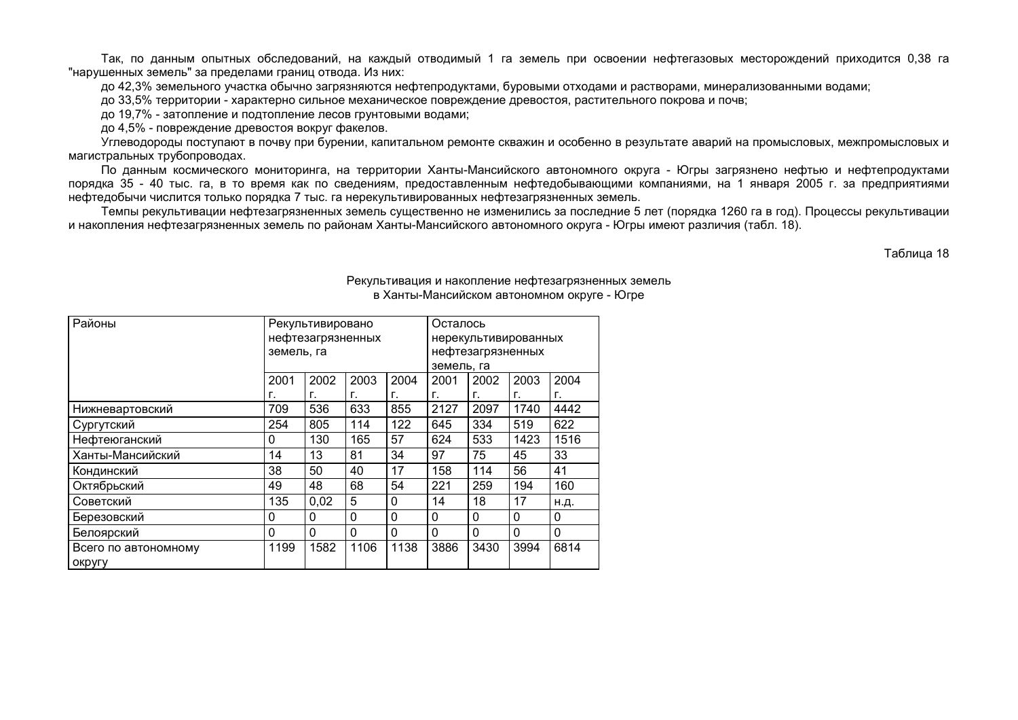Так, по данным опытных обследований, на каждый отводимый 1 га земель при освоении нефтегазовых месторождений приходится 0,38 га "нарушенных земель" за пределами границ отвода. Из них:

до 42,3% земельного участка обычно загрязняются нефтепродуктами, буровыми отходами и растворами, минерализованными водами;

до 33.5% территории - характерно сильное механическое повреждение древостоя, растительного покрова и почв;

до 19.7% - затопление и подтопление лесов грунтовыми водами:

до 4,5% - повреждение древостоя вокруг факелов.

Углеводороды поступают в почву при бурении, капитальном ремонте скважин и особенно в результате аварий на промысловых, межпромысловых и магистральных трубопроводах.

По данным космического мониторинга, на территории Ханты-Мансийского автономного округа - Югры загрязнено нефтью и нефтепродуктами порядка 35 - 40 тыс. га, в то время как по сведениям, предоставленным нефтедобывающими компаниями, на 1 января 2005 г. за предприятиями нефтедобычи числится только порядка 7 тыс. га нерекультивированных нефтезагрязненных земель.

Темпы рекультивации нефтезагрязненных земель существенно не изменились за последние 5 лет (порядка 1260 га в год). Процессы рекультивации и накопления нефтезагрязненных земель по районам Ханты-Мансийского автономного округа - Югры имеют различия (табл. 18).

Таблица 18

| Районы               | Рекультивировано  |                      |      |             | Осталось             |                   |          |      |
|----------------------|-------------------|----------------------|------|-------------|----------------------|-------------------|----------|------|
|                      | нефтезагрязненных |                      |      |             | нерекультивированных |                   |          |      |
|                      |                   | земель, га           |      |             |                      | нефтезагрязненных |          |      |
|                      |                   |                      |      |             | земель, га           |                   |          |      |
|                      | 2001              | 2002<br>2003<br>2004 |      |             | 2001                 | 2002              | 2003     | 2004 |
|                      | г.                | г.                   | г.   | г.          | Г.                   | Г.                | г.       | г.   |
| Нижневартовский      | 709               | 536                  | 633  | 855         | 2127                 | 2097              | 1740     | 4442 |
| Сургутский           | 254               | 805                  | 114  | 122         | 645                  | 334               | 519      | 622  |
| Нефтеюганский        | 0                 | 130                  | 165  | 57          | 624                  | 533               | 1423     | 1516 |
| Ханты-Мансийский     | 14                | 13                   | 81   | 34          | 97                   | 75                | 45       | 33   |
| Кондинский           | 38                | 50                   | 40   | 17          | 158                  | 114               | 56       | 41   |
| Октябрьский          | 49                | 48                   | 68   | 54          | 221                  | 259               | 194      | 160  |
| Советский            | 135               | 0,02                 | 5    | 0           | 14                   | 18                | 17       | н.д. |
| Березовский          | 0                 | 0                    | 0    | 0           | $\mathbf{0}$         | 0                 | 0        | 0    |
| Белоярский           | 0                 | 0                    | 0    | $\mathbf 0$ | $\Omega$             | 0                 | $\Omega$ | 0    |
| Всего по автономному | 1199              | 1582                 | 1106 | 1138        | 3886                 | 3430              | 3994     | 6814 |
| округу               |                   |                      |      |             |                      |                   |          |      |

## Рекультивация и накопление нефтезагрязненных земель в Ханты-Мансийском автономном округе - Югре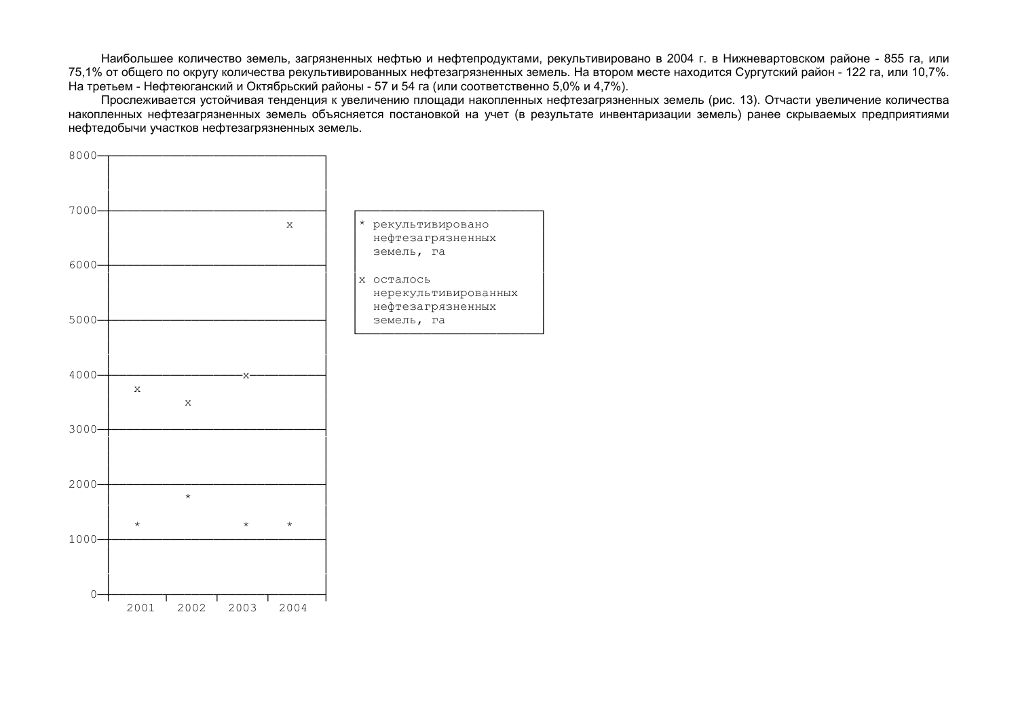Наибольшее количество земель, загрязненных нефтью и нефтепродуктами, рекультивировано в 2004 г. в Нижневартовском районе - 855 га, или 75,1% от общего по округу количества рекультивированных нефтезагрязненных земель. На втором месте находится Сургутский район - 122 га, или 10,7%. На третьем - Нефтеюганский и Октябрьский районы - 57 и 54 га (или соответственно 5,0% и 4,7%).

Прослеживается устойчивая тенденция к увеличению площади накопленных нефтезагрязненных земель (рис. 13). Отчасти увеличение количества накопленных нефтезагрязненных земель объясняется постановкой на учет (в результате инвентаризации земель) ранее скрываемых предприятиями нефтедобычи участков нефтезагрязненных земель.

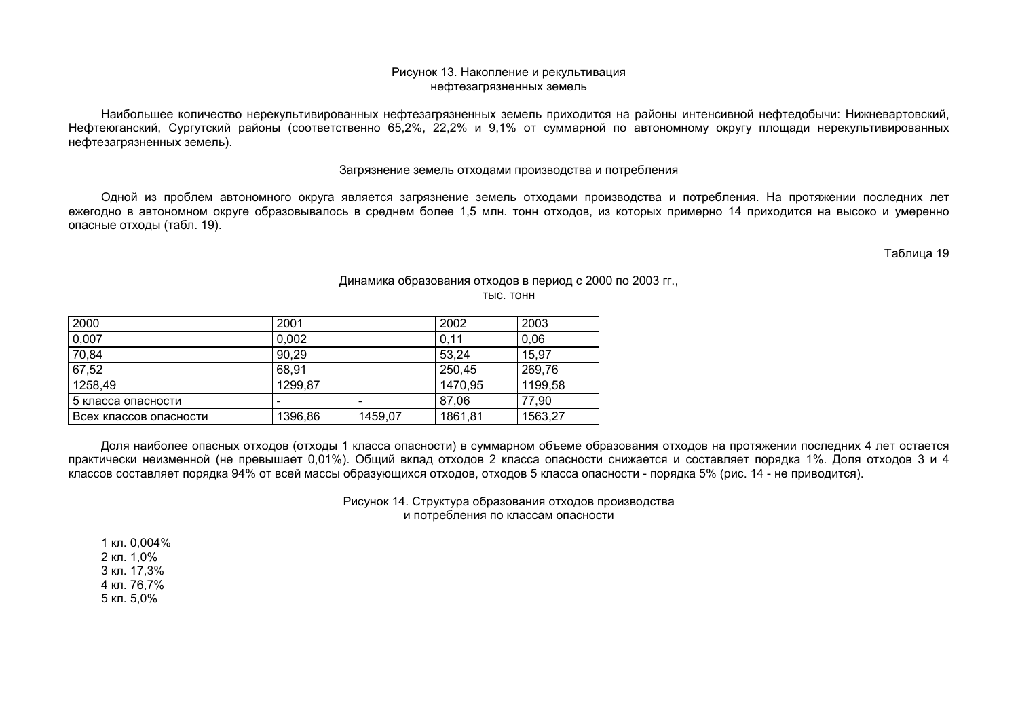# Рисунок 13. Накопление и рекультивация нефтезагрязненных земель

Наибольшее количество нерекультивированных нефтезагрязненных земель приходится на районы интенсивной нефтедобычи: Нижневартовский, Нефтеюганский, Сургутский районы (соответственно 65,2%, 22,2% и 9,1% от суммарной по автономному округу площади нерекультивированных нефтезагрязненных земель).

## Загрязнение земель отходами производства и потребления

Одной из проблем автономного округа является загрязнение земель отходами производства и потребления. На протяжении последних лет ежегодно в автономном округе образовывалось в среднем более 1,5 млн. тонн отходов, из которых примерно 14 приходится на высоко и умеренно опасные отходы (табл. 19).

Таблица 19

| 2000                   | 2001    |         | 2002    | 2003    |
|------------------------|---------|---------|---------|---------|
| 0,007                  | 0,002   |         | 0.11    | 0,06    |
| 70,84                  | 90,29   |         | 53.24   | 15,97   |
| 67,52                  | 68,91   |         | 250,45  | 269,76  |
| 1258,49                | 1299,87 |         | 1470,95 | 1199,58 |
| 5 класса опасности     |         |         | 87.06   | 77,90   |
| Всех классов опасности | 1396,86 | 1459,07 | 1861,81 | 1563,27 |

## Динамика образования отходов в период с 2000 по 2003 гг., ТЫС. ТОНН

Доля наиболее опасных отходов (отходы 1 класса опасности) в суммарном объеме образования отходов на протяжении последних 4 лет остается практически неизменной (не превышает 0.01%). Общий вклад отходов 2 класса опасности снижается и составляет порядка 1%. Доля отходов 3 и 4 классов составляет порядка 94% от всей массы образующихся отходов, отходов 5 класса опасности - порядка 5% (рис. 14 - не приводится).

> Рисунок 14. Структура образования отходов производства и потребления по классам опасности

1 кл. 0,004% 2 кл. 1.0% 3 кл. 17.3% 4 кл. 76,7% 5 кл. 5.0%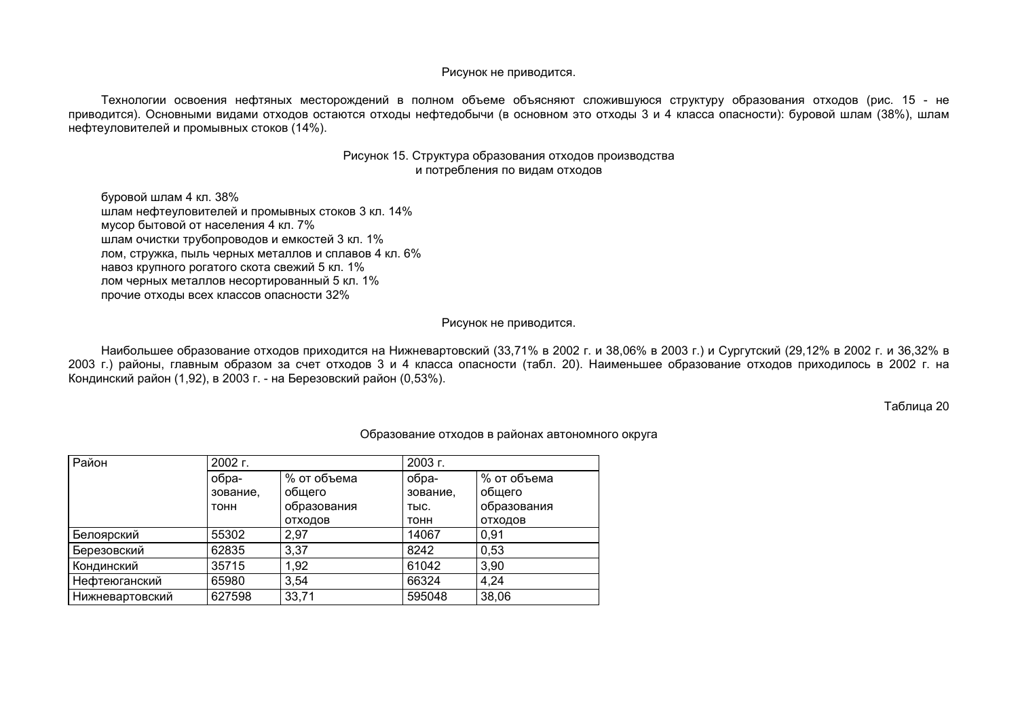## Рисунок не приводится.

Технологии освоения нефтяных месторождений в полном объеме объясняют сложившуюся структуру образования отходов (рис. 15 - не приводится). Основными видами отходов остаются отходы нефтедобычи (в основном это отходы 3 и 4 класса опасности); буровой шлам (38%), шлам нефтеуловителей и промывных стоков (14%).

# Рисунок 15. Структура образования отходов производства и потребления по видам отходов

буровой шлам 4 кл. 38% шлам нефтеуловителей и промывных стоков 3 кл. 14% мусор бытовой от населения 4 кл. 7% шлам очистки трубопроводов и емкостей 3 кл. 1% лом, стружка, пыль черных металлов и сплавов 4 кл. 6% навоз крупного рогатого скота свежий 5 кл. 1% лом черных металлов несортированный 5 кл. 1% прочие отходы всех классов опасности 32%

## Рисунок не приводится.

Наибольшее образование отходов приходится на Нижневартовский (33,71% в 2002 г. и 38,06% в 2003 г.) и Сургутский (29,12% в 2002 г. и 36,32% в 2003 г.) районы, главным образом за счет отходов 3 и 4 класса опасности (табл. 20). Наименьшее образование отходов приходилось в 2002 г. на Кондинский район (1,92), в 2003 г. - на Березовский район (0,53%).

Таблица 20

| Район           | 2002 г.  |                      | 2003 г.     |             |  |
|-----------------|----------|----------------------|-------------|-------------|--|
|                 | обра-    | % от объема<br>обра- |             | % от объема |  |
|                 | зование. | общего               | зование.    | общего      |  |
|                 | тонн     | образования          | тыс.        | образования |  |
|                 |          | ОТХОДОВ              | <b>TOHH</b> | ОТХОДОВ     |  |
| Белоярский      | 55302    | 2.97                 | 14067       | 0,91        |  |
| Березовский     | 62835    | 3,37                 | 8242        | 0,53        |  |
| Кондинский      | 35715    | 1,92                 | 61042       | 3,90        |  |
| Нефтеюганский   | 65980    | 3,54                 | 66324       | 4,24        |  |
| Нижневартовский | 627598   | 33,71                | 595048      | 38,06       |  |

Образование отходов в районах автономного округа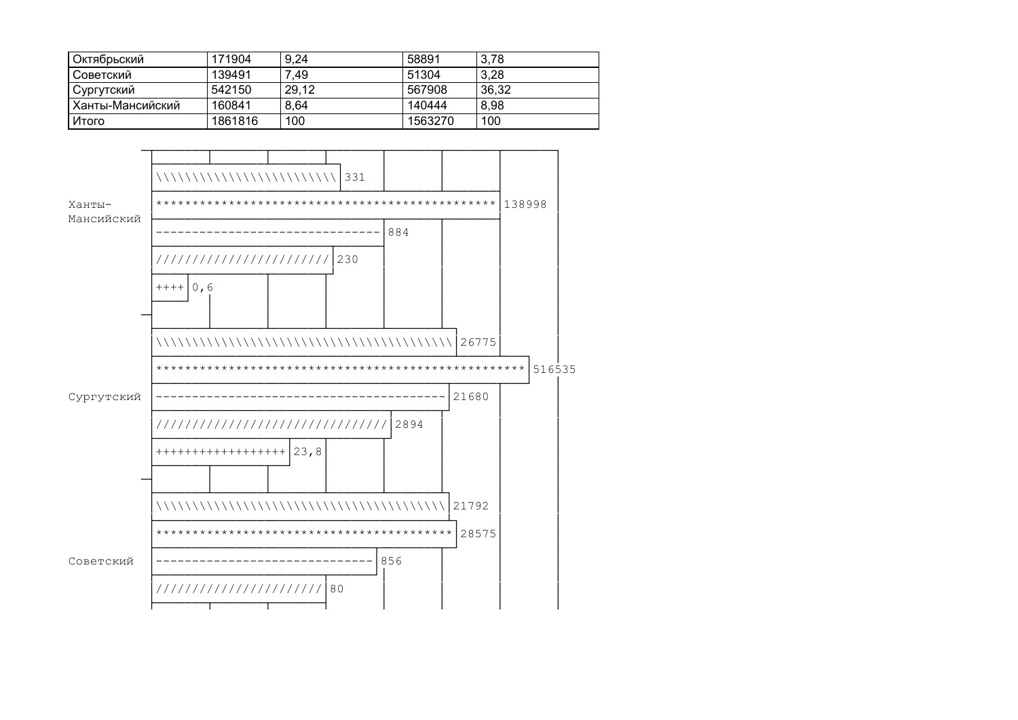| Октябрьский      | 171904  | 9.24  | 58891   | 3,78  |
|------------------|---------|-------|---------|-------|
| Советский        | 139491  | 7.49  | 51304   | 3.28  |
| Сургутский       | 542150  | 29.12 | 567908  | 36.32 |
| Ханты-Мансийский | 160841  | 8.64  | 140444  | 8.98  |
| Итого            | 1861816 | 100   | 1563270 | 100   |

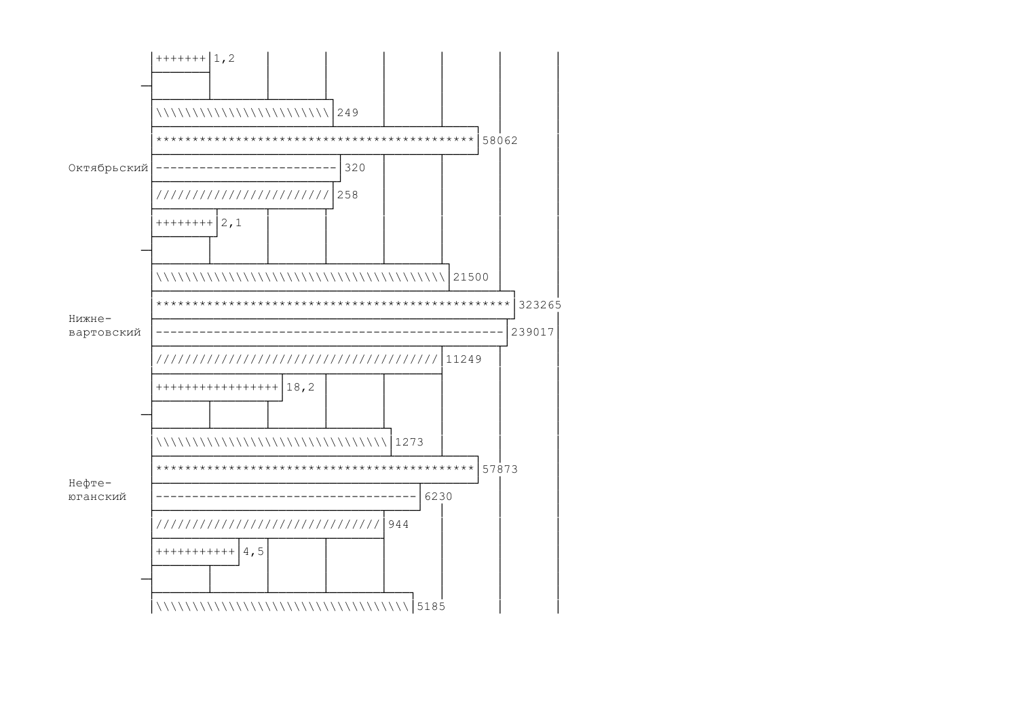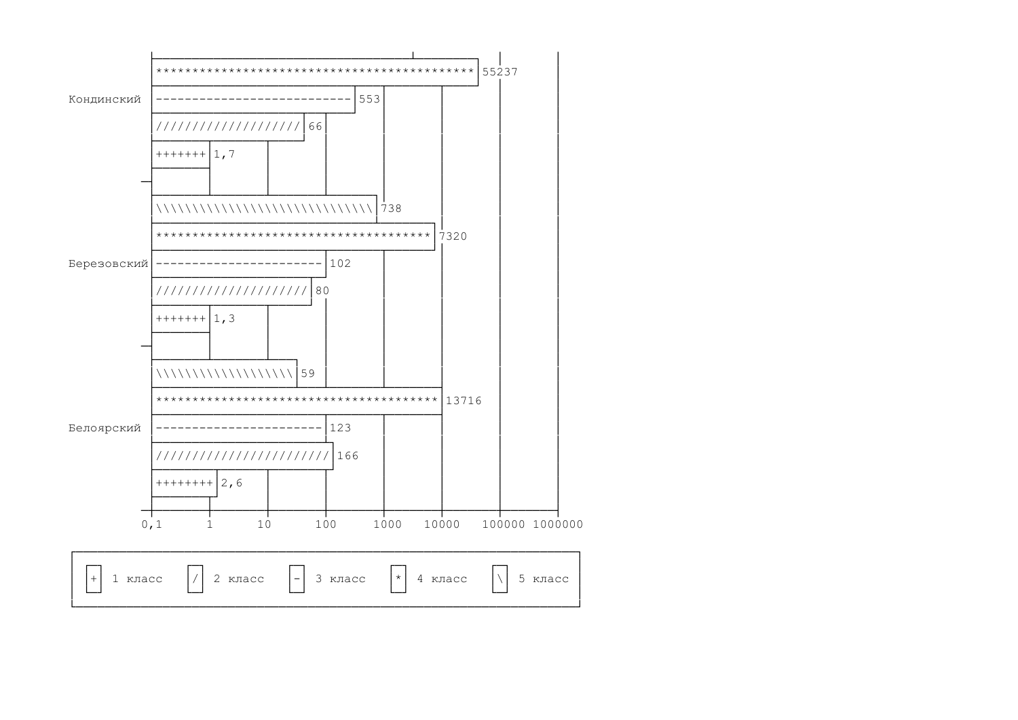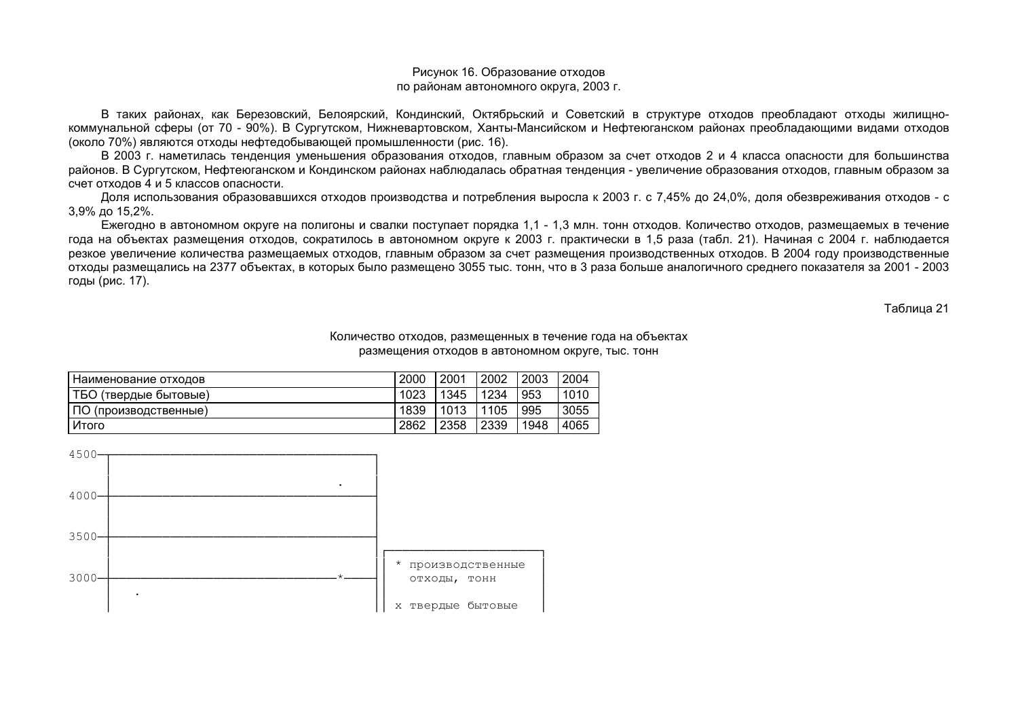Рисунок 16. Образование отходов по районам автономного округа, 2003 г.

В таких районах, как Березовский, Белоярский, Кондинский, Октябрьский и Советский в структуре отходов преобладают отходы жилишнокоммунальной сферы (от 70 - 90%). В Сургутском. Нижневартовском. Ханты-Мансийском и Нефтеюганском районах преобладающими видами отходов (около 70%) являются отходы нефтедобывающей промышленности (рис. 16).

В 2003 г. наметилась тенденция уменьшения образования отходов, главным образом за счет отходов 2 и 4 класса опасности для большинства районов. В Сургутском, Нефтеюганском и Кондинском районах наблюдалась обратная тенденция - увеличение образования отходов, главным образом за счет отходов 4 и 5 классов опасности.

Доля использования образовавшихся отходов производства и потребления выросла к 2003 г. с 7.45% до 24.0%, доля обезвреживания отходов - с 3.9% до 15.2%.

Ежегодно в автономном округе на полигоны и свалки поступает порядка 1,1 - 1,3 млн. тонн отходов. Количество отходов, размещаемых в течение года на объектах размещения отходов, сократилось в автономном округе к 2003 г. практически в 1,5 раза (табл. 21). Начиная с 2004 г. наблюдается резкое увеличение количества размещаемых отходов, главным образом за счет размещения производственных отходов. В 2004 году производственные отходы размещались на 2377 объектах, в которых было размещено 3055 тыс. тонн, что в 3 раза больше аналогичного среднего показателя за 2001 - 2003 годы (рис. 17).

Таблица 21

## Количество отходов, размещенных в течение года на объектах размещения отходов в автономном округе, тыс. тонн

| Наименование отходов  | 2000 | 2001 | 2002 | 2003 | 2004 |
|-----------------------|------|------|------|------|------|
| ТБО (твердые бытовые) | 1023 | 1345 | 1234 | 953  | 1010 |
| ПО (производственные) | 1839 | 1013 | 1105 | 995  | 3055 |
| Итого                 | 2862 | 2358 | 2339 | 1948 | 4065 |

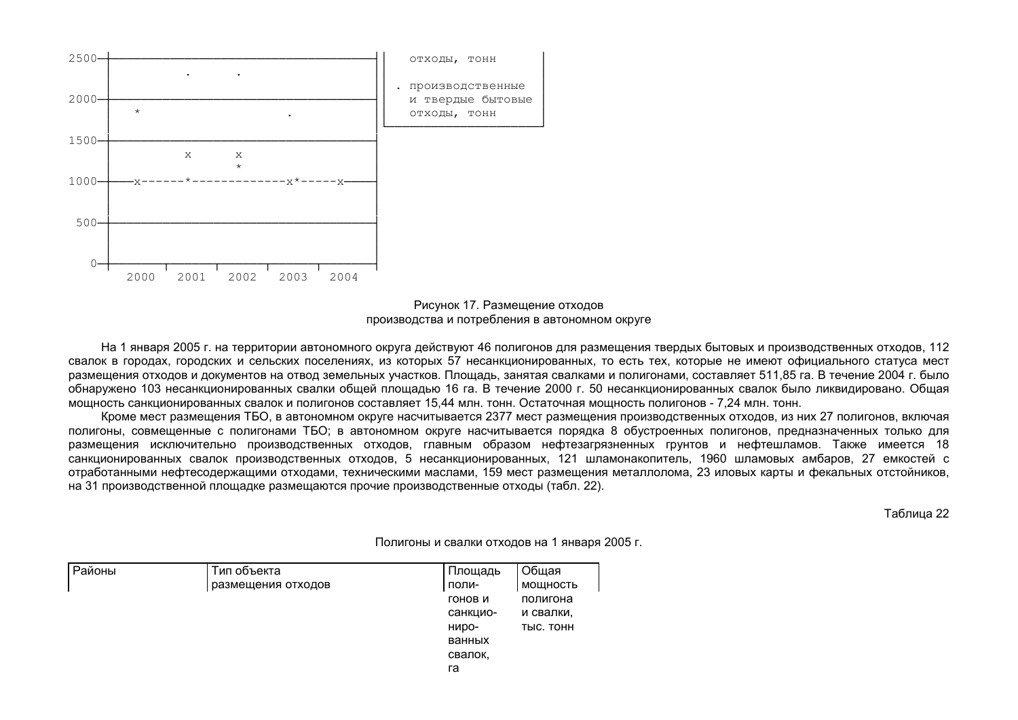



На 1 января 2005 г. на территории автономного округа действуют 46 полигонов для размещения твердых бытовых и производственных отходов, 112 свалок в городах, городских и сельских поселениях, из которых 57 несанкционированных, то есть тех, которые не имеют официального статуса мест размещения отходов и документов на отвод земельных участков. Площадь, занятая свалками и полигонами, составляет 511,85 га. В течение 2004 г. было обнаружено 103 несанкционированных свалки общей площадью 16 га. В течение 2000 г. 50 несанкционированных свалок было ликвидировано. Общая мощность санкционированных свалок и полигонов составляет 15.44 млн. тонн. Остаточная мощность полигонов - 7.24 млн. тонн.

Кроме мест размещения ТБО, в автономном округе насчитывается 2377 мест размещения производственных отходов, из них 27 полигонов, включая полигоны, совмещенные с полигонами ТБО; в автономном округе насчитывается порядка 8 обустроенных полигонов, предназначенных только для размещения исключительно производственных отходов, главным образом нефтезагрязненных грунтов и нефтешламов. Также имеется 18 санкционированных свалок производственных отходов, 5 несанкционированных, 121 шламонакопитель, 1960 шламовых амбаров, 27 емкостей с отработанными нефтесодержащими отходами, техническими маслами, 159 мест размещения металлолома, 23 иловых карты и фекальных отстойников, на 31 производственной площадке размещаются прочие производственные отходы (табл. 22).

Таблица 22

| Районы | Тип объекта        | Площадь  | Общая     |
|--------|--------------------|----------|-----------|
|        | размещения отходов | поли-    | мощность  |
|        |                    | гонов и  | полигона  |
|        |                    | санкцио- | и свалки. |
|        |                    | ниро-    | тыс. тонн |
|        |                    | ванных   |           |
|        |                    | свалок,  |           |
|        |                    | га       |           |

Полигоны и свалки отходов на 1 января 2005 г.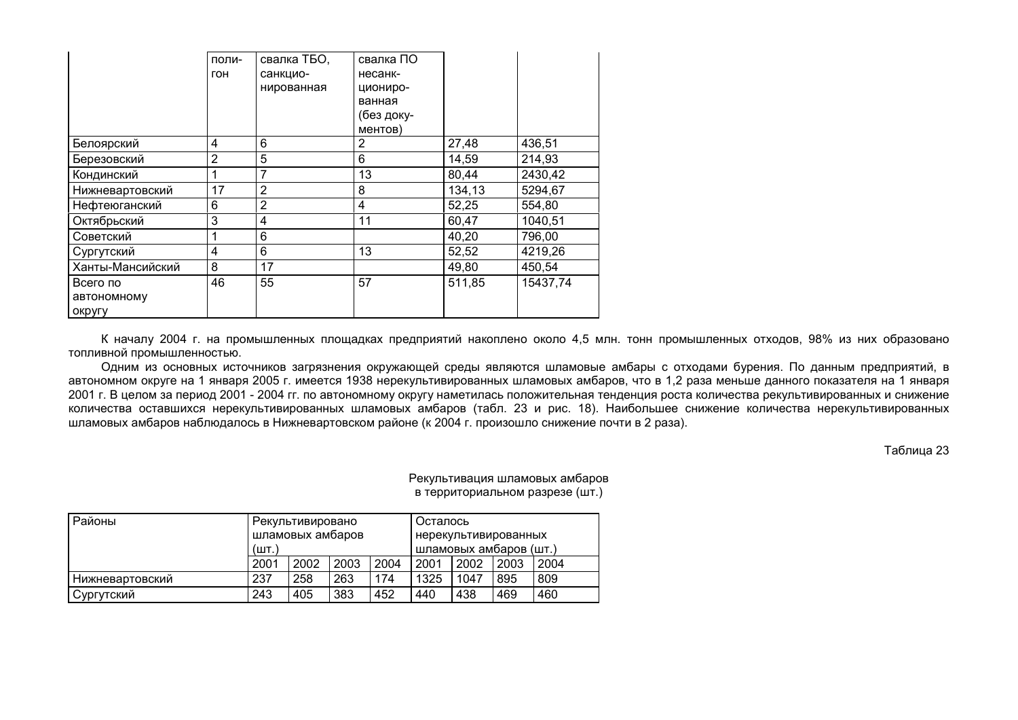|                                   | поли-<br>ГОН   | свалка ТБО,<br>санкцио-<br>нированная | свалка ПО<br>несанк-<br>циониро- |        |          |
|-----------------------------------|----------------|---------------------------------------|----------------------------------|--------|----------|
|                                   |                |                                       | ванная<br>(без доку-<br>ментов)  |        |          |
| Белоярский                        | $\overline{4}$ | 6                                     | 2                                | 27,48  | 436,51   |
| Березовский                       | $\overline{2}$ | 5                                     | 6                                | 14,59  | 214,93   |
| Кондинский                        |                | 7                                     | 13                               | 80,44  | 2430,42  |
| Нижневартовский                   | 17             | 2                                     | 8                                | 134,13 | 5294,67  |
| Нефтеюганский                     | 6              | $\overline{2}$                        | 4                                | 52,25  | 554,80   |
| Октябрьский                       | 3              | 4                                     | 11                               | 60,47  | 1040,51  |
| Советский                         |                | 6                                     |                                  | 40,20  | 796,00   |
| Сургутский                        | $\overline{4}$ | 6                                     | 13                               | 52,52  | 4219,26  |
| Ханты-Мансийский                  | 8              | 17                                    |                                  | 49,80  | 450,54   |
| Всего по<br>автономному<br>округу | 46             | 55                                    | 57                               | 511,85 | 15437,74 |

К началу 2004 г. на промышленных площадках предприятий накоплено около 4,5 млн. тонн промышленных отходов, 98% из них образовано топливной промышленностью.

Одним из основных источников загрязнения окружающей среды являются шламовые амбары с отходами бурения. По данным предприятий, в автономном округе на 1 января 2005 г. имеется 1938 нерекультивированных шламовых амбаров, что в 1,2 раза меньше данного показателя на 1 января 2001 г. В целом за период 2001 - 2004 гг. по автономному округу наметилась положительная тенденция роста количества рекультивированных и снижение количества оставшихся нерекультивированных шламовых амбаров (табл. 23 и рис. 18). Наибольшее снижение количества нерекультивированных шламовых амбаров наблюдалось в Нижневартовском районе (к 2004 г. произошло снижение почти в 2 раза).

Таблица 23

| Районы          | Рекультивировано<br>шламовых амбаров<br>(шт.) |      |      |      | Осталось<br>нерекультивированных<br>шламовых амбаров (шт.) |      |      |      |
|-----------------|-----------------------------------------------|------|------|------|------------------------------------------------------------|------|------|------|
|                 | 2001                                          | 2002 | 2003 | 2004 | 2001                                                       | 2002 | 2003 | 2004 |
| Нижневартовский | 237                                           | 258  | 263  | 174  | 1325                                                       | 1047 | 895  | 809  |
| Сургутский      | 243                                           | 405  | 383  | 452  | 440                                                        | 438  | 469  | 460  |

## Рекультивация шламовых амбаров в территориальном разрезе (шт.)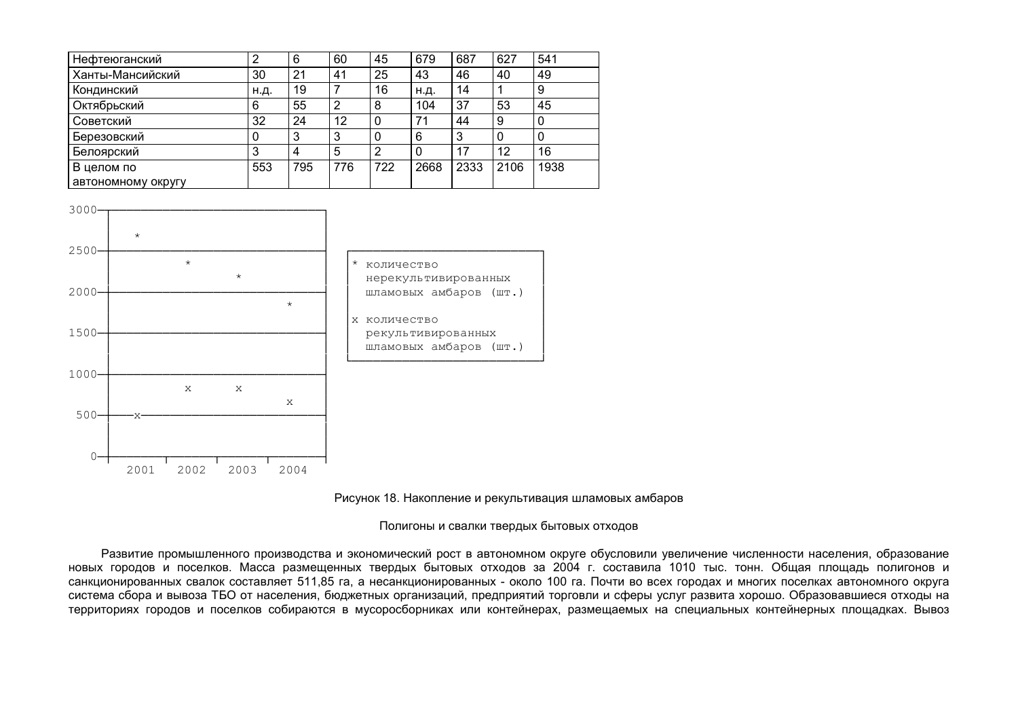| Нефтеюганский      | 2    | 6   | 60             | 45  | 679  | 687  | 627  | 541  |
|--------------------|------|-----|----------------|-----|------|------|------|------|
| Ханты-Мансийский   | 30   | 21  | 41             | 25  | 43   | 46   | 40   | 49   |
| Кондинский         | н.д. | 19  |                | 16  | н.д. | 14   |      | 9    |
| Октябрьский        | 6    | 55  | $\overline{2}$ | 8   | 104  | 37   | 53   | 45   |
| Советский          | 32   | 24  | 12             | 0   | 71   | 44   | 9    | 0    |
| Березовский        | 0    | 3   | 3              | 0   | 6    | 3    |      |      |
| Белоярский         | 3    | 4   | 5              | 2   |      | 17   | 12   | 16   |
| В целом по         | 553  | 795 | 776            | 722 | 2668 | 2333 | 2106 | 1938 |
| автономному округу |      |     |                |     |      |      |      |      |





Полигоны и свалки твердых бытовых отходов

Развитие промышленного производства и экономический рост в автономном округе обусловили увеличение численности населения, образование новых городов и поселков. Масса размещенных твердых бытовых отходов за 2004 г. составила 1010 тыс. тонн. Общая площадь полигонов и санкционированных свалок составляет 511,85 га, а несанкционированных - около 100 га. Почти во всех городах и многих поселках автономного округа система сбора и вывоза ТБО от населения, бюджетных организаций, предприятий торговли и сферы услуг развита хорошо. Образовавшиеся отходы на территориях городов и поселков собираются в мусоросборниках или контейнерах, размещаемых на специальных контейнерных площадках. Вывоз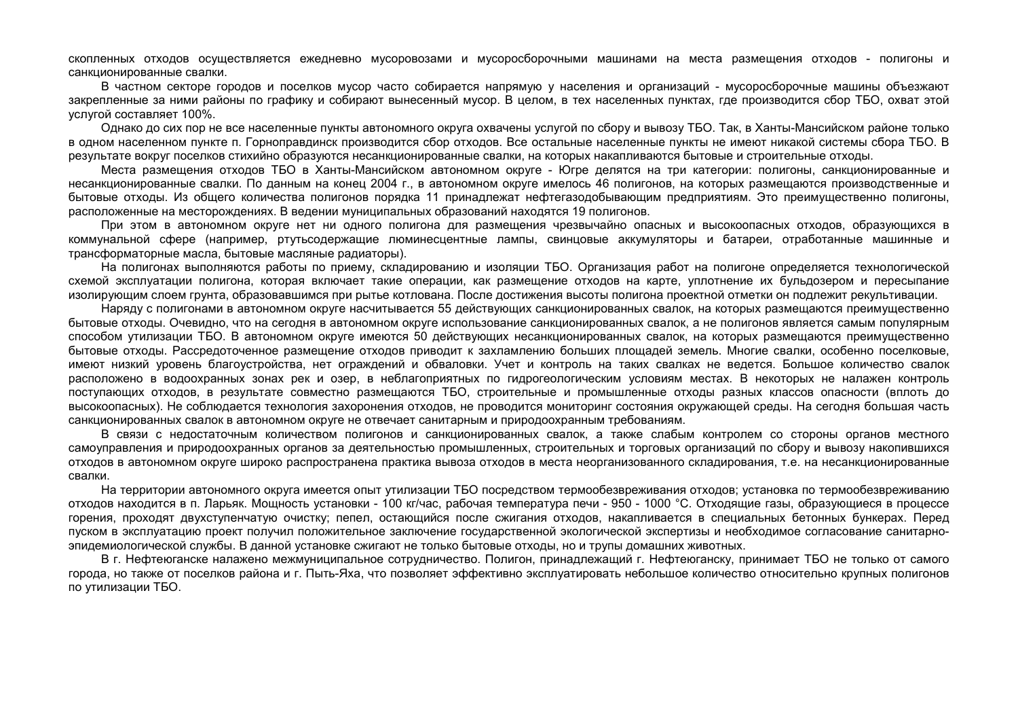скопленных отходов осуществляется ежедневно мусоровозами и мусоросборочными машинами на места размещения отходов - полигоны и санкционированные свалки.

В частном секторе городов и поселков мусор часто собирается напрямую у населения и организаций - мусоросборочные машины объезжают закрепленные за ними районы по графику и собирают вынесенный мусор. В целом, в тех населенных пунктах, где производится сбор ТБО, охват этой услугой составляет 100%.

Однако до сих пор не все населенные пункты автономного округа охвачены услугой по сбору и вывозу ТБО. Так, в Ханты-Мансийском районе только в одном населенном пункте п. Горноправдинск производится сбор отходов. Все остальные населенные пункты не имеют никакой системы сбора ТБО. В результате вокруг поселков стихийно образуются несанкционированные свалки, на которых накапливаются бытовые и строительные отходы,

Места размещения отходов ТБО в Ханты-Мансийском автономном округе - Югре делятся на три категории: полигоны, санкционированные и несанкционированные свалки. По данным на конец 2004 г., в автономном округе имелось 46 полигонов, на которых размещаются производственные и бытовые отходы. Из обшего количества полигонов порядка 11 принадлежат нефтегазодобывающим предприятиям. Это преимущественно полигоны, расположенные на месторождениях. В ведении муниципальных образований находятся 19 полигонов.

При этом в автономном округе нет ни одного полигона для размещения чрезвычайно опасных и высокоопасных отходов, образующихся в коммунальной сфере (например, ртутьсодержащие люминесцентные лампы, свинцовые аккумуляторы и батареи, отработанные машинные и трансформаторные масла, бытовые масляные радиаторы).

На полигонах выполняются работы по приему, складированию и изоляции ТБО. Организация работ на полигоне определяется технологической схемой эксплуатации полигона, которая включает такие операции, как размещение отходов на карте, уплотнение их бульдозером и пересыпание изолирующим слоем грунта, образовавшимся при рытье котлована. После достижения высоты полигона проектной отметки он подлежит рекультивации.

Наряду с полигонами в автономном округе насчитывается 55 действующих санкционированных свалок, на которых размещаются преимущественно бытовые отходы. Очевидно, что на сегодня в автономном округе использование санкционированных свалок, а не полигонов является самым популярным способом утилизации ТБО. В автономном округе имеются 50 действующих несанкционированных свалок, на которых размещаются преимущественно бытовые отходы. Рассредоточенное размещение отходов приводит к захламлению больших площадей земель. Многие свалки, особенно поселковые, имеют низкий уровень благоустройства, нет ограждений и обваловки. Учет и контроль на таких свалках не ведется. Большое количество свалок расположено в водоохранных зонах рек и озер, в неблагоприятных по гидрогеологическим условиям местах. В некоторых не налажен контроль поступающих отходов, в результате совместно размещаются ТБО, строительные и промышленные отходы разных классов опасности (вплоть до высокоопасных). Не соблюдается технология захоронения отходов, не проводится мониторинг состояния окружающей среды. На сегодня большая часть санкционированных свалок в автономном округе не отвечает санитарным и природоохранным требованиям.

В связи с недостаточным количеством полигонов и санкционированных свалок, а также слабым контролем со стороны органов местного самоуправления и природоохранных органов за деятельностью промышленных, строительных и торговых организаций по сбору и вывозу накопившихся отходов в автономном округе широко распространена практика вывоза отходов в места неорганизованного складирования, т.е. на несанкционированные свалки.

На территории автономного округа имеется опыт утилизации ТБО посредством термообезвреживания отходов; установка по термообезвреживанию отходов находится в п. Ларьяк. Мощность установки - 100 кг/час, рабочая температура печи - 950 - 1000 °С. Отходящие газы, образующиеся в процессе горения, проходят двухступенчатую очистку; пепел, остающийся после сжигания отходов, накапливается в специальных бетонных бункерах. Перед пуском в эксплуатацию проект получил положительное заключение государственной экологической экспертизы и необходимое согласование санитарноэпидемиологической службы. В данной установке сжигают не только бытовые отходы, но и трупы домашних животных.

В г. Нефтеюганске налажено межмуниципальное сотрудничество. Полигон, принадлежащий г. Нефтеюганску, принимает ТБО не только от самого города, но также от поселков района и г. Пыть-Яха, что позволяет эффективно эксплуатировать небольшое количество относительно крупных полигонов по утилизации ТБО.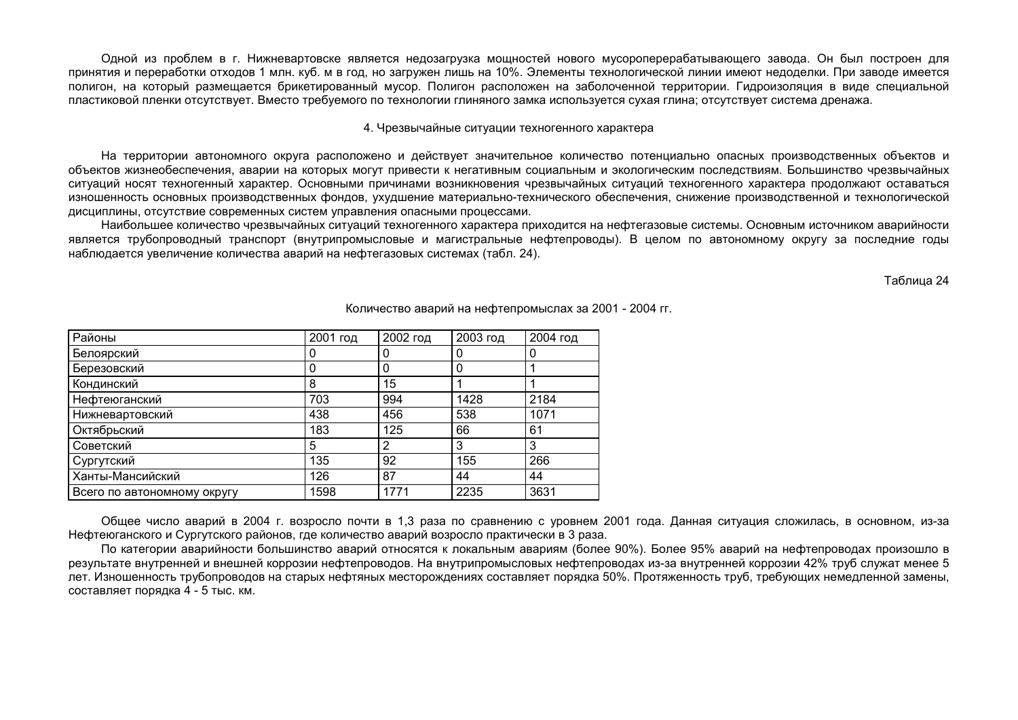Одной из проблем в г. Нижневартовске является недозагрузка мощностей нового мусороперерабатывающего завода. Он был построен для принятия и переработки отходов 1 млн. куб. м в год. но загружен лишь на 10%. Элементы технологической линии имеют недоделки. При заводе имеется полигон, на который размещается брикетированный мусор. Полигон расположен на заболоченной территории. Гидроизоляция в виде специальной пластиковой пленки отсутствует. Вместо требуемого по технологии глиняного замка используется сухая глина; отсутствует система дренажа.

#### 4. Чрезвычайные ситуации техногенного характера

На территории автономного округа расположено и действует значительное количество потенциально опасных производственных объектов и объектов жизнеобеспечения, аварии на которых могут привести к негативным социальным и экологическим последствиям. Большинство чрезвычайных ситуаций носят техногенный характер. Основными причинами возникновения чрезвычайных ситуаций техногенного характера продолжают оставаться изношенность основных производственных фондов, ухудшение материально-технического обеспечения, снижение производственной и технологической дисциплины, отсутствие современных систем управления опасными процессами.

Наибольшее количество чрезвычайных ситуаций техногенного характера приходится на нефтегазовые системы. Основным источником аварийности является трубопроводный транспорт (внутрипромысловые и магистральные нефтепроводы). В целом по автономному округу за последние годы наблюдается увеличение количества аварий на нефтегазовых системах (табл. 24).

Таблица 24

| Районы                      | 2001 год | 2002 год | 2003 год | 2004 год |
|-----------------------------|----------|----------|----------|----------|
| Белоярский                  | 0        | 0        |          | 0        |
| Березовский                 | 0        | 0        | 0        |          |
| Кондинский                  | 8        | 15       |          |          |
| Нефтеюганский               | 703      | 994      | 1428     | 2184     |
| Нижневартовский             | 438      | 456      | 538      | 1071     |
| Октябрьский                 | 183      | 125      | 66       | 61       |
| Советский                   | 5        | 2        | 3        | 3        |
| Сургутский                  | 135      | 92       | 155      | 266      |
| Ханты-Мансийский            | 126      | 87       | 44       | 44       |
| Всего по автономному округу | 1598     | 1771     | 2235     | 3631     |

Количество аварий на нефтепромыслах за 2001 - 2004 гг.

Общее число аварий в 2004 г. возросло почти в 1,3 раза по сравнению с уровнем 2001 года. Данная ситуация сложилась, в основном, из-за Нефтеюганского и Сургутского районов, где количество аварий возросло практически в 3 раза.

По категории аварийности большинство аварий относятся к локальным авариям (более 90%). Более 95% аварий на нефтепроводах произошло в результате внутренней и внешней коррозии нефтепроводов. На внутрипромысловых нефтепроводах из-за внутренней коррозии 42% труб служат менее 5 лет. Изношенность трубопроводов на старых нефтяных месторождениях составляет порядка 50%. Протяженность труб, требующих немедленной замены, составляет порядка 4 - 5 тыс. км.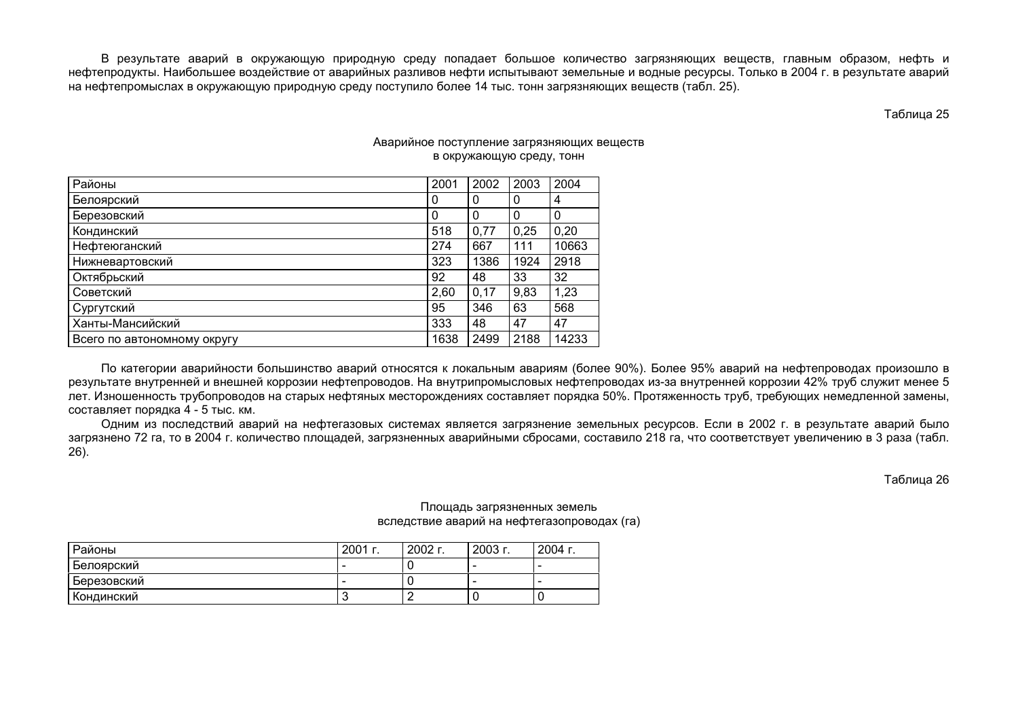В результате аварий в окружающую природную среду попадает большое количество загрязняющих веществ, главным образом, нефть и нефтепродукты. Наибольшее воздействие от аварийных разливов нефти испытывают земельные и водные ресурсы. Только в 2004 г. в результате аварий на нефтепромыслах в окружающую природную среду поступило более 14 тыс. тонн загрязняющих веществ (табл. 25).

Таблица 25

| Районы                      | 2001 | 2002        | 2003        | 2004  |
|-----------------------------|------|-------------|-------------|-------|
| Белоярский                  | 0    | 0           | 0           | 4     |
| Березовский                 | 0    | $\mathbf 0$ | $\mathbf 0$ | 0     |
| Кондинский                  | 518  | 0,77        | 0,25        | 0,20  |
| Нефтеюганский               | 274  | 667         | 111         | 10663 |
| Нижневартовский             | 323  | 1386        | 1924        | 2918  |
| Октябрьский                 | 92   | 48          | 33          | 32    |
| Советский                   | 2,60 | 0,17        | 9,83        | 1,23  |
| Сургутский                  | 95   | 346         | 63          | 568   |
| Ханты-Мансийский            | 333  | 48          | 47          | 47    |
| Всего по автономному округу | 1638 | 2499        | 2188        | 14233 |

## Аварийное поступление загрязняющих веществ в окружающую среду, тонн

По категории аварийности большинство аварий относятся к локальным авариям (более 90%). Более 95% аварий на нефтепроводах произошло в результате внутренней и внешней коррозии нефтепроводов. На внутрипромысловых нефтепроводах из-за внутренней коррозии 42% труб служит менее 5 лет. Изношенность трубопроводов на старых нефтяных месторождениях составляет порядка 50%. Протяженность труб, требующих немедленной замены, составляет порядка 4 - 5 тыс. км.

Одним из последствий аварий на нефтегазовых системах является загрязнение земельных ресурсов. Если в 2002 г. в результате аварий было загрязнено 72 га, то в 2004 г. количество площадей, загрязненных аварийными сбросами, составило 218 га, что соответствует увеличению в 3 раза (табл.  $26$ ).

Таблица 26

| Районы      | $2001$ F. | $2002$ г. | 2003 г. | 2004 г. |
|-------------|-----------|-----------|---------|---------|
| Белоярский  |           |           | -       | -       |
| Березовский |           |           |         | -       |
| Кондинский  |           |           |         |         |

## Площадь загрязненных земель вследствие аварий на нефтегазопроводах (га)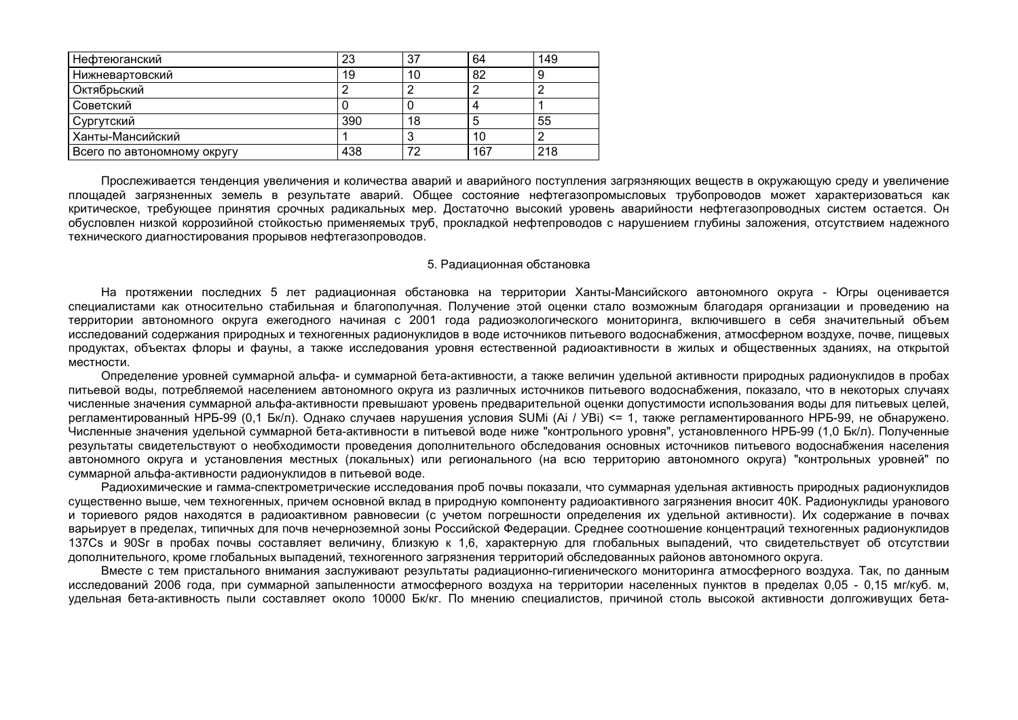| Нефтеюганский               | 23  | 37 | 64  | 149 |
|-----------------------------|-----|----|-----|-----|
| Нижневартовский             | 19  | 10 | 82  | 9   |
| Октябрьский                 |     |    |     |     |
| Советский                   |     |    |     |     |
| Сургутский                  | 390 | 18 |     | 55  |
| Ханты-Мансийский            |     |    | 10  |     |
| Всего по автономному округу | 438 | 70 | 167 | 218 |

Прослеживается тенденция увеличения и количества аварий и аварийного поступления загрязняющих веществ в окружающую среду и увеличение плошадей загрязненных земель в результате аварий. Обшее состояние нефтегазопромысловых трубопроводов может характеризоваться как критическое, требующее принятия срочных радикальных мер. Достаточно высокий уровень аварийности нефтегазопроводных систем остается. Он обусловлен низкой коррозийной стойкостью применяемых труб, прокладкой нефтепроводов с нарушением глубины заложения, отсутствием надежного технического диагностирования прорывов нефтегазопроводов.

#### 5. Радиационная обстановка

На протяжении последних 5 лет радиационная обстановка на территории Ханты-Мансийского автономного округа - Югры оценивается специалистами как относительно стабильная и благополучная. Получение этой оценки стало возможным благодаря организации и проведению на территории автономного округа ежегодного начиная с 2001 года радиоэкологического мониторинга, включившего в себя значительный объем исследований содержания природных и техногенных радионуклидов в воде источников питьевого водоснабжения, атмосферном воздухе, почве, пищевых продуктах, объектах флоры и фауны, а также исследования уровня естественной радиоактивности в жилых и общественных зданиях, на открытой местности.

Определение уровней суммарной альфа- и суммарной бета-активности, а также величин удельной активности природных радионуклидов в пробах питьевой воды, потребляемой населением автономного округа из различных источников питьевого водоснабжения, показало, что в некоторых случаях численные значения суммарной альфа-активности превышают уровень предварительной оценки допустимости использования воды для питьевых целей, регламентированный HPБ-99 (0.1 Бк/л). Однако случаев нарушения условия SUMi (Ai / УВi) <= 1, также регламентированного HPБ-99, не обнаружено. Численные значения удельной суммарной бета-активности в питьевой воде ниже "контрольного уровня", установленного НРБ-99 (1,0 Бк/л). Полученные результаты свидетельствуют о необходимости проведения дополнительного обследования основных источников питьевого водоснабжения населения автономного округа и установления местных (локальных) или регионального (на всю территорию автономного округа) "контрольных уровней" по суммарной альфа-активности радионуклидов в питьевой воде.

Радиохимические и гамма-спектрометрические исследования проб почвы показали, что суммарная удельная активность природных радионуклидов существенно выше, чем техногенных, причем основной вклад в природную компоненту радиоактивного загрязнения вносит 40К. Радионуклиды уранового и ториевого рядов находятся в радиоактивном равновесии (с учетом погрешности определения их удельной активности). Их содержание в почвах варьирует в пределах, типичных для почв нечерноземной зоны Российской Федерации. Среднее соотношение концентраций техногенных радионуклидов 137Сs и 90Sr в пробах почвы составляет величину, близкую к 1,6, характерную для глобальных выпадений, что свидетельствует об отсутствии дополнительного, кроме глобальных выпадений, техногенного загрязнения территорий обследованных районов автономного округа.

Вместе с тем пристального внимания заслуживают результаты радиационно-гигиенического мониторинга атмосферного воздуха. Так, по данным исследований 2006 года, при суммарной запыленности атмосферного воздуха на территории населенных пунктов в пределах 0,05 - 0,15 мг/куб. м, удельная бета-активность пыли составляет около 10000 Бк/кг. По мнению специалистов, причиной столь высокой активности долгоживущих бета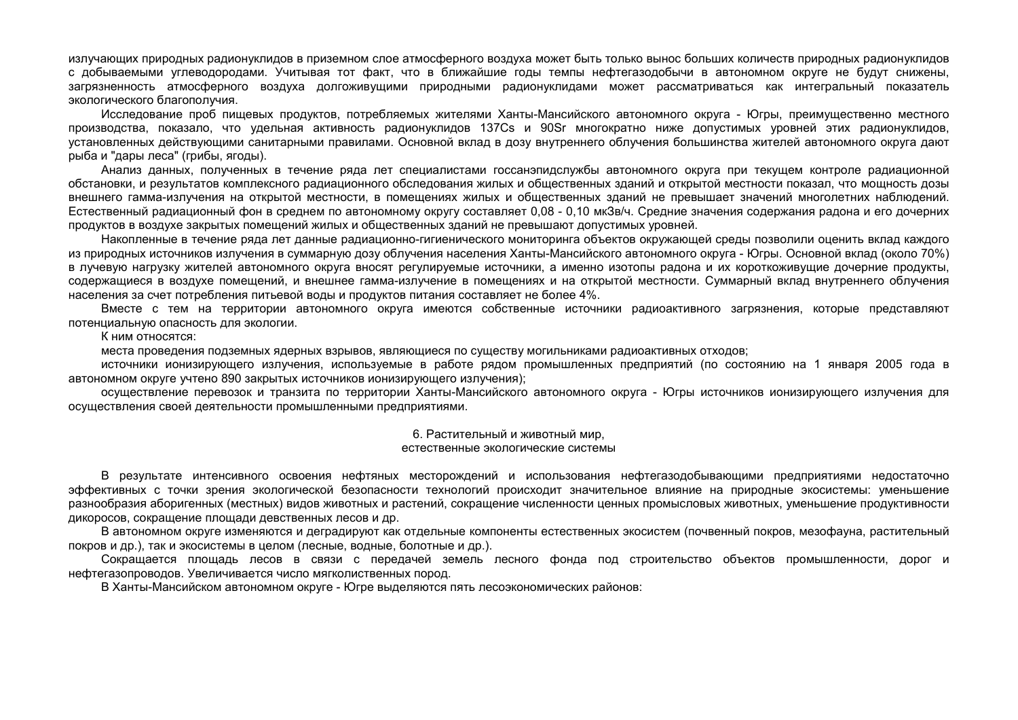излучающих природных радионуклидов в приземном слое атмосферного воздуха может быть только вынос больших количеств природных радионуклидов с добываемыми углеводородами. Учитывая тот факт, что в ближайшие годы темпы нефтегазодобычи в автономном округе не будут снижены, загрязненность атмосферного воздуха долгоживущими природными радионуклидами может рассматриваться как интегральный показатель экологического благополучия.

Исследование проб пишевых продуктов, потребляемых жителями Ханты-Мансийского автономного округа - Югры, преимущественно местного производства, показало, что удельная активность радионуклидов 137Cs и 90Sr многократно ниже допустимых уровней этих радионуклидов, установленных действующими санитарными правилами. Основной вклад в дозу внутреннего облучения большинства жителей автономного округа дают рыба и "дары леса" (грибы, ягоды).

Анализ данных, полученных в течение ряда лет специалистами госсанэпидслужбы автономного округа при текущем контроле радиационной обстановки, и результатов комплексного радиационного обследования жилых и общественных зданий и открытой местности показал, что мощность дозы внешнего гамма-излучения на открытой местности, в помешениях жилых и обшественных зданий не превышает значений многолетних наблюдений, Естественный радиационный фон в среднем по автономному округу составляет 0,08 - 0,10 мкЗв/ч. Средние значения содержания радона и его дочерних продуктов в воздухе закрытых помещений жилых и общественных зданий не превышают допустимых уровней.

Накопленные в течение ряда лет данные радиационно-гигиенического мониторинга объектов окружающей среды позволили оценить вклад каждого из природных источников излучения в суммарную дозу облучения населения Ханты-Мансийского автономного округа - Югры. Основной вклад (около 70%) в лучевую нагрузку жителей автономного округа вносят регулируемые источники, а именно изотопы радона и их короткоживущие дочерние продукты, содержащиеся в воздухе помещений, и внешнее гамма-излучение в помещениях и на открытой местности. Суммарный вклад внутреннего облучения населения за счет потребления питьевой воды и продуктов питания составляет не более 4%.

Вместе с тем на территории автономного округа имеются собственные источники радиоактивного загрязнения, которые представляют потенциальную опасность для экологии.

К ним относятся:

места проведения подземных ядерных взрывов, являющиеся по существу могильниками радиоактивных отходов;

источники ионизирующего излучения, используемые в работе рядом промышленных предприятий (по состоянию на 1 января 2005 года в автономном округе учтено 890 закрытых источников ионизирующего излучения);

осуществление перевозок и транзита по территории Ханты-Мансийского автономного округа - Югры источников ионизирующего излучения для осуществления своей деятельности промышленными предприятиями.

6. Растительный и животный мир.

#### естественные экологические системы

В результате интенсивного освоения нефтяных месторождений и использования нефтегазодобывающими предприятиями недостаточно эффективных с точки зрения экологической безопасности технологий происходит значительное влияние на природные экосистемы: уменьшение разнообразия аборигенных (местных) видов животных и растений, сокращение численности ценных промысловых животных, уменьшение продуктивности дикоросов, сокращение площади девственных лесов и др.

В автономном округе изменяются и деградируют как отдельные компоненты естественных экосистем (почвенный покров, мезофауна, растительный покров и др.), так и экосистемы в целом (лесные, водные, болотные и др.).

Сокращается площадь лесов в связи с передачей земель лесного фонда под строительство объектов промышленности, дорог и нефтегазопроводов. Увеличивается число мягколиственных пород.

В Ханты-Мансийском автономном округе - Югре выделяются пять лесоэкономических районов: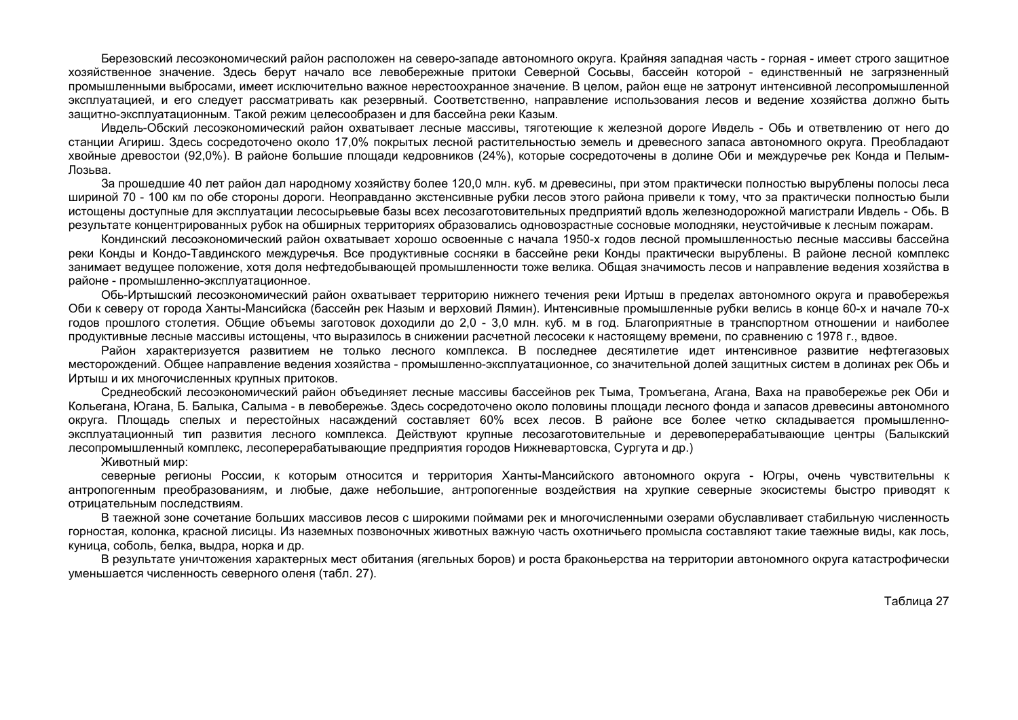Березовский лесоэкономический район расположен на северо-западе автономного округа. Крайняя западная часть - горная - имеет строго защитное хозяйственное значение. Здесь берут начало все левобережные притоки Северной Сосьвы, бассейн которой - единственный не загрязненный промышленными выбросами, имеет исключительно важное нерестоохранное значение. В целом, район еще не затронут интенсивной лесопромышленной эксплуатацией, и его следует рассматривать как резервный. Соответственно, направление использования лесов и ведение хозяйства должно быть защитно-эксплуатационным. Такой режим целесообразен и для бассейна реки Казым.

Ивдель-Обский лесоэкономический район охватывает лесные массивы, тяготеющие к железной дороге Ивдель - Обь и ответвлению от него до станции Агириш. Здесь сосредоточено около 17,0% покрытых лесной растительностью земель и древесного запаса автономного округа. Преобладают хвойные древостои (92.0%). В районе большие плошади кедровников (24%), которые сосредоточены в долине Оби и междуречье рек Конда и Пелым-Позьва.

За прошедшие 40 лет район дал народному хозяйству более 120.0 млн. куб. м древесины, при этом практически полностью вырублены полосы леса шириной 70 - 100 км по обе стороны дороги. Неоправданно экстенсивные рубки лесов этого района привели к тому, что за практически полностью были истощены доступные для эксплуатации лесосырьевые базы всех лесозаготовительных предприятий вдоль железнодорожной магистрали Ивдель - Обь. В результате концентрированных рубок на обширных территориях образовались одновозрастные сосновые молодняки, неустойчивые к лесным пожарам.

Кондинский лесоэкономический район охватывает хорошо освоенные с начала 1950-х годов лесной промышленностью лесные массивы бассейна реки Конды и Кондо-Тавдинского междуречья. Все продуктивные сосняки в бассейне реки Конды практически вырублены. В районе лесной комплекс занимает ведущее положение, хотя доля нефтедобывающей промышленности тоже велика. Общая значимость лесов и направление ведения хозяйства в районе - промышленно-эксплуатационное.

Обь-Иртышский лесоэкономический район охватывает территорию нижнего течения реки Иртыш в пределах автономного округа и правобережья Оби к северу от города Ханты-Мансийска (бассейн рек Назым и верховий Лямин). Интенсивные промышленные рубки велись в конце 60-х и начале 70-х годов прошлого столетия. Обшие объемы заготовок доходили до 2.0 - 3.0 млн. куб. м в год. Благоприятные в транспортном отношении и наиболее продуктивные лесные массивы истощены, что выразилось в снижении расчетной лесосеки к настоящему времени, по сравнению с 1978 г., вдвое.

Район характеризуется развитием не только лесного комплекса. В последнее десятилетие идет интенсивное развитие нефтегазовых месторождений. Общее направление ведения хозяйства - промышленно-эксплуатационное, со значительной долей защитных систем в долинах рек Обь и Иртыш и их многочисленных крупных притоков.

Среднеобский лесоэкономический район объединяет лесные массивы бассейнов рек Тыма, Тромъегана, Агана, Ваха на правобережье рек Оби и Кольегана, Югана, Б. Балыка, Салыма - в левобережье, Здесь сосредоточено около половины плошади лесного фонда и запасов древесины автономного округа. Площадь спелых и перестойных насаждений составляет 60% всех лесов. В районе все более четко складывается промышленноэксплуатационный тип развития лесного комплекса. Действуют крупные лесозаготовительные и деревоперерабатывающие центры (Балыкский лесопромышленный комплекс, лесоперерабатывающие предприятия городов Нижневартовска, Сургута и др.)

#### Животный мир:

северные регионы России, к которым относится и территория Ханты-Мансийского автономного округа - Югры, очень чувствительны к антропогенным преобразованиям, и любые, даже небольшие, антропогенные воздействия на хрупкие северные экосистемы быстро приводят к отрицательным последствиям.

В таежной зоне сочетание больших массивов лесов с широкими поймами рек и многочисленными озерами обуславливает стабильную численность горностая, колонка, красной лисицы. Из наземных позвоночных животных важную часть охотничьего промысла составляют такие таежные виды, как лось, куница, соболь, белка, выдра, норка и др.

В результате уничтожения характерных мест обитания (ягельных боров) и роста браконьерства на территории автономного округа катастрофически уменьшается численность северного оленя (табл. 27).

Таблица 27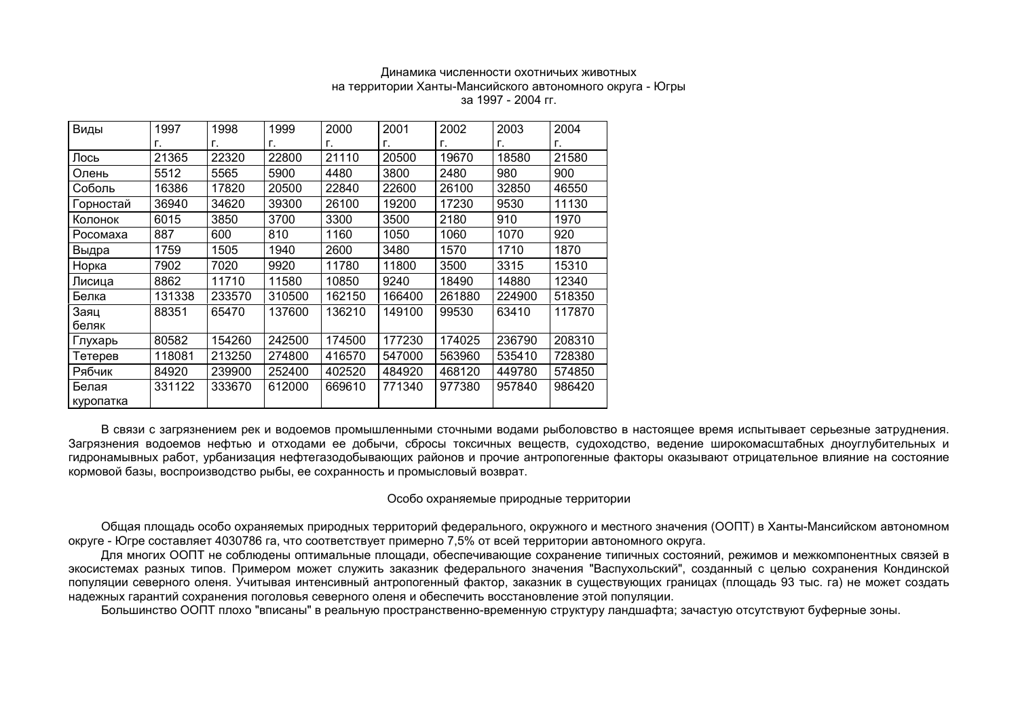## Динамика численности охотничьих животных

# на территории Ханты-Мансийского автономного округа - Югры за 1997 - 2004 гг.

| Виды      | 1997   | 1998   | 1999   | 2000   | 2001   | 2002   | 2003   | 2004   |
|-----------|--------|--------|--------|--------|--------|--------|--------|--------|
|           | г.     | г.     | г.     | г.     | г.     | г.     | г.     | г.     |
| Лось      | 21365  | 22320  | 22800  | 21110  | 20500  | 19670  | 18580  | 21580  |
| Олень     | 5512   | 5565   | 5900   | 4480   | 3800   | 2480   | 980    | 900    |
| Соболь    | 16386  | 17820  | 20500  | 22840  | 22600  | 26100  | 32850  | 46550  |
| Горностай | 36940  | 34620  | 39300  | 26100  | 19200  | 17230  | 9530   | 11130  |
| Колонок   | 6015   | 3850   | 3700   | 3300   | 3500   | 2180   | 910    | 1970   |
| Росомаха  | 887    | 600    | 810    | 1160   | 1050   | 1060   | 1070   | 920    |
| Выдра     | 1759   | 1505   | 1940   | 2600   | 3480   | 1570   | 1710   | 1870   |
| Норка     | 7902   | 7020   | 9920   | 11780  | 11800  | 3500   | 3315   | 15310  |
| Лисица    | 8862   | 11710  | 11580  | 10850  | 9240   | 18490  | 14880  | 12340  |
| Белка     | 131338 | 233570 | 310500 | 162150 | 166400 | 261880 | 224900 | 518350 |
| Заяц      | 88351  | 65470  | 137600 | 136210 | 149100 | 99530  | 63410  | 117870 |
| беляк     |        |        |        |        |        |        |        |        |
| Глухарь   | 80582  | 154260 | 242500 | 174500 | 177230 | 174025 | 236790 | 208310 |
| Тетерев   | 118081 | 213250 | 274800 | 416570 | 547000 | 563960 | 535410 | 728380 |
| Рябчик    | 84920  | 239900 | 252400 | 402520 | 484920 | 468120 | 449780 | 574850 |
| Белая     | 331122 | 333670 | 612000 | 669610 | 771340 | 977380 | 957840 | 986420 |
| куропатка |        |        |        |        |        |        |        |        |

В связи с загрязнением рек и водоемов промышленными сточными водами рыболовство в настоящее время испытывает серьезные затруднения. Загрязнения водоемов нефтью и отходами ее добычи, сбросы токсичных веществ, судоходство, ведение широкомасштабных дноуглубительных и гидронамывных работ, урбанизация нефтегазодобывающих районов и прочие антропогенные факторы оказывают отрицательное влияние на состояние кормовой базы, воспроизводство рыбы, ее сохранность и промысловый возврат.

## Особо охраняемые природные территории

Общая площадь особо охраняемых природных территорий федерального, окружного и местного значения (ООПТ) в Ханты-Мансийском автономном округе - Югре составляет 4030786 га, что соответствует примерно 7,5% от всей территории автономного округа.

Для многих ООПТ не соблюдены оптимальные площади, обеспечивающие сохранение типичных состояний, режимов и межкомпонентных связей в экосистемах разных типов. Примером может служить заказник федерального значения "Васпухольский", созданный с целью сохранения Кондинской популяции северного оленя. Учитывая интенсивный антропогенный фактор, заказник в существующих границах (площадь 93 тыс. га) не может создать надежных гарантий сохранения поголовья северного оленя и обеспечить восстановление этой популяции.

Большинство ООПТ плохо "вписаны" в реальную пространственно-временную структуру ландшафта; зачастую отсутствуют буферные зоны.